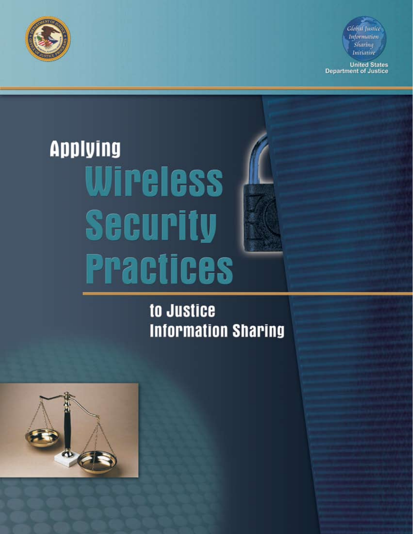



**United States**<br>Department of Justice

# **Applying** Wireless **Security Practices**

to Justice **Information Sharing** 

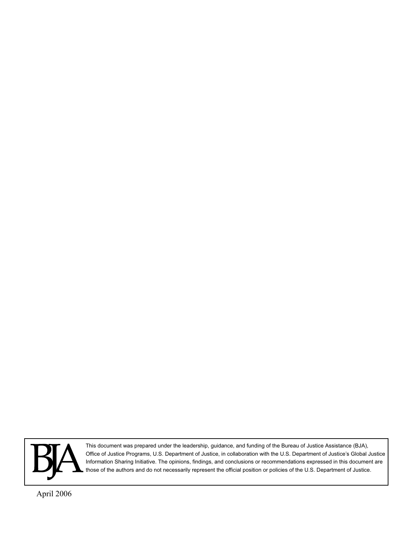

This document was prepared under the leadership, guidance, and funding of the Bureau of Justice Assistance (BJA), Office of Justice Programs, U.S. Department of Justice, in collaboration with the U.S. Department of Justice's Global Justice Information Sharing Initiative. The opinions, findings, and conclusions or recommendations expressed in this document are those of the authors and do not necessarily represent the official position or policies of the U.S. Department of Justice.

April 2006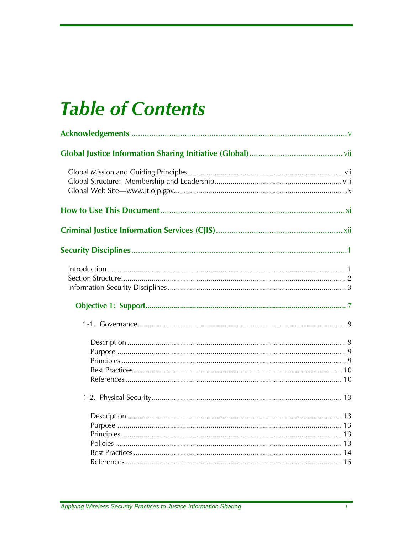## **Table of Contents**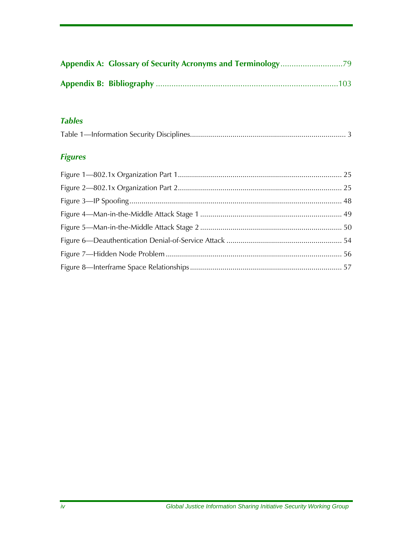#### *Tables*

#### *Figures*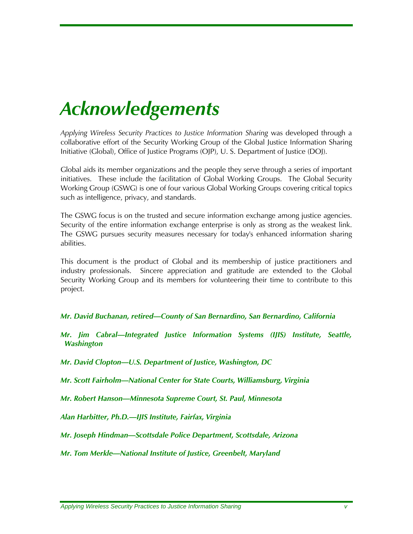## <span id="page-6-0"></span>*Acknowledgements*

*Applying Wireless Security Practices to Justice Information Sharing* was developed through a collaborative effort of the Security Working Group of the Global Justice Information Sharing Initiative (Global), Office of Justice Programs (OJP), U. S. Department of Justice (DOJ).

Global aids its member organizations and the people they serve through a series of important initiatives. These include the facilitation of Global Working Groups. The Global Security Working Group (GSWG) is one of four various Global Working Groups covering critical topics such as intelligence, privacy, and standards.

The GSWG focus is on the trusted and secure information exchange among justice agencies. Security of the entire information exchange enterprise is only as strong as the weakest link. The GSWG pursues security measures necessary for today's enhanced information sharing abilities.

This document is the product of Global and its membership of justice practitioners and industry professionals. Sincere appreciation and gratitude are extended to the Global Security Working Group and its members for volunteering their time to contribute to this project.

#### *Mr. David Buchanan, retired—County of San Bernardino, San Bernardino, California*

*Mr. Jim Cabral—Integrated Justice Information Systems (IJIS) Institute, Seattle, Washington* 

*Mr. David Clopton—U.S. Department of Justice, Washington, DC*

*Mr. Scott Fairholm—National Center for State Courts, Williamsburg, Virginia* 

*Mr. Robert Hanson—Minnesota Supreme Court, St. Paul, Minnesota* 

*Alan Harbitter, Ph.D.—IJIS Institute, Fairfax, Virginia* 

*Mr. Joseph Hindman—Scottsdale Police Department, Scottsdale, Arizona* 

*Mr. Tom Merkle—National Institute of Justice, Greenbelt, Maryland*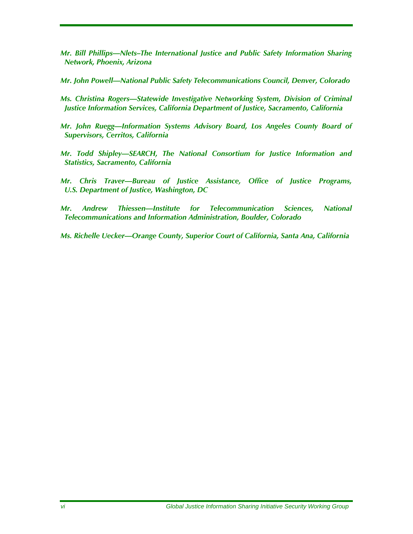- *Mr. Bill Phillips—Nlets–The International Justice and Public Safety Information Sharing Network, Phoenix, Arizona*
- *Mr. John Powell—National Public Safety Telecommunications Council, Denver, Colorado*
- *Ms. Christina Rogers—Statewide Investigative Networking System, Division of Criminal Justice Information Services, California Department of Justice, Sacramento, California*
- *Mr. John Ruegg—Information Systems Advisory Board, Los Angeles County Board of Supervisors, Cerritos, California*
- *Mr. Todd Shipley—SEARCH, The National Consortium for Justice Information and Statistics, Sacramento, California*
- *Mr. Chris Traver—Bureau of Justice Assistance, Office of Justice Programs, U.S. Department of Justice, Washington, DC*
- *Mr. Andrew Thiessen—Institute for Telecommunication Sciences, National Telecommunications and Information Administration, Boulder, Colorado*
- *Ms. Richelle Uecker—Orange County, Superior Court of California, Santa Ana, California*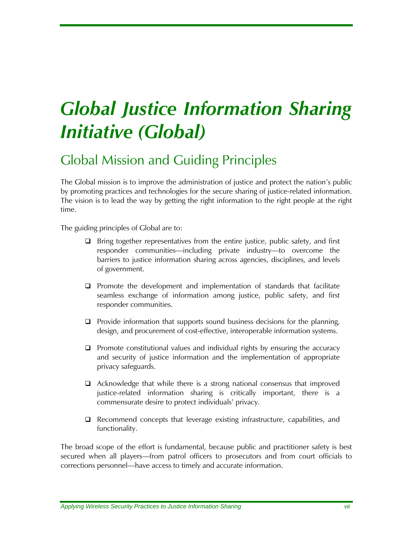## <span id="page-8-0"></span>*Global Justice Information Sharing Initiative (Global)*

## Global Mission and Guiding Principles

The Global mission is to improve the administration of justice and protect the nation's public by promoting practices and technologies for the secure sharing of justice-related information. The vision is to lead the way by getting the right information to the right people at the right time.

The guiding principles of Global are to:

- $\Box$  Bring together representatives from the entire justice, public safety, and first responder communities—including private industry—to overcome the barriers to justice information sharing across agencies, disciplines, and levels of government.
- $\Box$  Promote the development and implementation of standards that facilitate seamless exchange of information among justice, public safety, and first responder communities.
- $\Box$  Provide information that supports sound business decisions for the planning, design, and procurement of cost-effective, interoperable information systems.
- $\Box$  Promote constitutional values and individual rights by ensuring the accuracy and security of justice information and the implementation of appropriate privacy safeguards.
- $\Box$  Acknowledge that while there is a strong national consensus that improved justice-related information sharing is critically important, there is a commensurate desire to protect individuals' privacy.
- Recommend concepts that leverage existing infrastructure, capabilities, and functionality.

The broad scope of the effort is fundamental, because public and practitioner safety is best secured when all players—from patrol officers to prosecutors and from court officials to corrections personnel—have access to timely and accurate information.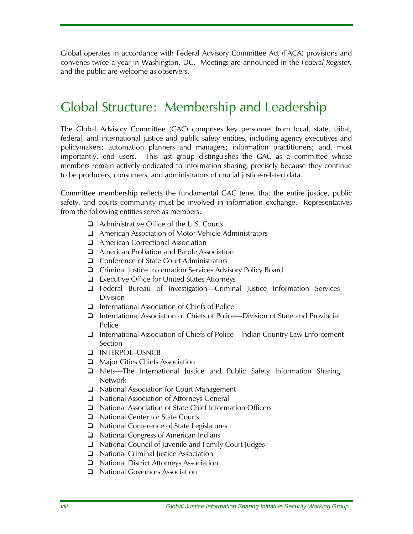<span id="page-9-0"></span>Global operates in accordance with Federal Advisory Committee Act (FACA) provisions and convenes twice a year in Washington, DC. Meetings are announced in the *Federal Register,* and the public are welcome as observers.

## Global Structure: Membership and Leadership

The Global Advisory Committee (GAC) comprises key personnel from local, state, tribal, federal, and international justice and public safety entities, including agency executives and policymakers; automation planners and managers; information practitioners; and, most importantly, end users. This last group distinguishes the GAC as a committee whose members remain actively dedicated to information sharing, precisely because they continue to be producers, consumers, and administrators of crucial justice-related data.

Committee membership reflects the fundamental GAC tenet that the entire justice, public safety, and courts community must be involved in information exchange. Representatives from the following entities serve as members:

- Administrative Office of the U.S. Courts
- American Association of Motor Vehicle Administrators
- **Q** American Correctional Association
- **Q** American Probation and Parole Association
- □ Conference of State Court Administrators
- Criminal Justice Information Services Advisory Policy Board
- Executive Office for United States Attorneys
- Federal Bureau of Investigation—Criminal Justice Information Services Division
- $\Box$  International Association of Chiefs of Police
- International Association of Chiefs of Police—Division of State and Provincial Police
- International Association of Chiefs of Police—Indian Country Law Enforcement Section
- INTERPOL–USNCB
- Major Cities Chiefs Association
- Nlets—The International Justice and Public Safety Information Sharing Network
- □ National Association for Court Management
- National Association of Attorneys General
- National Association of State Chief Information Officers
- National Center for State Courts
- National Conference of State Legislatures
- National Congress of American Indians
- National Council of Juvenile and Family Court Judges
- $\Box$  National Criminal Justice Association
- National District Attorneys Association
- National Governors Association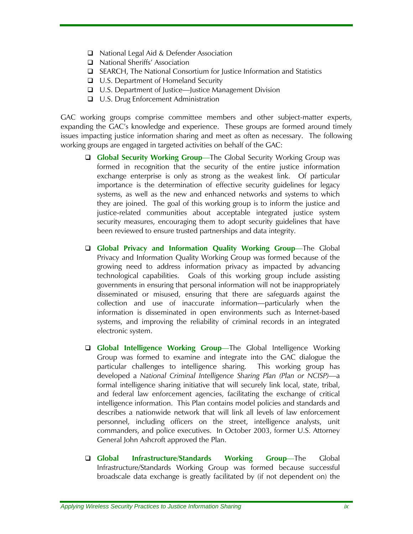- □ National Legal Aid & Defender Association
- □ National Sheriffs' Association
- SEARCH, The National Consortium for Justice Information and Statistics
- □ U.S. Department of Homeland Security
- U.S. Department of Justice—Justice Management Division
- □ U.S. Drug Enforcement Administration

GAC working groups comprise committee members and other subject-matter experts, expanding the GAC's knowledge and experience. These groups are formed around timely issues impacting justice information sharing and meet as often as necessary. The following working groups are engaged in targeted activities on behalf of the GAC:

- **Global Security Working Group**—The Global Security Working Group was formed in recognition that the security of the entire justice information exchange enterprise is only as strong as the weakest link. Of particular importance is the determination of effective security guidelines for legacy systems, as well as the new and enhanced networks and systems to which they are joined. The goal of this working group is to inform the justice and justice-related communities about acceptable integrated justice system security measures, encouraging them to adopt security guidelines that have been reviewed to ensure trusted partnerships and data integrity.
- **Global Privacy and Information Quality Working Group**—The Global Privacy and Information Quality Working Group was formed because of the growing need to address information privacy as impacted by advancing technological capabilities. Goals of this working group include assisting governments in ensuring that personal information will not be inappropriately disseminated or misused, ensuring that there are safeguards against the collection and use of inaccurate information—particularly when the information is disseminated in open environments such as Internet-based systems, and improving the reliability of criminal records in an integrated electronic system.
- **Global Intelligence Working Group**—The Global Intelligence Working Group was formed to examine and integrate into the GAC dialogue the particular challenges to intelligence sharing. This working group has developed a *National Criminal Intelligence Sharing Plan (Plan or NCISP)*—a formal intelligence sharing initiative that will securely link local, state, tribal, and federal law enforcement agencies, facilitating the exchange of critical intelligence information. This Plan contains model policies and standards and describes a nationwide network that will link all levels of law enforcement personnel, including officers on the street, intelligence analysts, unit commanders, and police executives. In October 2003, former U.S. Attorney General John Ashcroft approved the Plan.
- **Global Infrastructure/Standards Working Group**—The Global Infrastructure/Standards Working Group was formed because successful broadscale data exchange is greatly facilitated by (if not dependent on) the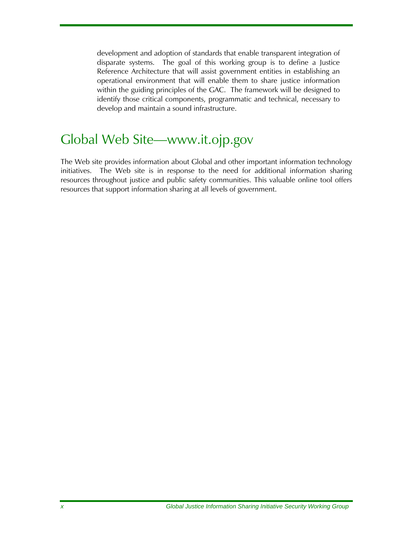<span id="page-11-0"></span>development and adoption of standards that enable transparent integration of disparate systems. The goal of this working group is to define a Justice Reference Architecture that will assist government entities in establishing an operational environment that will enable them to share justice information within the guiding principles of the GAC. The framework will be designed to identify those critical components, programmatic and technical, necessary to develop and maintain a sound infrastructure.

## Global Web Site—www.it.ojp.gov

The Web site provides information about Global and other important information technology initiatives. The Web site is in response to the need for additional information sharing resources throughout justice and public safety communities. This valuable online tool offers resources that support information sharing at all levels of government.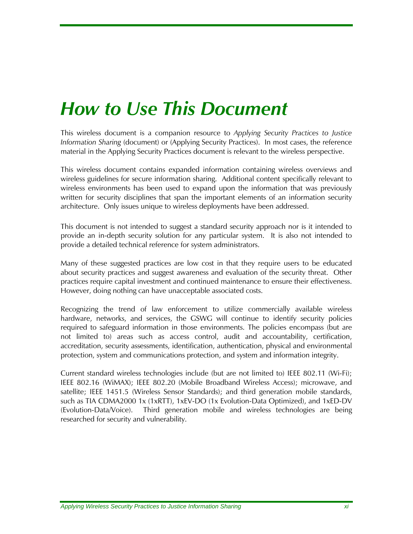## <span id="page-12-0"></span>*How to Use This Document*

This wireless document is a companion resource to *Applying Security Practices to Justice Information Sharing* (document) or (Applying Security Practices). In most cases, the reference material in the Applying Security Practices document is relevant to the wireless perspective.

This wireless document contains expanded information containing wireless overviews and wireless guidelines for secure information sharing. Additional content specifically relevant to wireless environments has been used to expand upon the information that was previously written for security disciplines that span the important elements of an information security architecture. Only issues unique to wireless deployments have been addressed.

This document is not intended to suggest a standard security approach nor is it intended to provide an in-depth security solution for any particular system. It is also not intended to provide a detailed technical reference for system administrators.

Many of these suggested practices are low cost in that they require users to be educated about security practices and suggest awareness and evaluation of the security threat. Other practices require capital investment and continued maintenance to ensure their effectiveness. However, doing nothing can have unacceptable associated costs.

Recognizing the trend of law enforcement to utilize commercially available wireless hardware, networks, and services, the GSWG will continue to identify security policies required to safeguard information in those environments. The policies encompass (but are not limited to) areas such as access control, audit and accountability, certification, accreditation, security assessments, identification, authentication, physical and environmental protection, system and communications protection, and system and information integrity.

Current standard wireless technologies include (but are not limited to) IEEE 802.11 (Wi-Fi); IEEE 802.16 (WiMAX); IEEE 802.20 (Mobile Broadband Wireless Access); microwave, and satellite; IEEE 1451.5 (Wireless Sensor Standards); and third generation mobile standards, such as TIA CDMA2000 1x (1xRTT), 1xEV-DO (1x Evolution-Data Optimized), and 1xED-DV (Evolution-Data/Voice). Third generation mobile and wireless technologies are being researched for security and vulnerability.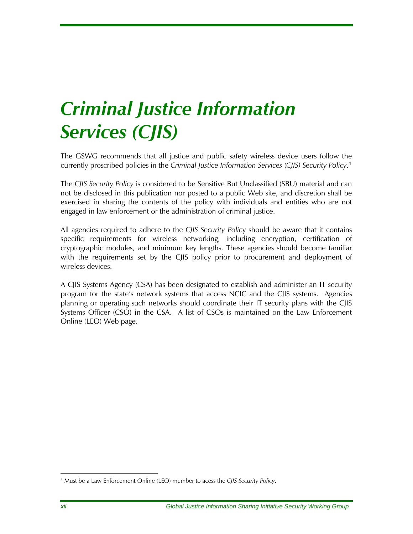## <span id="page-13-0"></span>*Criminal Justice Information Services (CJIS)*

The GSWG recommends that all justice and public safety wireless device users follow the currently proscribed policies in the *Criminal Justice Information Services* (*CJIS) Security Policy*. [1](#page-13-1)

The *CJIS Security Policy* is considered to be Sensitive But Unclassified (SBU) material and can not be disclosed in this publication nor posted to a public Web site, and discretion shall be exercised in sharing the contents of the policy with individuals and entities who are not engaged in law enforcement or the administration of criminal justice.

All agencies required to adhere to the *CJIS Security Polic*y should be aware that it contains specific requirements for wireless networking, including encryption, certification of cryptographic modules, and minimum key lengths. These agencies should become familiar with the requirements set by the CJIS policy prior to procurement and deployment of wireless devices.

A CJIS Systems Agency (CSA) has been designated to establish and administer an IT security program for the state's network systems that access NCIC and the CJIS systems. Agencies planning or operating such networks should coordinate their IT security plans with the CJIS Systems Officer (CSO) in the CSA. A list of CSOs is maintained on the Law Enforcement Online (LEO) Web page.

 $\overline{a}$ 

<span id="page-13-1"></span><sup>&</sup>lt;sup>1</sup> Must be a Law Enforcement Online (LEO) member to acess the CJIS Security Policy.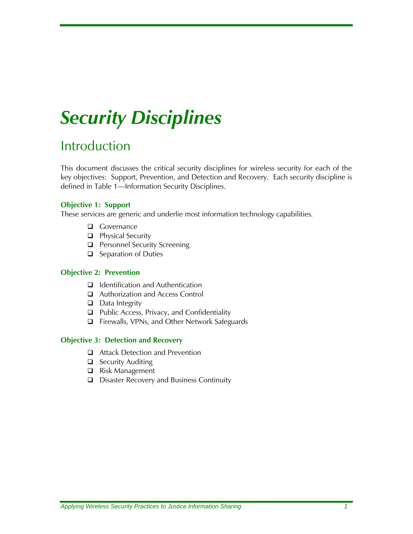## <span id="page-16-0"></span>*Security Disciplines*

## Introduction

This document discusses the critical security disciplines for wireless security for each of the key objectives: Support, Prevention, and Detection and Recovery. Each security discipline is defined in Table 1—Information Security Disciplines.

#### **Objective 1: Support**

These services are generic and underlie most information technology capabilities.

- Governance
- **Physical Security**
- **Personnel Security Screening**
- □ Separation of Duties

#### **Objective 2: Prevention**

- $\Box$  Identification and Authentication
- Authorization and Access Control
- $\Box$  Data Integrity
- □ Public Access, Privacy, and Confidentiality
- Firewalls, VPNs, and Other Network Safeguards

#### **Objective 3: Detection and Recovery**

- Attack Detection and Prevention
- $\Box$  Security Auditing
- Risk Management
- Disaster Recovery and Business Continuity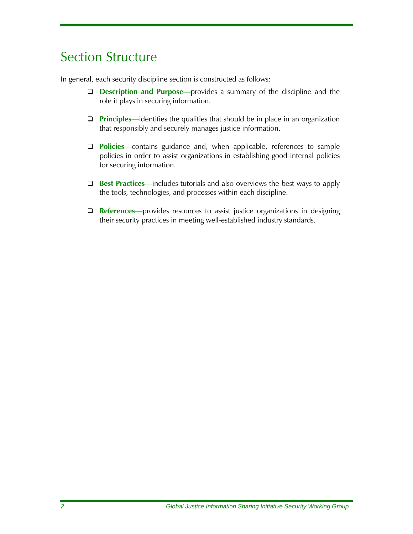## <span id="page-17-0"></span>Section Structure

In general, each security discipline section is constructed as follows:

- **Description and Purpose**—provides a summary of the discipline and the role it plays in securing information.
- **Principles**—identifies the qualities that should be in place in an organization that responsibly and securely manages justice information.
- **Policies**—contains guidance and, when applicable, references to sample policies in order to assist organizations in establishing good internal policies for securing information.
- **Best Practices**—includes tutorials and also overviews the best ways to apply the tools, technologies, and processes within each discipline.
- **References**—provides resources to assist justice organizations in designing their security practices in meeting well-established industry standards.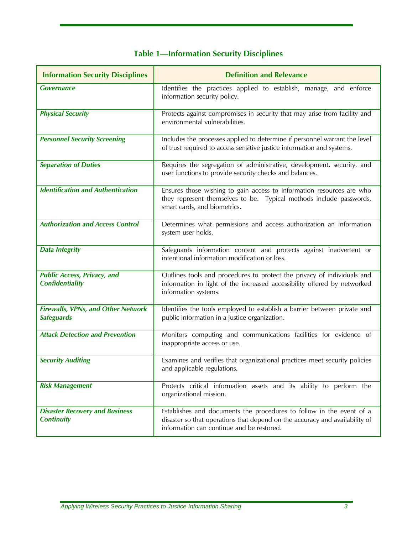| <b>Table 1-Information Security Disciplines</b> |  |  |  |
|-------------------------------------------------|--|--|--|

<span id="page-18-0"></span>

| <b>Information Security Disciplines</b>                        | <b>Definition and Relevance</b>                                                                                                                                                                  |
|----------------------------------------------------------------|--------------------------------------------------------------------------------------------------------------------------------------------------------------------------------------------------|
| <b>Governance</b>                                              | Identifies the practices applied to establish, manage, and enforce<br>information security policy.                                                                                               |
| <b>Physical Security</b>                                       | Protects against compromises in security that may arise from facility and<br>environmental vulnerabilities.                                                                                      |
| <b>Personnel Security Screening</b>                            | Includes the processes applied to determine if personnel warrant the level<br>of trust required to access sensitive justice information and systems.                                             |
| <b>Separation of Duties</b>                                    | Requires the segregation of administrative, development, security, and<br>user functions to provide security checks and balances.                                                                |
| <b>Identification and Authentication</b>                       | Ensures those wishing to gain access to information resources are who<br>they represent themselves to be. Typical methods include passwords,<br>smart cards, and biometrics.                     |
| <b>Authorization and Access Control</b>                        | Determines what permissions and access authorization an information<br>system user holds.                                                                                                        |
| <b>Data Integrity</b>                                          | Safeguards information content and protects against inadvertent or<br>intentional information modification or loss.                                                                              |
| <b>Public Access, Privacy, and</b><br><b>Confidentiality</b>   | Outlines tools and procedures to protect the privacy of individuals and<br>information in light of the increased accessibility offered by networked<br>information systems.                      |
| <b>Firewalls, VPNs, and Other Network</b><br><b>Safeguards</b> | Identifies the tools employed to establish a barrier between private and<br>public information in a justice organization.                                                                        |
| <b>Attack Detection and Prevention</b>                         | Monitors computing and communications facilities for evidence of<br>inappropriate access or use.                                                                                                 |
| <b>Security Auditing</b>                                       | Examines and verifies that organizational practices meet security policies<br>and applicable regulations.                                                                                        |
| <b>Risk Management</b>                                         | Protects critical information assets and its ability to perform the<br>organizational mission.                                                                                                   |
| <b>Disaster Recovery and Business</b><br><b>Continuity</b>     | Establishes and documents the procedures to follow in the event of a<br>disaster so that operations that depend on the accuracy and availability of<br>information can continue and be restored. |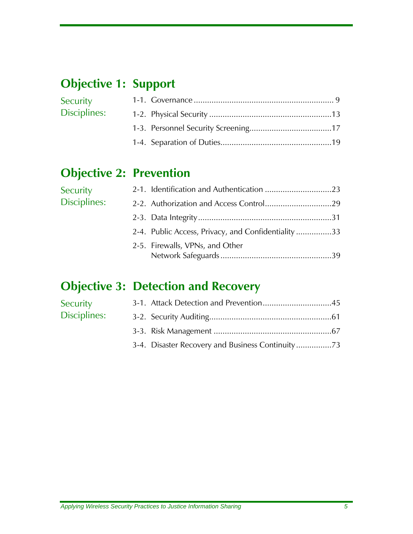## **Objective 1: Support**

| Security     |  |
|--------------|--|
| Disciplines: |  |
|              |  |
|              |  |

### **Objective 2: Prevention**

| Security     |                                                    |  |
|--------------|----------------------------------------------------|--|
| Disciplines: |                                                    |  |
|              |                                                    |  |
|              | 2-4. Public Access, Privacy, and Confidentiality33 |  |
|              | 2-5. Firewalls, VPNs, and Other                    |  |

### **Objective 3: Detection and Recovery**

| Security     |                                                |
|--------------|------------------------------------------------|
| Disciplines: |                                                |
|              |                                                |
|              | 3-4. Disaster Recovery and Business Continuity |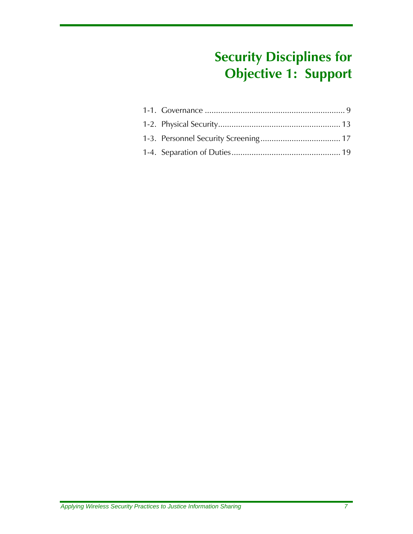## **Security Disciplines for Objective 1: Support**

<span id="page-22-0"></span>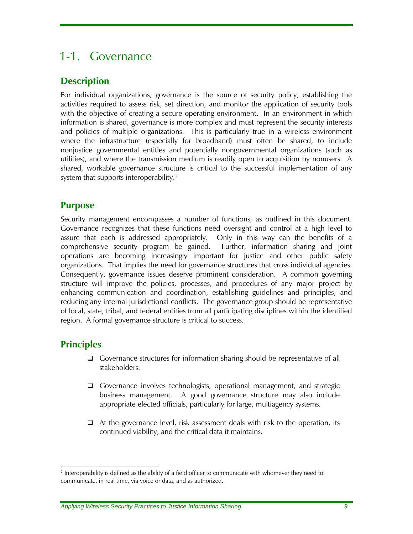### <span id="page-24-0"></span>1-1. Governance

#### **Description**

For individual organizations, governance is the source of security policy, establishing the activities required to assess risk, set direction, and monitor the application of security tools with the objective of creating a secure operating environment. In an environment in which information is shared, governance is more complex and must represent the security interests and policies of multiple organizations. This is particularly true in a wireless environment where the infrastructure (especially for broadband) must often be shared, to include nonjustice governmental entities and potentially nongovernmental organizations (such as utilities), and where the transmission medium is readily open to acquisition by nonusers. A shared, workable governance structure is critical to the successful implementation of any system that supports interoperability.<sup>[2](#page-24-1)</sup>

#### **Purpose**

Security management encompasses a number of functions, as outlined in this document. Governance recognizes that these functions need oversight and control at a high level to assure that each is addressed appropriately. Only in this way can the benefits of a comprehensive security program be gained. Further, information sharing and joint operations are becoming increasingly important for justice and other public safety organizations. That implies the need for governance structures that cross individual agencies. Consequently, governance issues deserve prominent consideration. A common governing structure will improve the policies, processes, and procedures of any major project by enhancing communication and coordination, establishing guidelines and principles, and reducing any internal jurisdictional conflicts. The governance group should be representative of local, state, tribal, and federal entities from all participating disciplines within the identified region. A formal governance structure is critical to success.

#### **Principles**

-

- Governance structures for information sharing should be representative of all stakeholders.
- Governance involves technologists, operational management, and strategic business management. A good governance structure may also include appropriate elected officials, particularly for large, multiagency systems.
- $\Box$  At the governance level, risk assessment deals with risk to the operation, its continued viability, and the critical data it maintains.

<span id="page-24-1"></span><sup>&</sup>lt;sup>2</sup> Interoperability is defined as the ability of a field officer to communicate with whomever they need to communicate, in real time, via voice or data, and as authorized.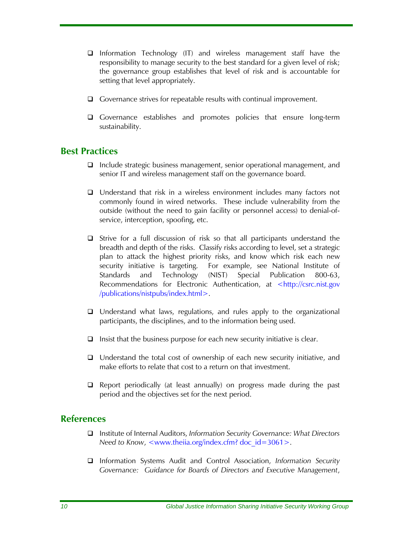- <span id="page-25-0"></span> $\Box$  Information Technology (IT) and wireless management staff have the responsibility to manage security to the best standard for a given level of risk; the governance group establishes that level of risk and is accountable for setting that level appropriately.
- $\Box$  Governance strives for repeatable results with continual improvement.
- Governance establishes and promotes policies that ensure long-term sustainability.

#### **Best Practices**

- $\Box$  Include strategic business management, senior operational management, and senior IT and wireless management staff on the governance board.
- □ Understand that risk in a wireless environment includes many factors not commonly found in wired networks. These include vulnerability from the outside (without the need to gain facility or personnel access) to denial-ofservice, interception, spoofing, etc.
- $\Box$  Strive for a full discussion of risk so that all participants understand the breadth and depth of the risks. Classify risks according to level, set a strategic plan to attack the highest priority risks, and know which risk each new security initiative is targeting. For example, see National Institute of Standards and Technology (NIST) Special Publication 800-63, Recommendations for Electronic Authentication, at <http://csrc.nist.gov /publications/nistpubs/index.html>.
- $\Box$  Understand what laws, regulations, and rules apply to the organizational participants, the disciplines, and to the information being used.
- $\Box$  Insist that the business purpose for each new security initiative is clear.
- $\Box$  Understand the total cost of ownership of each new security initiative, and make efforts to relate that cost to a return on that investment.
- □ Report periodically (at least annually) on progress made during the past period and the objectives set for the next period.

#### **References**

- Institute of Internal Auditors, *Information Security Governance: What Directors Need to Know*, <www.theiia.org/index.cfm? doc\_id=3061>.
- Information Systems Audit and Control Association, *Information Security Governance: Guidance for Boards of Directors and Executive Management*,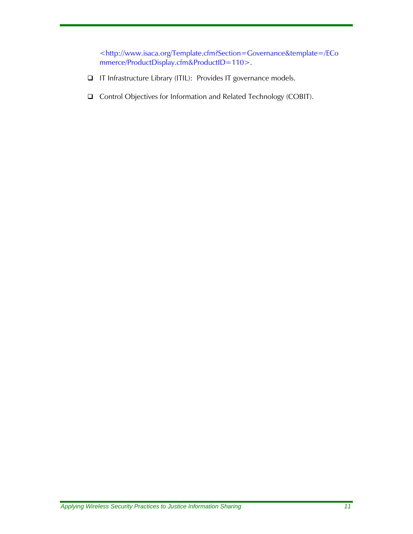<http://www.isaca.org/Template.cfm?Section=Governance&template=/ECo mmerce/ProductDisplay.cfm&ProductID=110>.

- IT Infrastructure Library (ITIL): Provides IT governance models.
- □ Control Objectives for Information and Related Technology (COBIT).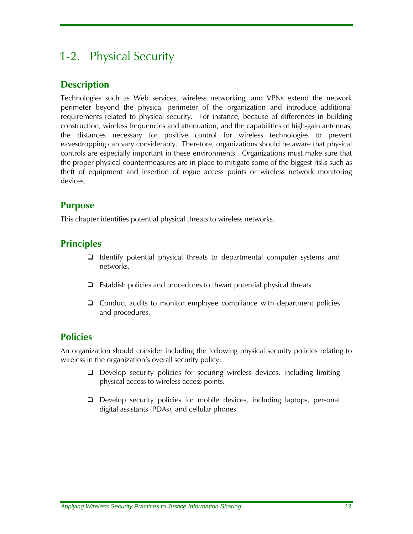### <span id="page-28-0"></span>1-2. Physical Security

#### **Description**

Technologies such as Web services, wireless networking, and VPNs extend the network perimeter beyond the physical perimeter of the organization and introduce additional requirements related to physical security. For instance, because of differences in building construction, wireless frequencies and attenuation, and the capabilities of high-gain antennas, the distances necessary for positive control for wireless technologies to prevent eavesdropping can vary considerably. Therefore, organizations should be aware that physical controls are especially important in these environments. Organizations must make sure that the proper physical countermeasures are in place to mitigate some of the biggest risks such as theft of equipment and insertion of rogue access points or wireless network monitoring devices.

#### **Purpose**

This chapter identifies potential physical threats to wireless networks.

#### **Principles**

- $\Box$  Identify potential physical threats to departmental computer systems and networks.
- $\Box$  Establish policies and procedures to thwart potential physical threats.
- Conduct audits to monitor employee compliance with department policies and procedures.

#### **Policies**

An organization should consider including the following physical security policies relating to wireless in the organization's overall security policy:

- Develop security policies for securing wireless devices, including limiting physical access to wireless access points.
- Develop security policies for mobile devices, including laptops, personal digital assistants (PDAs), and cellular phones.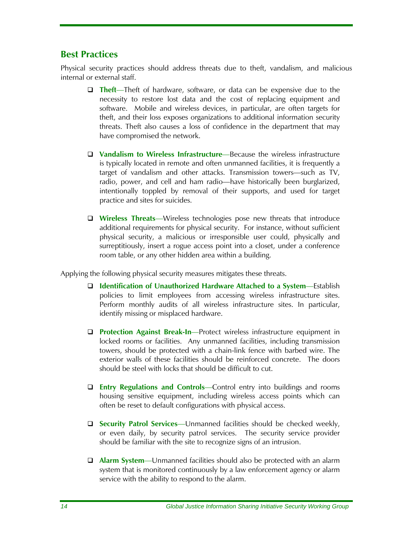#### <span id="page-29-0"></span>**Best Practices**

Physical security practices should address threats due to theft, vandalism, and malicious internal or external staff.

- **Theft**—Theft of hardware, software, or data can be expensive due to the necessity to restore lost data and the cost of replacing equipment and software. Mobile and wireless devices, in particular, are often targets for theft, and their loss exposes organizations to additional information security threats. Theft also causes a loss of confidence in the department that may have compromised the network.
- **Vandalism to Wireless Infrastructure**—Because the wireless infrastructure is typically located in remote and often unmanned facilities, it is frequently a target of vandalism and other attacks. Transmission towers—such as TV, radio, power, and cell and ham radio—have historically been burglarized, intentionally toppled by removal of their supports, and used for target practice and sites for suicides.
- **Wireless Threats**—Wireless technologies pose new threats that introduce additional requirements for physical security. For instance, without sufficient physical security, a malicious or irresponsible user could, physically and surreptitiously, insert a rogue access point into a closet, under a conference room table, or any other hidden area within a building.

Applying the following physical security measures mitigates these threats.

- **Identification of Unauthorized Hardware Attached to a System**—Establish policies to limit employees from accessing wireless infrastructure sites. Perform monthly audits of all wireless infrastructure sites. In particular, identify missing or misplaced hardware.
- **Protection Against Break-In**—Protect wireless infrastructure equipment in locked rooms or facilities. Any unmanned facilities, including transmission towers, should be protected with a chain-link fence with barbed wire. The exterior walls of these facilities should be reinforced concrete. The doors should be steel with locks that should be difficult to cut.
- **Entry Regulations and Controls**—Control entry into buildings and rooms housing sensitive equipment, including wireless access points which can often be reset to default configurations with physical access.
- **Security Patrol Services**—Unmanned facilities should be checked weekly, or even daily, by security patrol services. The security service provider should be familiar with the site to recognize signs of an intrusion.
- **Alarm System**—Unmanned facilities should also be protected with an alarm system that is monitored continuously by a law enforcement agency or alarm service with the ability to respond to the alarm.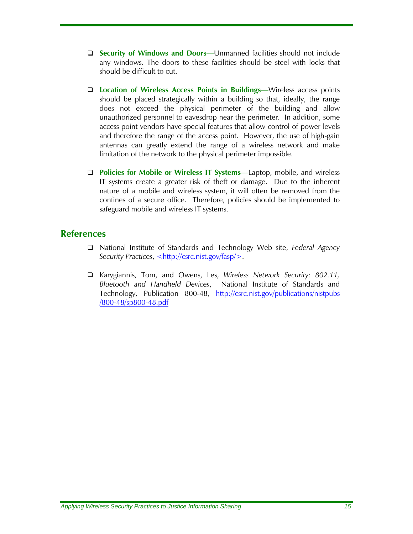- <span id="page-30-0"></span> **Security of Windows and Doors**—Unmanned facilities should not include any windows. The doors to these facilities should be steel with locks that should be difficult to cut.
- **Location of Wireless Access Points in Buildings**—Wireless access points should be placed strategically within a building so that, ideally, the range does not exceed the physical perimeter of the building and allow unauthorized personnel to eavesdrop near the perimeter. In addition, some access point vendors have special features that allow control of power levels and therefore the range of the access point. However, the use of high-gain antennas can greatly extend the range of a wireless network and make limitation of the network to the physical perimeter impossible.
- **Policies for Mobile or Wireless IT Systems**—Laptop, mobile, and wireless IT systems create a greater risk of theft or damage. Due to the inherent nature of a mobile and wireless system, it will often be removed from the confines of a secure office. Therefore, policies should be implemented to safeguard mobile and wireless IT systems.

#### **References**

- National Institute of Standards and Technology Web site, *Federal Agency Security Practices*, <http://csrc.nist.gov/fasp/>.
- Karygiannis, Tom, and Owens, Les, *Wireless Network Security: 802.11, Bluetooth and Handheld Devices*, National Institute of Standards and Technology, Publication 800-48, [http://csrc.nist.gov/publications/nistpubs](http://csrc.nist.gov/publications/nistpubs /800-48/sp800-48.pdf)  [/800-48/sp800-48.pdf](http://csrc.nist.gov/publications/nistpubs /800-48/sp800-48.pdf)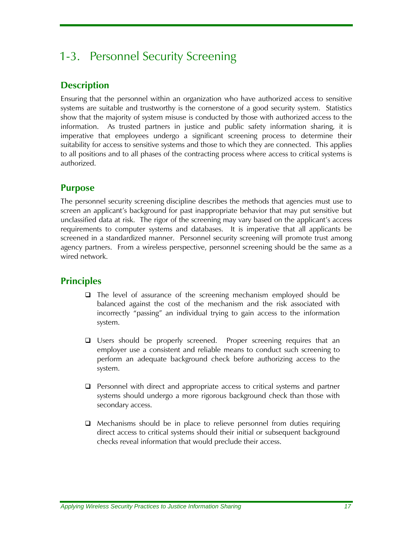### <span id="page-32-0"></span>1-3. Personnel Security Screening

#### **Description**

Ensuring that the personnel within an organization who have authorized access to sensitive systems are suitable and trustworthy is the cornerstone of a good security system. Statistics show that the majority of system misuse is conducted by those with authorized access to the information. As trusted partners in justice and public safety information sharing, it is imperative that employees undergo a significant screening process to determine their suitability for access to sensitive systems and those to which they are connected. This applies to all positions and to all phases of the contracting process where access to critical systems is authorized.

#### **Purpose**

The personnel security screening discipline describes the methods that agencies must use to screen an applicant's background for past inappropriate behavior that may put sensitive but unclassified data at risk. The rigor of the screening may vary based on the applicant's access requirements to computer systems and databases. It is imperative that all applicants be screened in a standardized manner. Personnel security screening will promote trust among agency partners. From a wireless perspective, personnel screening should be the same as a wired network.

#### **Principles**

- $\Box$  The level of assurance of the screening mechanism employed should be balanced against the cost of the mechanism and the risk associated with incorrectly "passing" an individual trying to gain access to the information system.
- Users should be properly screened. Proper screening requires that an employer use a consistent and reliable means to conduct such screening to perform an adequate background check before authorizing access to the system.
- $\Box$  Personnel with direct and appropriate access to critical systems and partner systems should undergo a more rigorous background check than those with secondary access.
- $\Box$  Mechanisms should be in place to relieve personnel from duties requiring direct access to critical systems should their initial or subsequent background checks reveal information that would preclude their access.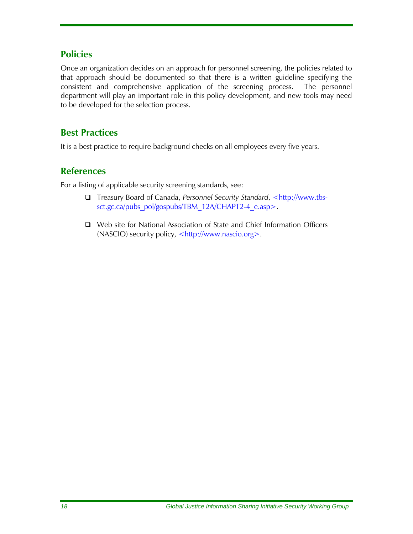#### <span id="page-33-0"></span>**Policies**

Once an organization decides on an approach for personnel screening, the policies related to that approach should be documented so that there is a written guideline specifying the consistent and comprehensive application of the screening process. The personnel department will play an important role in this policy development, and new tools may need to be developed for the selection process.

#### **Best Practices**

It is a best practice to require background checks on all employees every five years.

#### **References**

For a listing of applicable security screening standards, see:

- □ Treasury Board of Canada, Personnel Security Standard, <http://www.tbssct.gc.ca/pubs\_pol/gospubs/TBM\_12A/CHAPT2-4\_e.asp>.
- □ Web site for National Association of State and Chief Information Officers (NASCIO) security policy, <http://www.nascio.org>.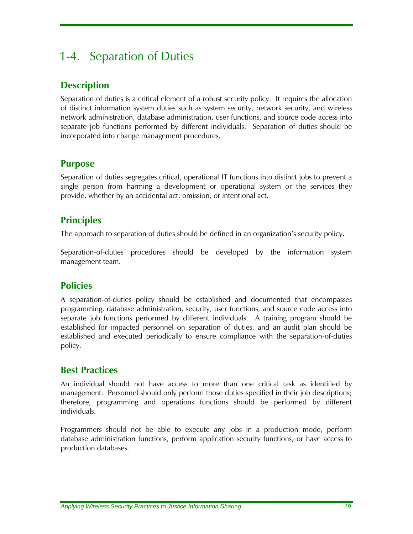### <span id="page-34-0"></span>1-4. Separation of Duties

#### **Description**

Separation of duties is a critical element of a robust security policy. It requires the allocation of distinct information system duties such as system security, network security, and wireless network administration, database administration, user functions, and source code access into separate job functions performed by different individuals. Separation of duties should be incorporated into change management procedures.

#### **Purpose**

Separation of duties segregates critical, operational IT functions into distinct jobs to prevent a single person from harming a development or operational system or the services they provide, whether by an accidental act, omission, or intentional act.

#### **Principles**

The approach to separation of duties should be defined in an organization's security policy.

Separation-of-duties procedures should be developed by the information system management team.

#### **Policies**

A separation-of-duties policy should be established and documented that encompasses programming, database administration, security, user functions, and source code access into separate job functions performed by different individuals. A training program should be established for impacted personnel on separation of duties, and an audit plan should be established and executed periodically to ensure compliance with the separation-of-duties policy.

#### **Best Practices**

An individual should not have access to more than one critical task as identified by management. Personnel should only perform those duties specified in their job descriptions; therefore, programming and operations functions should be performed by different individuals.

Programmers should not be able to execute any jobs in a production mode, perform database administration functions, perform application security functions, or have access to production databases.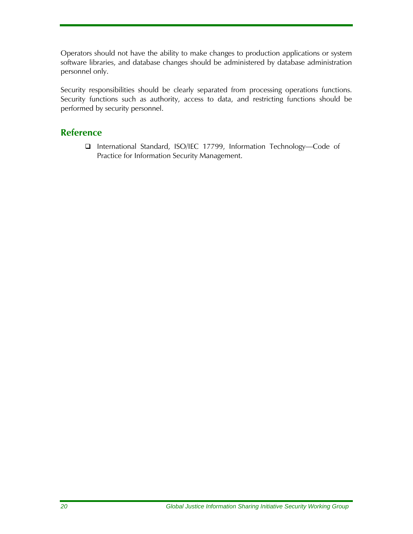<span id="page-35-0"></span>Operators should not have the ability to make changes to production applications or system software libraries, and database changes should be administered by database administration personnel only.

Security responsibilities should be clearly separated from processing operations functions. Security functions such as authority, access to data, and restricting functions should be performed by security personnel.

#### **Reference**

 International Standard, ISO/IEC 17799, Information Technology—Code of Practice for Information Security Management.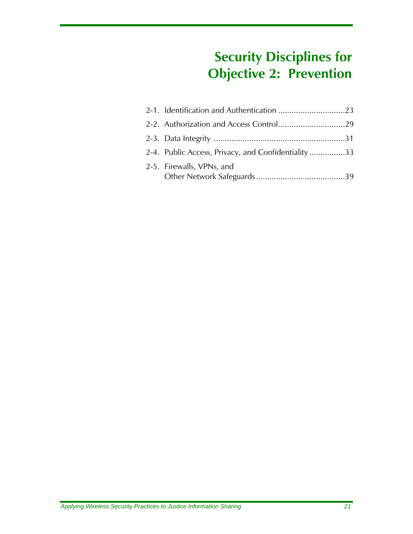# **Security Disciplines for Objective 2: Prevention**

| 2-4. Public Access, Privacy, and Confidentiality33 |  |
|----------------------------------------------------|--|
| 2-5. Firewalls, VPNs, and                          |  |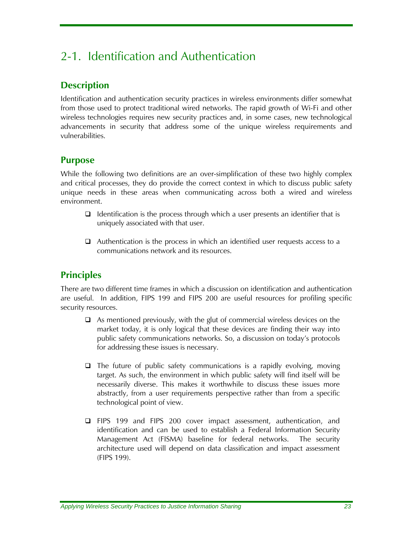# 2-1. Identification and Authentication

## **Description**

Identification and authentication security practices in wireless environments differ somewhat from those used to protect traditional wired networks. The rapid growth of Wi-Fi and other wireless technologies requires new security practices and, in some cases, new technological advancements in security that address some of the unique wireless requirements and vulnerabilities.

#### **Purpose**

While the following two definitions are an over-simplification of these two highly complex and critical processes, they do provide the correct context in which to discuss public safety unique needs in these areas when communicating across both a wired and wireless environment.

- $\Box$  Identification is the process through which a user presents an identifier that is uniquely associated with that user.
- $\Box$  Authentication is the process in which an identified user requests access to a communications network and its resources.

# **Principles**

There are two different time frames in which a discussion on identification and authentication are useful. In addition, FIPS 199 and FIPS 200 are useful resources for profiling specific security resources.

- $\Box$  As mentioned previously, with the glut of commercial wireless devices on the market today, it is only logical that these devices are finding their way into public safety communications networks. So, a discussion on today's protocols for addressing these issues is necessary.
- $\Box$  The future of public safety communications is a rapidly evolving, moving target. As such, the environment in which public safety will find itself will be necessarily diverse. This makes it worthwhile to discuss these issues more abstractly, from a user requirements perspective rather than from a specific technological point of view.
- FIPS 199 and FIPS 200 cover impact assessment, authentication, and identification and can be used to establish a Federal Information Security Management Act (FISMA) baseline for federal networks. The security architecture used will depend on data classification and impact assessment (FIPS 199).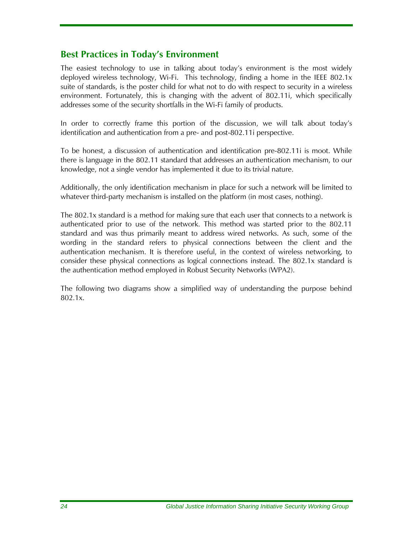#### **Best Practices in Today's Environment**

The easiest technology to use in talking about today's environment is the most widely deployed wireless technology, Wi-Fi. This technology, finding a home in the IEEE 802.1x suite of standards, is the poster child for what not to do with respect to security in a wireless environment. Fortunately, this is changing with the advent of 802.11i, which specifically addresses some of the security shortfalls in the Wi-Fi family of products.

In order to correctly frame this portion of the discussion, we will talk about today's identification and authentication from a pre- and post-802.11i perspective.

To be honest, a discussion of authentication and identification pre-802.11i is moot. While there is language in the 802.11 standard that addresses an authentication mechanism, to our knowledge, not a single vendor has implemented it due to its trivial nature.

Additionally, the only identification mechanism in place for such a network will be limited to whatever third-party mechanism is installed on the platform (in most cases, nothing).

The 802.1x standard is a method for making sure that each user that connects to a network is authenticated prior to use of the network. This method was started prior to the 802.11 standard and was thus primarily meant to address wired networks. As such, some of the wording in the standard refers to physical connections between the client and the authentication mechanism. It is therefore useful, in the context of wireless networking, to consider these physical connections as logical connections instead. The 802.1x standard is the authentication method employed in Robust Security Networks (WPA2).

The following two diagrams show a simplified way of understanding the purpose behind 802.1x.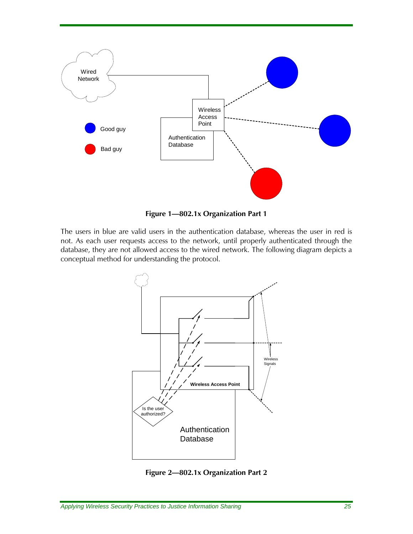

**Figure 1—802.1x Organization Part 1** 

The users in blue are valid users in the authentication database, whereas the user in red is not. As each user requests access to the network, until properly authenticated through the database, they are not allowed access to the wired network. The following diagram depicts a conceptual method for understanding the protocol.



**Figure 2—802.1x Organization Part 2**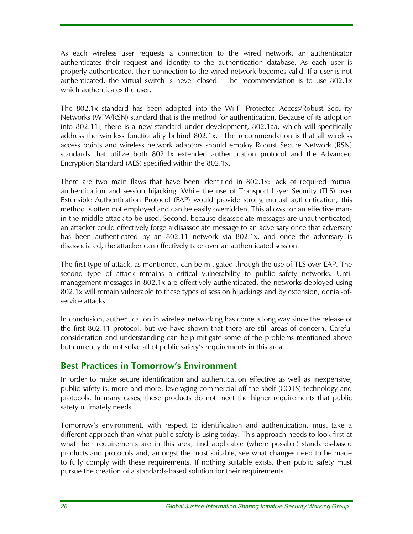As each wireless user requests a connection to the wired network, an authenticator authenticates their request and identity to the authentication database. As each user is properly authenticated, their connection to the wired network becomes valid. If a user is not authenticated, the virtual switch is never closed. The recommendation is to use 802.1x which authenticates the user.

The 802.1x standard has been adopted into the Wi-Fi Protected Access/Robust Security Networks (WPA/RSN) standard that is the method for authentication. Because of its adoption into 802.11i, there is a new standard under development, 802.1aa, which will specifically address the wireless functionality behind 802.1x. The recommendation is that all wireless access points and wireless network adaptors should employ Robust Secure Network (RSN) standards that utilize both 802.1x extended authentication protocol and the Advanced Encryption Standard (AES) specified within the 802.1x.

There are two main flaws that have been identified in 802.1x: lack of required mutual authentication and session hijacking. While the use of Transport Layer Security (TLS) over Extensible Authentication Protocol (EAP) would provide strong mutual authentication, this method is often not employed and can be easily overridden. This allows for an effective manin-the-middle attack to be used. Second, because disassociate messages are unauthenticated, an attacker could effectively forge a disassociate message to an adversary once that adversary has been authenticated by an 802.11 network via 802.1x, and once the adversary is disassociated, the attacker can effectively take over an authenticated session.

The first type of attack, as mentioned, can be mitigated through the use of TLS over EAP. The second type of attack remains a critical vulnerability to public safety networks. Until management messages in 802.1x are effectively authenticated, the networks deployed using 802.1x will remain vulnerable to these types of session hijackings and by extension, denial-ofservice attacks.

In conclusion, authentication in wireless networking has come a long way since the release of the first 802.11 protocol, but we have shown that there are still areas of concern. Careful consideration and understanding can help mitigate some of the problems mentioned above but currently do not solve all of public safety's requirements in this area.

### **Best Practices in Tomorrow's Environment**

In order to make secure identification and authentication effective as well as inexpensive, public safety is, more and more, leveraging commercial-off-the-shelf (COTS) technology and protocols. In many cases, these products do not meet the higher requirements that public safety ultimately needs.

Tomorrow's environment, with respect to identification and authentication, must take a different approach than what public safety is using today. This approach needs to look first at what their requirements are in this area, find applicable (where possible) standards-based products and protocols and, amongst the most suitable, see what changes need to be made to fully comply with these requirements. If nothing suitable exists, then public safety must pursue the creation of a standards-based solution for their requirements.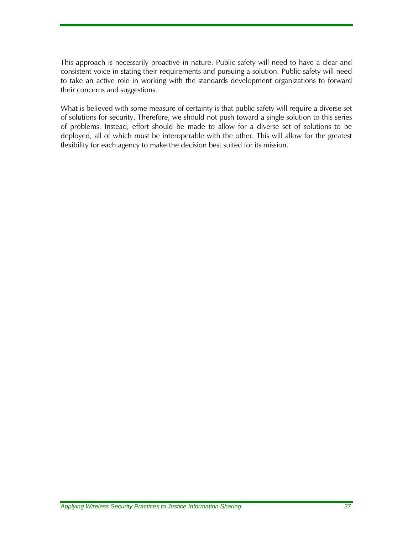This approach is necessarily proactive in nature. Public safety will need to have a clear and consistent voice in stating their requirements and pursuing a solution. Public safety will need to take an active role in working with the standards development organizations to forward their concerns and suggestions.

What is believed with some measure of certainty is that public safety will require a diverse set of solutions for security. Therefore, we should not push toward a single solution to this series of problems. Instead, effort should be made to allow for a diverse set of solutions to be deployed, all of which must be interoperable with the other. This will allow for the greatest flexibility for each agency to make the decision best suited for its mission.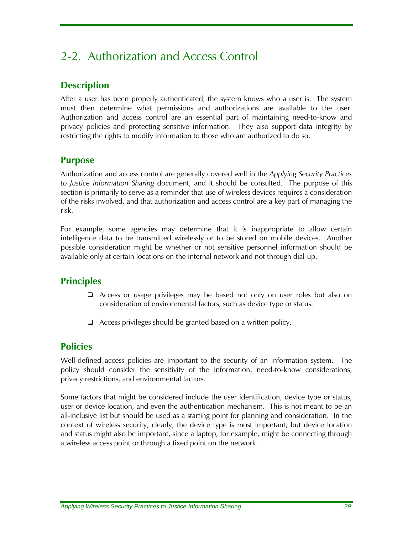# 2-2. Authorization and Access Control

## **Description**

After a user has been properly authenticated, the system knows who a user is. The system must then determine what permissions and authorizations are available to the user. Authorization and access control are an essential part of maintaining need-to-know and privacy policies and protecting sensitive information. They also support data integrity by restricting the rights to modify information to those who are authorized to do so.

#### **Purpose**

Authorization and access control are generally covered well in the *Applying Security Practices to Justice Information Sharing* document, and it should be consulted. The purpose of this section is primarily to serve as a reminder that use of wireless devices requires a consideration of the risks involved, and that authorization and access control are a key part of managing the risk.

For example, some agencies may determine that it is inappropriate to allow certain intelligence data to be transmitted wirelessly or to be stored on mobile devices. Another possible consideration might be whether or not sensitive personnel information should be available only at certain locations on the internal network and not through dial-up.

## **Principles**

- Access or usage privileges may be based not only on user roles but also on consideration of environmental factors, such as device type or status.
- □ Access privileges should be granted based on a written policy.

### **Policies**

Well-defined access policies are important to the security of an information system. The policy should consider the sensitivity of the information, need-to-know considerations, privacy restrictions, and environmental factors.

Some factors that might be considered include the user identification, device type or status, user or device location, and even the authentication mechanism. This is not meant to be an all-inclusive list but should be used as a starting point for planning and consideration. In the context of wireless security, clearly, the device type is most important, but device location and status might also be important, since a laptop, for example, might be connecting through a wireless access point or through a fixed point on the network.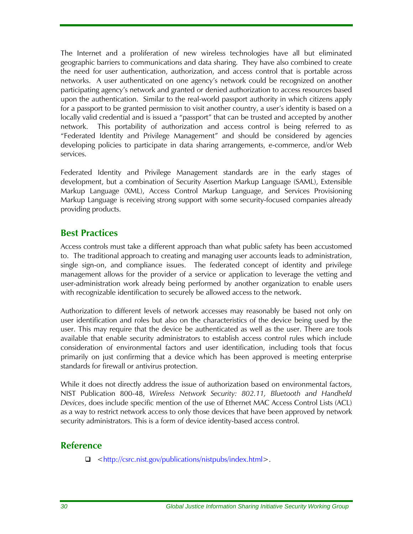The Internet and a proliferation of new wireless technologies have all but eliminated geographic barriers to communications and data sharing. They have also combined to create the need for user authentication, authorization, and access control that is portable across networks. A user authenticated on one agency's network could be recognized on another participating agency's network and granted or denied authorization to access resources based upon the authentication. Similar to the real-world passport authority in which citizens apply for a passport to be granted permission to visit another country, a user's identity is based on a locally valid credential and is issued a "passport" that can be trusted and accepted by another network. This portability of authorization and access control is being referred to as "Federated Identity and Privilege Management" and should be considered by agencies developing policies to participate in data sharing arrangements, e-commerce, and/or Web services.

Federated Identity and Privilege Management standards are in the early stages of development, but a combination of Security Assertion Markup Language (SAML), Extensible Markup Language (XML), Access Control Markup Language, and Services Provisioning Markup Language is receiving strong support with some security-focused companies already providing products.

#### **Best Practices**

Access controls must take a different approach than what public safety has been accustomed to. The traditional approach to creating and managing user accounts leads to administration, single sign-on, and compliance issues. The federated concept of identity and privilege management allows for the provider of a service or application to leverage the vetting and user-administration work already being performed by another organization to enable users with recognizable identification to securely be allowed access to the network.

Authorization to different levels of network accesses may reasonably be based not only on user identification and roles but also on the characteristics of the device being used by the user. This may require that the device be authenticated as well as the user. There are tools available that enable security administrators to establish access control rules which include consideration of environmental factors and user identification, including tools that focus primarily on just confirming that a device which has been approved is meeting enterprise standards for firewall or antivirus protection.

While it does not directly address the issue of authorization based on environmental factors, NIST Publication 800-48, *Wireless Network Security: 802.11, Bluetooth and Handheld Devices*, does include specific mention of the use of Ethernet MAC Access Control Lists (ACL) as a way to restrict network access to only those devices that have been approved by network security administrators. This is a form of device identity-based access control.

#### **Reference**

[<http://csrc.nist.gov/publications/nistpubs/index.html>](http://csrc.nist.gov/publications/nistpubs/index.html).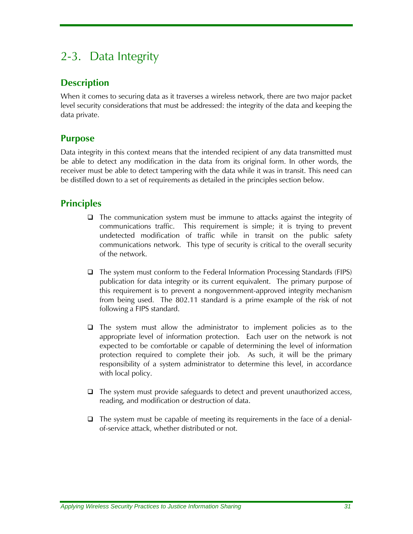# 2-3. Data Integrity

## **Description**

When it comes to securing data as it traverses a wireless network, there are two major packet level security considerations that must be addressed: the integrity of the data and keeping the data private.

### **Purpose**

Data integrity in this context means that the intended recipient of any data transmitted must be able to detect any modification in the data from its original form. In other words, the receiver must be able to detect tampering with the data while it was in transit. This need can be distilled down to a set of requirements as detailed in the principles section below.

## **Principles**

- $\Box$  The communication system must be immune to attacks against the integrity of communications traffic. This requirement is simple; it is trying to prevent undetected modification of traffic while in transit on the public safety communications network. This type of security is critical to the overall security of the network.
- $\Box$  The system must conform to the Federal Information Processing Standards (FIPS) publication for data integrity or its current equivalent. The primary purpose of this requirement is to prevent a nongovernment-approved integrity mechanism from being used. The 802.11 standard is a prime example of the risk of not following a FIPS standard.
- $\Box$  The system must allow the administrator to implement policies as to the appropriate level of information protection. Each user on the network is not expected to be comfortable or capable of determining the level of information protection required to complete their job. As such, it will be the primary responsibility of a system administrator to determine this level, in accordance with local policy.
- $\Box$  The system must provide safeguards to detect and prevent unauthorized access, reading, and modification or destruction of data.
- $\Box$  The system must be capable of meeting its requirements in the face of a denialof-service attack, whether distributed or not.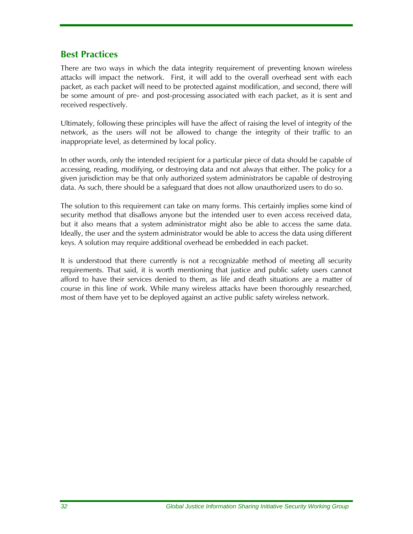### **Best Practices**

There are two ways in which the data integrity requirement of preventing known wireless attacks will impact the network. First, it will add to the overall overhead sent with each packet, as each packet will need to be protected against modification, and second, there will be some amount of pre- and post-processing associated with each packet, as it is sent and received respectively.

Ultimately, following these principles will have the affect of raising the level of integrity of the network, as the users will not be allowed to change the integrity of their traffic to an inappropriate level, as determined by local policy.

In other words, only the intended recipient for a particular piece of data should be capable of accessing, reading, modifying, or destroying data and not always that either. The policy for a given jurisdiction may be that only authorized system administrators be capable of destroying data. As such, there should be a safeguard that does not allow unauthorized users to do so.

The solution to this requirement can take on many forms. This certainly implies some kind of security method that disallows anyone but the intended user to even access received data, but it also means that a system administrator might also be able to access the same data. Ideally, the user and the system administrator would be able to access the data using different keys. A solution may require additional overhead be embedded in each packet.

It is understood that there currently is not a recognizable method of meeting all security requirements. That said, it is worth mentioning that justice and public safety users cannot afford to have their services denied to them, as life and death situations are a matter of course in this line of work. While many wireless attacks have been thoroughly researched, most of them have yet to be deployed against an active public safety wireless network.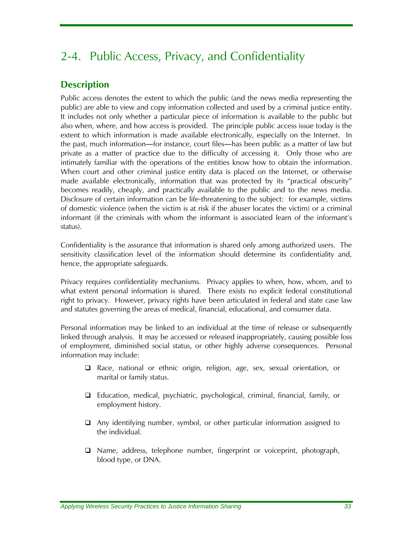# 2-4. Public Access, Privacy, and Confidentiality

# **Description**

Public access denotes the extent to which the public (and the news media representing the public) are able to view and copy information collected and used by a criminal justice entity. It includes not only whether a particular piece of information is available to the public but also when, where, and how access is provided. The principle public access issue today is the extent to which information is made available electronically, especially on the Internet. In the past, much information―for instance, court files―has been public as a matter of law but private as a matter of practice due to the difficulty of accessing it. Only those who are intimately familiar with the operations of the entities know how to obtain the information. When court and other criminal justice entity data is placed on the Internet, or otherwise made available electronically, information that was protected by its "practical obscurity" becomes readily, cheaply, and practically available to the public and to the news media. Disclosure of certain information can be life-threatening to the subject: for example, victims of domestic violence (when the victim is at risk if the abuser locates the victim) or a criminal informant (if the criminals with whom the informant is associated learn of the informant's status).

Confidentiality is the assurance that information is shared only among authorized users. The sensitivity classification level of the information should determine its confidentiality and, hence, the appropriate safeguards.

Privacy requires confidentiality mechanisms. Privacy applies to when, how, whom, and to what extent personal information is shared. There exists no explicit federal constitutional right to privacy. However, privacy rights have been articulated in federal and state case law and statutes governing the areas of medical, financial, educational, and consumer data.

Personal information may be linked to an individual at the time of release or subsequently linked through analysis. It may be accessed or released inappropriately, causing possible loss of employment, diminished social status, or other highly adverse consequences. Personal information may include:

- Race, national or ethnic origin, religion, age, sex, sexual orientation, or marital or family status.
- Education, medical, psychiatric, psychological, criminal, financial, family, or employment history.
- Any identifying number, symbol, or other particular information assigned to the individual.
- $\Box$  Name, address, telephone number, fingerprint or voiceprint, photograph, blood type, or DNA.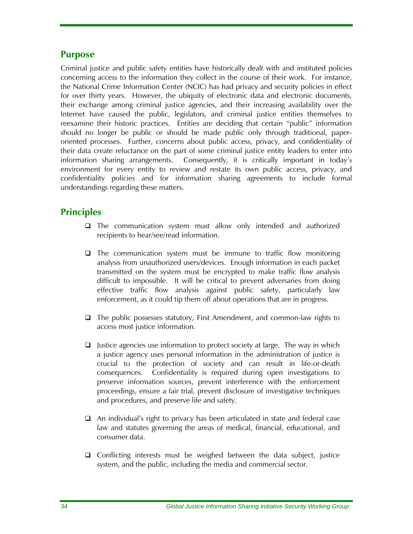#### **Purpose**

Criminal justice and public safety entities have historically dealt with and instituted policies concerning access to the information they collect in the course of their work. For instance, the National Crime Information Center (NCIC) has had privacy and security policies in effect for over thirty years. However, the ubiquity of electronic data and electronic documents, their exchange among criminal justice agencies, and their increasing availability over the Internet have caused the public, legislators, and criminal justice entities themselves to reexamine their historic practices. Entities are deciding that certain "public" information should no longer be public or should be made public only through traditional, paperoriented processes. Further, concerns about public access, privacy, and confidentiality of their data create reluctance on the part of some criminal justice entity leaders to enter into information sharing arrangements. Consequently, it is critically important in today's environment for every entity to review and restate its own public access, privacy, and confidentiality policies and for information sharing agreements to include formal understandings regarding these matters.

## **Principles**

- The communication system must allow only intended and authorized recipients to hear/see/read information.
- $\Box$  The communication system must be immune to traffic flow monitoring analysis from unauthorized users/devices. Enough information in each packet transmitted on the system must be encrypted to make traffic flow analysis difficult to impossible. It will be critical to prevent adversaries from doing effective traffic flow analysis against public safety, particularly law enforcement, as it could tip them off about operations that are in progress.
- $\Box$  The public possesses statutory, First Amendment, and common-law rights to access most justice information.
- $\Box$  Justice agencies use information to protect society at large. The way in which a justice agency uses personal information in the administration of justice is crucial to the protection of society and can result in life-or-death consequences. Confidentiality is required during open investigations to preserve information sources, prevent interference with the enforcement proceedings, ensure a fair trial, prevent disclosure of investigative techniques and procedures, and preserve life and safety.
- An individual's right to privacy has been articulated in state and federal case law and statutes governing the areas of medical, financial, educational, and consumer data.
- □ Conflicting interests must be weighed between the data subject, justice system, and the public, including the media and commercial sector.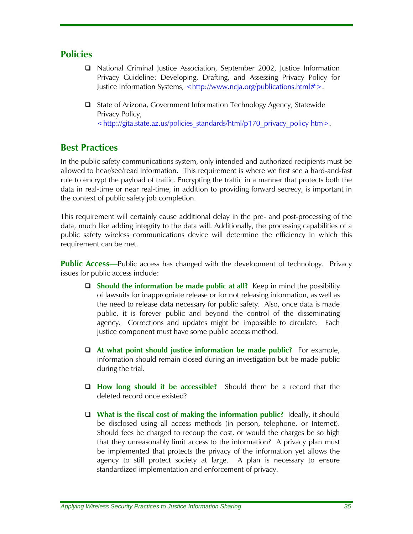#### **Policies**

- National Criminal Justice Association, September 2002, Justice Information Privacy Guideline: Developing, Drafting, and Assessing Privacy Policy for Justice Information Systems, <http://www.ncja.org/publications.html#>.
- State of Arizona, Government Information Technology Agency, Statewide Privacy Policy, [<http://gita.state.az.us/policies\\_standards/html/p170\\_privacy\\_policy](http://gita.state.az.us/policies_standards/html/p170_privacy_policy) htm>.

### **Best Practices**

In the public safety communications system, only intended and authorized recipients must be allowed to hear/see/read information. This requirement is where we first see a hard-and-fast rule to encrypt the payload of traffic. Encrypting the traffic in a manner that protects both the data in real-time or near real-time, in addition to providing forward secrecy, is important in the context of public safety job completion.

This requirement will certainly cause additional delay in the pre- and post-processing of the data, much like adding integrity to the data will. Additionally, the processing capabilities of a public safety wireless communications device will determine the efficiency in which this requirement can be met.

**Public Access**—Public access has changed with the development of technology. Privacy issues for public access include:

- **Should the information be made public at all?** Keep in mind the possibility of lawsuits for inappropriate release or for not releasing information, as well as the need to release data necessary for public safety. Also, once data is made public, it is forever public and beyond the control of the disseminating agency. Corrections and updates might be impossible to circulate. Each justice component must have some public access method.
- **At what point should justice information be made public?** For example, information should remain closed during an investigation but be made public during the trial.
- **How long should it be accessible?** Should there be a record that the deleted record once existed?
- **What is the fiscal cost of making the information public?** Ideally, it should be disclosed using all access methods (in person, telephone, or Internet). Should fees be charged to recoup the cost, or would the charges be so high that they unreasonably limit access to the information? A privacy plan must be implemented that protects the privacy of the information yet allows the agency to still protect society at large. A plan is necessary to ensure standardized implementation and enforcement of privacy.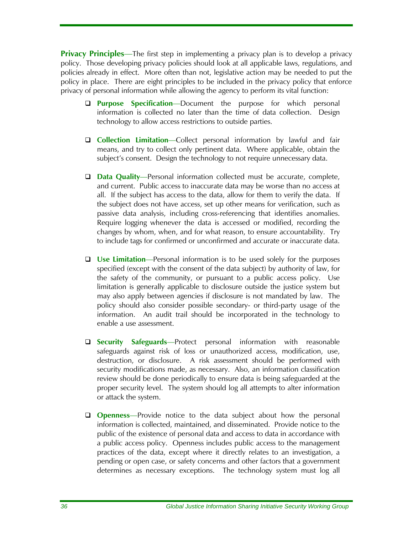**Privacy Principles**—The first step in implementing a privacy plan is to develop a privacy policy. Those developing privacy policies should look at all applicable laws, regulations, and policies already in effect. More often than not, legislative action may be needed to put the policy in place. There are eight principles to be included in the privacy policy that enforce privacy of personal information while allowing the agency to perform its vital function:

- **Purpose Specification**—Document the purpose for which personal information is collected no later than the time of data collection. Design technology to allow access restrictions to outside parties.
- **Collection Limitation**—Collect personal information by lawful and fair means, and try to collect only pertinent data. Where applicable, obtain the subject's consent. Design the technology to not require unnecessary data.
- □ **Data Quality**—Personal information collected must be accurate, complete, and current. Public access to inaccurate data may be worse than no access at all. If the subject has access to the data, allow for them to verify the data. If the subject does not have access, set up other means for verification, such as passive data analysis, including cross-referencing that identifies anomalies. Require logging whenever the data is accessed or modified, recording the changes by whom, when, and for what reason, to ensure accountability. Try to include tags for confirmed or unconfirmed and accurate or inaccurate data.
- **Use Limitation**—Personal information is to be used solely for the purposes specified (except with the consent of the data subject) by authority of law, for the safety of the community, or pursuant to a public access policy. Use limitation is generally applicable to disclosure outside the justice system but may also apply between agencies if disclosure is not mandated by law. The policy should also consider possible secondary- or third-party usage of the information. An audit trail should be incorporated in the technology to enable a use assessment.
- **Security Safeguards**—Protect personal information with reasonable safeguards against risk of loss or unauthorized access, modification, use, destruction, or disclosure. A risk assessment should be performed with security modifications made, as necessary. Also, an information classification review should be done periodically to ensure data is being safeguarded at the proper security level. The system should log all attempts to alter information or attack the system.
- **Q** Openness—Provide notice to the data subject about how the personal information is collected, maintained, and disseminated. Provide notice to the public of the existence of personal data and access to data in accordance with a public access policy. Openness includes public access to the management practices of the data, except where it directly relates to an investigation, a pending or open case, or safety concerns and other factors that a government determines as necessary exceptions. The technology system must log all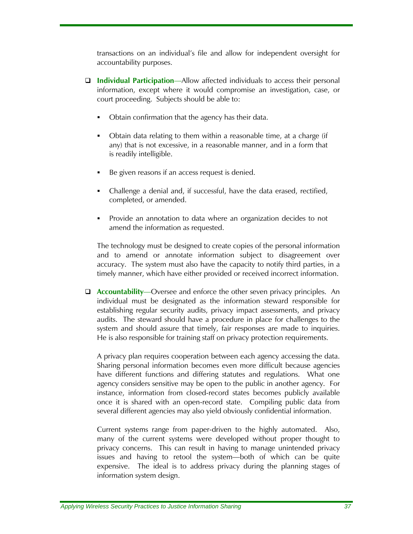transactions on an individual's file and allow for independent oversight for accountability purposes.

- **Individual Participation**—Allow affected individuals to access their personal information, except where it would compromise an investigation, case, or court proceeding. Subjects should be able to:
	- Obtain confirmation that the agency has their data.
	- Obtain data relating to them within a reasonable time, at a charge (if any) that is not excessive, in a reasonable manner, and in a form that is readily intelligible.
	- Be given reasons if an access request is denied.
	- Challenge a denial and, if successful, have the data erased, rectified, completed, or amended.
	- Provide an annotation to data where an organization decides to not amend the information as requested.

The technology must be designed to create copies of the personal information and to amend or annotate information subject to disagreement over accuracy. The system must also have the capacity to notify third parties, in a timely manner, which have either provided or received incorrect information.

 **Accountability**—Oversee and enforce the other seven privacy principles. An individual must be designated as the information steward responsible for establishing regular security audits, privacy impact assessments, and privacy audits. The steward should have a procedure in place for challenges to the system and should assure that timely, fair responses are made to inquiries. He is also responsible for training staff on privacy protection requirements.

A privacy plan requires cooperation between each agency accessing the data. Sharing personal information becomes even more difficult because agencies have different functions and differing statutes and regulations. What one agency considers sensitive may be open to the public in another agency. For instance, information from closed-record states becomes publicly available once it is shared with an open-record state. Compiling public data from several different agencies may also yield obviously confidential information.

Current systems range from paper-driven to the highly automated. Also, many of the current systems were developed without proper thought to privacy concerns. This can result in having to manage unintended privacy issues and having to retool the system—both of which can be quite expensive. The ideal is to address privacy during the planning stages of information system design.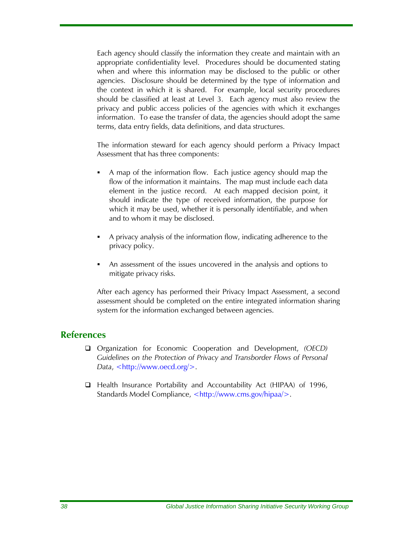Each agency should classify the information they create and maintain with an appropriate confidentiality level. Procedures should be documented stating when and where this information may be disclosed to the public or other agencies. Disclosure should be determined by the type of information and the context in which it is shared. For example, local security procedures should be classified at least at Level 3. Each agency must also review the privacy and public access policies of the agencies with which it exchanges information. To ease the transfer of data, the agencies should adopt the same terms, data entry fields, data definitions, and data structures.

The information steward for each agency should perform a Privacy Impact Assessment that has three components:

- A map of the information flow. Each justice agency should map the flow of the information it maintains. The map must include each data element in the justice record. At each mapped decision point, it should indicate the type of received information, the purpose for which it may be used, whether it is personally identifiable, and when and to whom it may be disclosed.
- A privacy analysis of the information flow, indicating adherence to the privacy policy.
- An assessment of the issues uncovered in the analysis and options to mitigate privacy risks.

After each agency has performed their Privacy Impact Assessment, a second assessment should be completed on the entire integrated information sharing system for the information exchanged between agencies.

#### **References**

- Organization for Economic Cooperation and Development, *(OECD) Guidelines on the Protection of Privacy and Transborder Flows of Personal Data*, <http://www.oecd.org/>.
- □ Health Insurance Portability and Accountability Act (HIPAA) of 1996, Standards Model Compliance, <http://www.cms.gov/hipaa/>.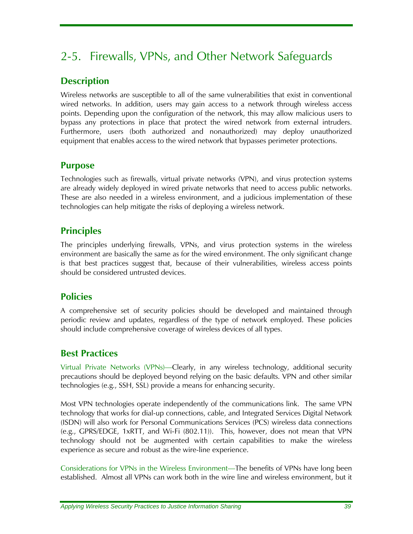# 2-5. Firewalls, VPNs, and Other Network Safeguards

## **Description**

Wireless networks are susceptible to all of the same vulnerabilities that exist in conventional wired networks. In addition, users may gain access to a network through wireless access points. Depending upon the configuration of the network, this may allow malicious users to bypass any protections in place that protect the wired network from external intruders. Furthermore, users (both authorized and nonauthorized) may deploy unauthorized equipment that enables access to the wired network that bypasses perimeter protections.

#### **Purpose**

Technologies such as firewalls, virtual private networks (VPN), and virus protection systems are already widely deployed in wired private networks that need to access public networks. These are also needed in a wireless environment, and a judicious implementation of these technologies can help mitigate the risks of deploying a wireless network.

## **Principles**

The principles underlying firewalls, VPNs, and virus protection systems in the wireless environment are basically the same as for the wired environment. The only significant change is that best practices suggest that, because of their vulnerabilities, wireless access points should be considered untrusted devices.

### **Policies**

A comprehensive set of security policies should be developed and maintained through periodic review and updates, regardless of the type of network employed. These policies should include comprehensive coverage of wireless devices of all types.

## **Best Practices**

Virtual Private Networks (VPNs)—Clearly, in any wireless technology, additional security precautions should be deployed beyond relying on the basic defaults. VPN and other similar technologies (e.g., SSH, SSL) provide a means for enhancing security.

Most VPN technologies operate independently of the communications link. The same VPN technology that works for dial-up connections, cable, and Integrated Services Digital Network (ISDN) will also work for Personal Communications Services (PCS) wireless data connections (e.g., GPRS/EDGE, 1xRTT, and Wi-Fi (802.11)). This, however, does not mean that VPN technology should not be augmented with certain capabilities to make the wireless experience as secure and robust as the wire-line experience.

Considerations for VPNs in the Wireless Environment—The benefits of VPNs have long been established. Almost all VPNs can work both in the wire line and wireless environment, but it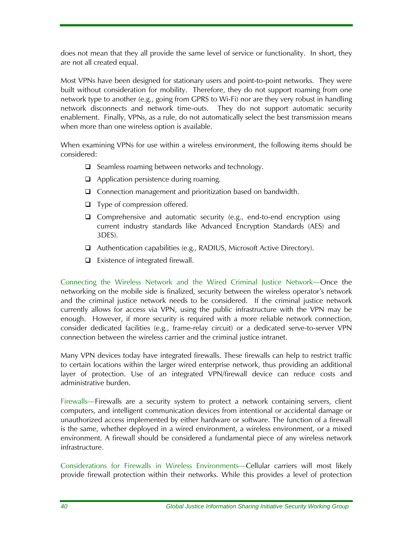does not mean that they all provide the same level of service or functionality. In short, they are not all created equal.

Most VPNs have been designed for stationary users and point-to-point networks. They were built without consideration for mobility. Therefore, they do not support roaming from one network type to another (e.g., going from GPRS to Wi-Fi) nor are they very robust in handling network disconnects and network time-outs. They do not support automatic security enablement. Finally, VPNs, as a rule, do not automatically select the best transmission means when more than one wireless option is available.

When examining VPNs for use within a wireless environment, the following items should be considered:

- $\Box$  Seamless roaming between networks and technology.
- $\Box$  Application persistence during roaming.
- □ Connection management and prioritization based on bandwidth.
- $\Box$  Type of compression offered.
- $\Box$  Comprehensive and automatic security (e.g., end-to-end encryption using current industry standards like Advanced Encryption Standards (AES) and 3DES).
- Authentication capabilities (e.g., RADIUS, Microsoft Active Directory).
- $\Box$  Existence of integrated firewall.

Connecting the Wireless Network and the Wired Criminal Justice Network—Once the networking on the mobile side is finalized, security between the wireless operator's network and the criminal justice network needs to be considered. If the criminal justice network currently allows for access via VPN, using the public infrastructure with the VPN may be enough. However, if more security is required with a more reliable network connection, consider dedicated facilities (e.g., frame-relay circuit) or a dedicated serve-to-server VPN connection between the wireless carrier and the criminal justice intranet.

Many VPN devices today have integrated firewalls. These firewalls can help to restrict traffic to certain locations within the larger wired enterprise network, thus providing an additional layer of protection. Use of an integrated VPN/firewall device can reduce costs and administrative burden.

Firewalls—Firewalls are a security system to protect a network containing servers, client computers, and intelligent communication devices from intentional or accidental damage or unauthorized access implemented by either hardware or software. The function of a firewall is the same, whether deployed in a wired environment, a wireless environment, or a mixed environment. A firewall should be considered a fundamental piece of any wireless network infrastructure.

Considerations for Firewalls in Wireless Environments—Cellular carriers will most likely provide firewall protection within their networks. While this provides a level of protection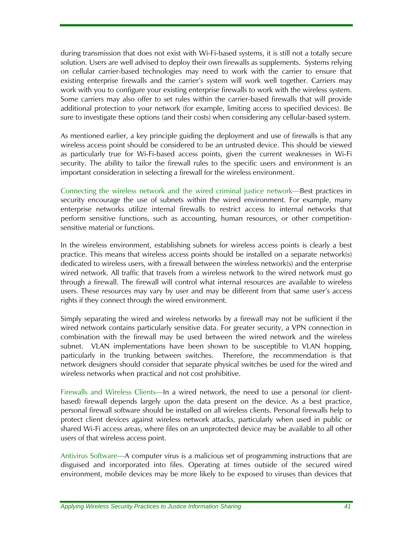during transmission that does not exist with Wi-Fi-based systems, it is still not a totally secure solution. Users are well advised to deploy their own firewalls as supplements. Systems relying on cellular carrier-based technologies may need to work with the carrier to ensure that existing enterprise firewalls and the carrier's system will work well together. Carriers may work with you to configure your existing enterprise firewalls to work with the wireless system. Some carriers may also offer to set rules within the carrier-based firewalls that will provide additional protection to your network (for example, limiting access to specified devices). Be sure to investigate these options (and their costs) when considering any cellular-based system.

As mentioned earlier, a key principle guiding the deployment and use of firewalls is that any wireless access point should be considered to be an untrusted device. This should be viewed as particularly true for Wi-Fi-based access points, given the current weaknesses in Wi-Fi security. The ability to tailor the firewall rules to the specific users and environment is an important consideration in selecting a firewall for the wireless environment.

Connecting the wireless network and the wired criminal justice network—Best practices in security encourage the use of subnets within the wired environment. For example, many enterprise networks utilize internal firewalls to restrict access to internal networks that perform sensitive functions, such as accounting, human resources, or other competitionsensitive material or functions.

In the wireless environment, establishing subnets for wireless access points is clearly a best practice. This means that wireless access points should be installed on a separate network(s) dedicated to wireless users, with a firewall between the wireless network(s) and the enterprise wired network. All traffic that travels from a wireless network to the wired network must go through a firewall. The firewall will control what internal resources are available to wireless users. These resources may vary by user and may be different from that same user's access rights if they connect through the wired environment.

Simply separating the wired and wireless networks by a firewall may not be sufficient if the wired network contains particularly sensitive data. For greater security, a VPN connection in combination with the firewall may be used between the wired network and the wireless subnet. VLAN implementations have been shown to be susceptible to VLAN hopping, particularly in the trunking between switches. Therefore, the recommendation is that network designers should consider that separate physical switches be used for the wired and wireless networks when practical and not cost prohibitive.

Firewalls and Wireless Clients—In a wired network, the need to use a personal (or clientbased) firewall depends largely upon the data present on the device. As a best practice, personal firewall software should be installed on all wireless clients. Personal firewalls help to protect client devices against wireless network attacks, particularly when used in public or shared Wi-Fi access areas, where files on an unprotected device may be available to all other users of that wireless access point.

Antivirus Software—A computer virus is a malicious set of programming instructions that are disguised and incorporated into files. Operating at times outside of the secured wired environment, mobile devices may be more likely to be exposed to viruses than devices that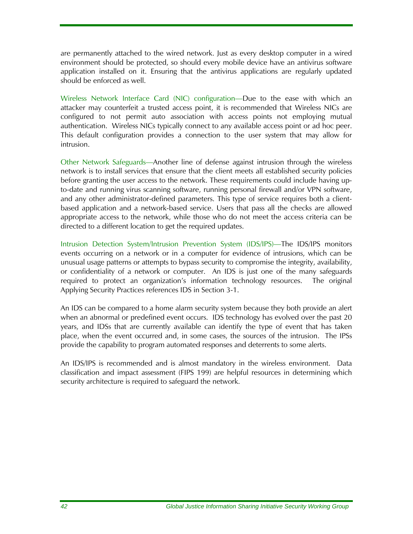are permanently attached to the wired network. Just as every desktop computer in a wired environment should be protected, so should every mobile device have an antivirus software application installed on it. Ensuring that the antivirus applications are regularly updated should be enforced as well.

Wireless Network Interface Card (NIC) configuration—Due to the ease with which an attacker may counterfeit a trusted access point, it is recommended that Wireless NICs are configured to not permit auto association with access points not employing mutual authentication. Wireless NICs typically connect to any available access point or ad hoc peer. This default configuration provides a connection to the user system that may allow for intrusion.

Other Network Safeguards—Another line of defense against intrusion through the wireless network is to install services that ensure that the client meets all established security policies before granting the user access to the network. These requirements could include having upto-date and running virus scanning software, running personal firewall and/or VPN software, and any other administrator-defined parameters. This type of service requires both a clientbased application and a network-based service. Users that pass all the checks are allowed appropriate access to the network, while those who do not meet the access criteria can be directed to a different location to get the required updates.

Intrusion Detection System/Intrusion Prevention System (IDS/IPS)—The IDS/IPS monitors events occurring on a network or in a computer for evidence of intrusions, which can be unusual usage patterns or attempts to bypass security to compromise the integrity, availability, or confidentiality of a network or computer. An IDS is just one of the many safeguards required to protect an organization's information technology resources. The original Applying Security Practices references IDS in Section 3-1.

An IDS can be compared to a home alarm security system because they both provide an alert when an abnormal or predefined event occurs. IDS technology has evolved over the past 20 years, and IDSs that are currently available can identify the type of event that has taken place, when the event occurred and, in some cases, the sources of the intrusion. The IPSs provide the capability to program automated responses and deterrents to some alerts.

An IDS/IPS is recommended and is almost mandatory in the wireless environment. Data classification and impact assessment (FIPS 199) are helpful resources in determining which security architecture is required to safeguard the network.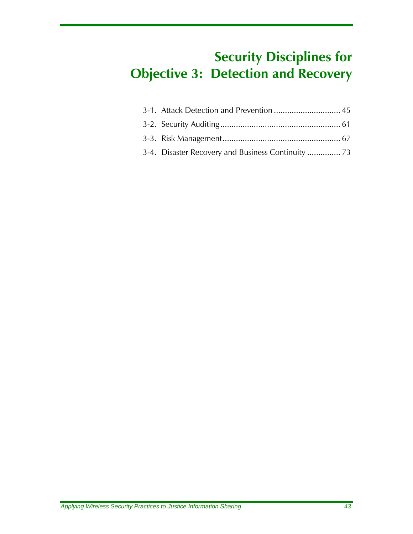# **Security Disciplines for Objective 3: Detection and Recovery**

| 3-4. Disaster Recovery and Business Continuity  73 |
|----------------------------------------------------|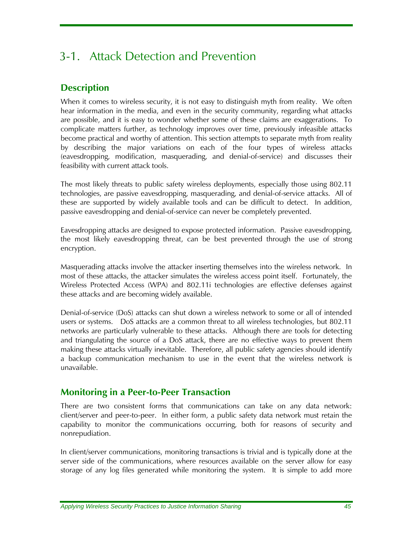# 3-1. Attack Detection and Prevention

## **Description**

When it comes to wireless security, it is not easy to distinguish myth from reality. We often hear information in the media, and even in the security community, regarding what attacks are possible, and it is easy to wonder whether some of these claims are exaggerations. To complicate matters further, as technology improves over time, previously infeasible attacks become practical and worthy of attention. This section attempts to separate myth from reality by describing the major variations on each of the four types of wireless attacks (eavesdropping, modification, masquerading, and denial-of-service) and discusses their feasibility with current attack tools.

The most likely threats to public safety wireless deployments, especially those using 802.11 technologies, are passive eavesdropping, masquerading, and denial-of-service attacks. All of these are supported by widely available tools and can be difficult to detect. In addition, passive eavesdropping and denial-of-service can never be completely prevented.

Eavesdropping attacks are designed to expose protected information. Passive eavesdropping, the most likely eavesdropping threat, can be best prevented through the use of strong encryption.

Masquerading attacks involve the attacker inserting themselves into the wireless network. In most of these attacks, the attacker simulates the wireless access point itself. Fortunately, the Wireless Protected Access (WPA) and 802.11i technologies are effective defenses against these attacks and are becoming widely available.

Denial-of-service (DoS) attacks can shut down a wireless network to some or all of intended users or systems. DoS attacks are a common threat to all wireless technologies, but 802.11 networks are particularly vulnerable to these attacks. Although there are tools for detecting and triangulating the source of a DoS attack, there are no effective ways to prevent them making these attacks virtually inevitable. Therefore, all public safety agencies should identify a backup communication mechanism to use in the event that the wireless network is unavailable.

### **Monitoring in a Peer-to-Peer Transaction**

There are two consistent forms that communications can take on any data network: client/server and peer-to-peer. In either form, a public safety data network must retain the capability to monitor the communications occurring, both for reasons of security and nonrepudiation.

In client/server communications, monitoring transactions is trivial and is typically done at the server side of the communications, where resources available on the server allow for easy storage of any log files generated while monitoring the system. It is simple to add more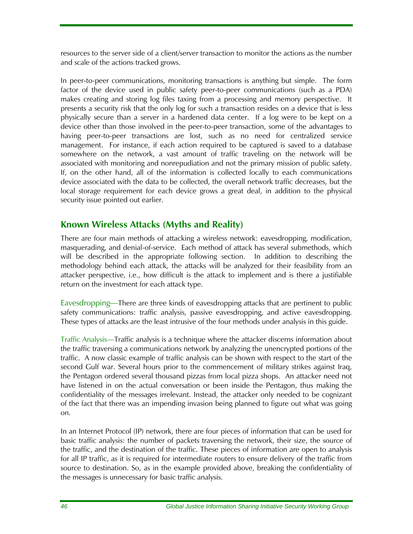resources to the server side of a client/server transaction to monitor the actions as the number and scale of the actions tracked grows.

In peer-to-peer communications, monitoring transactions is anything but simple. The form factor of the device used in public safety peer-to-peer communications (such as a PDA) makes creating and storing log files taxing from a processing and memory perspective. It presents a security risk that the only log for such a transaction resides on a device that is less physically secure than a server in a hardened data center. If a log were to be kept on a device other than those involved in the peer-to-peer transaction, some of the advantages to having peer-to-peer transactions are lost, such as no need for centralized service management. For instance, if each action required to be captured is saved to a database somewhere on the network, a vast amount of traffic traveling on the network will be associated with monitoring and nonrepudiation and not the primary mission of public safety. If, on the other hand, all of the information is collected locally to each communications device associated with the data to be collected, the overall network traffic decreases, but the local storage requirement for each device grows a great deal, in addition to the physical security issue pointed out earlier.

### **Known Wireless Attacks (Myths and Reality)**

There are four main methods of attacking a wireless network: eavesdropping, modification, masquerading, and denial-of-service. Each method of attack has several submethods, which will be described in the appropriate following section. In addition to describing the methodology behind each attack, the attacks will be analyzed for their feasibility from an attacker perspective, i.e., how difficult is the attack to implement and is there a justifiable return on the investment for each attack type.

Eavesdropping*—*There are three kinds of eavesdropping attacks that are pertinent to public safety communications: traffic analysis, passive eavesdropping, and active eavesdropping. These types of attacks are the least intrusive of the four methods under analysis in this guide.

Traffic Analysis—Traffic analysis is a technique where the attacker discerns information about the traffic traversing a communications network by analyzing the unencrypted portions of the traffic. A now classic example of traffic analysis can be shown with respect to the start of the second Gulf war. Several hours prior to the commencement of military strikes against Iraq, the Pentagon ordered several thousand pizzas from local pizza shops. An attacker need not have listened in on the actual conversation or been inside the Pentagon, thus making the confidentiality of the messages irrelevant. Instead, the attacker only needed to be cognizant of the fact that there was an impending invasion being planned to figure out what was going on.

In an Internet Protocol (IP) network, there are four pieces of information that can be used for basic traffic analysis: the number of packets traversing the network, their size, the source of the traffic, and the destination of the traffic. These pieces of information are open to analysis for all IP traffic, as it is required for intermediate routers to ensure delivery of the traffic from source to destination. So, as in the example provided above, breaking the confidentiality of the messages is unnecessary for basic traffic analysis.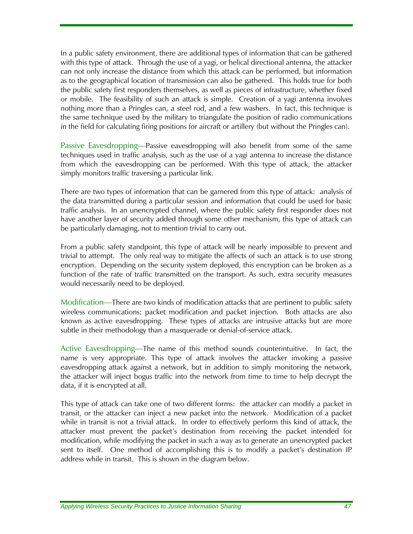In a public safety environment, there are additional types of information that can be gathered with this type of attack. Through the use of a yagi, or helical directional antenna, the attacker can not only increase the distance from which this attack can be performed, but information as to the geographical location of transmission can also be gathered. This holds true for both the public safety first responders themselves, as well as pieces of infrastructure, whether fixed or mobile. The feasibility of such an attack is simple. Creation of a yagi antenna involves nothing more than a Pringles can, a steel rod, and a few washers. In fact, this technique is the same technique used by the military to triangulate the position of radio communications in the field for calculating firing positions for aircraft or artillery (but without the Pringles can).

Passive Eavesdropping—Passive eavesdropping will also benefit from some of the same techniques used in traffic analysis, such as the use of a yagi antenna to increase the distance from which the eavesdropping can be performed. With this type of attack, the attacker simply monitors traffic traversing a particular link.

There are two types of information that can be garnered from this type of attack: analysis of the data transmitted during a particular session and information that could be used for basic traffic analysis. In an unencrypted channel, where the public safety first responder does not have another layer of security added through some other mechanism, this type of attack can be particularly damaging, not to mention trivial to carry out.

From a public safety standpoint, this type of attack will be nearly impossible to prevent and trivial to attempt. The only real way to mitigate the affects of such an attack is to use strong encryption. Depending on the security system deployed, this encryption can be broken as a function of the rate of traffic transmitted on the transport. As such, extra security measures would necessarily need to be deployed.

Modification—There are two kinds of modification attacks that are pertinent to public safety wireless communications: packet modification and packet injection. Both attacks are also known as active eavesdropping. These types of attacks are intrusive attacks but are more subtle in their methodology than a masquerade or denial-of-service attack.

Active Eavesdropping—The name of this method sounds counterintuitive. In fact, the name is very appropriate. This type of attack involves the attacker invoking a passive eavesdropping attack against a network, but in addition to simply monitoring the network, the attacker will inject bogus traffic into the network from time to time to help decrypt the data, if it is encrypted at all.

This type of attack can take one of two different forms: the attacker can modify a packet in transit, or the attacker can inject a new packet into the network. Modification of a packet while in transit is not a trivial attack. In order to effectively perform this kind of attack, the attacker must prevent the packet's destination from receiving the packet intended for modification, while modifying the packet in such a way as to generate an unencrypted packet sent to itself. One method of accomplishing this is to modify a packet's destination IP address while in transit. This is shown in the diagram below.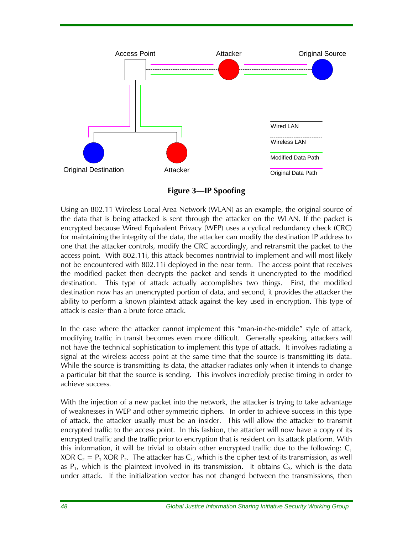

**Figure 3—IP Spoofing** 

Using an 802.11 Wireless Local Area Network (WLAN) as an example, the original source of the data that is being attacked is sent through the attacker on the WLAN. If the packet is encrypted because Wired Equivalent Privacy (WEP) uses a cyclical redundancy check (CRC) for maintaining the integrity of the data, the attacker can modify the destination IP address to one that the attacker controls, modify the CRC accordingly, and retransmit the packet to the access point. With 802.11i, this attack becomes nontrivial to implement and will most likely not be encountered with 802.11i deployed in the near term. The access point that receives the modified packet then decrypts the packet and sends it unencrypted to the modified destination. This type of attack actually accomplishes two things. First, the modified destination now has an unencrypted portion of data, and second, it provides the attacker the ability to perform a known plaintext attack against the key used in encryption. This type of attack is easier than a brute force attack.

In the case where the attacker cannot implement this "man-in-the-middle" style of attack, modifying traffic in transit becomes even more difficult. Generally speaking, attackers will not have the technical sophistication to implement this type of attack. It involves radiating a signal at the wireless access point at the same time that the source is transmitting its data. While the source is transmitting its data, the attacker radiates only when it intends to change a particular bit that the source is sending. This involves incredibly precise timing in order to achieve success.

With the injection of a new packet into the network, the attacker is trying to take advantage of weaknesses in WEP and other symmetric ciphers. In order to achieve success in this type of attack, the attacker usually must be an insider. This will allow the attacker to transmit encrypted traffic to the access point. In this fashion, the attacker will now have a copy of its encrypted traffic and the traffic prior to encryption that is resident on its attack platform. With this information, it will be trivial to obtain other encrypted traffic due to the following:  $C_1$ XOR  $C_2 = P_1$  XOR  $P_2$ . The attacker has  $C_1$ , which is the cipher text of its transmission, as well as  $P_1$ , which is the plaintext involved in its transmission. It obtains  $C_2$ , which is the data under attack. If the initialization vector has not changed between the transmissions, then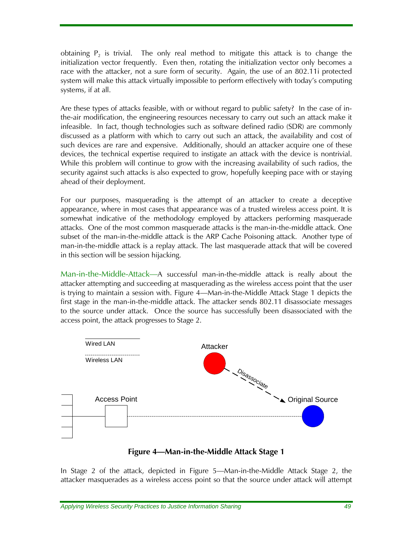<span id="page-64-0"></span>obtaining  $P_2$  is trivial. The only real method to mitigate this attack is to change the initialization vector frequently. Even then, rotating the initialization vector only becomes a race with the attacker, not a sure form of security. Again, the use of an 802.11i protected system will make this attack virtually impossible to perform effectively with today's computing systems, if at all.

Are these types of attacks feasible, with or without regard to public safety? In the case of inthe-air modification, the engineering resources necessary to carry out such an attack make it infeasible. In fact, though technologies such as software defined radio (SDR) are commonly discussed as a platform with which to carry out such an attack, the availability and cost of such devices are rare and expensive. Additionally, should an attacker acquire one of these devices, the technical expertise required to instigate an attack with the device is nontrivial. While this problem will continue to grow with the increasing availability of such radios, the security against such attacks is also expected to grow, hopefully keeping pace with or staying ahead of their deployment.

For our purposes, masquerading is the attempt of an attacker to create a deceptive appearance, where in most cases that appearance was of a trusted wireless access point. It is somewhat indicative of the methodology employed by attackers performing masquerade attacks. One of the most common masquerade attacks is the man-in-the-middle attack. One subset of the man-in-the-middle attack is the ARP Cache Poisoning attack. Another type of man-in-the-middle attack is a replay attack. The last masquerade attack that will be covered in this section will be session hijacking.

Man-in-the-Middle-Attack—A successful man-in-the-middle attack is really about the attacker attempting and succeeding at masquerading as the wireless access point that the user is trying to maintain a session with. [Figure 4—Man-in-the-Middle Attack Stage 1](#page-64-0) depicts the first stage in the man-in-the-middle attack. The attacker sends 802.11 disassociate messages to the source under attack. Once the source has successfully been disassociated with the access point, the attack progresses to Stage 2.



#### **Figure 4—Man-in-the-Middle Attack Stage 1**

In Stage 2 of the attack, depicted in [Figure 5—Man-in-the-Middle Attack Stage 2](#page-65-0), the attacker masquerades as a wireless access point so that the source under attack will attempt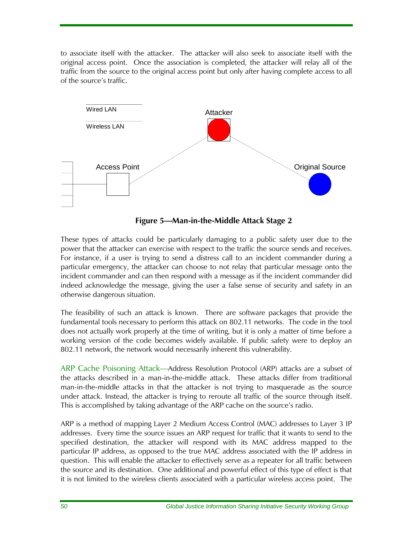<span id="page-65-0"></span>to associate itself with the attacker. The attacker will also seek to associate itself with the original access point. Once the association is completed, the attacker will relay all of the traffic from the source to the original access point but only after having complete access to all of the source's traffic.



**Figure 5—Man-in-the-Middle Attack Stage 2** 

These types of attacks could be particularly damaging to a public safety user due to the power that the attacker can exercise with respect to the traffic the source sends and receives. For instance, if a user is trying to send a distress call to an incident commander during a particular emergency, the attacker can choose to not relay that particular message onto the incident commander and can then respond with a message as if the incident commander did indeed acknowledge the message, giving the user a false sense of security and safety in an otherwise dangerous situation.

The feasibility of such an attack is known. There are software packages that provide the fundamental tools necessary to perform this attack on 802.11 networks. The code in the tool does not actually work properly at the time of writing, but it is only a matter of time before a working version of the code becomes widely available. If public safety were to deploy an 802.11 network, the network would necessarily inherent this vulnerability.

ARP Cache Poisoning Attack—Address Resolution Protocol (ARP) attacks are a subset of the attacks described in a man-in-the-middle attack. These attacks differ from traditional man-in-the-middle attacks in that the attacker is not trying to masquerade as the source under attack. Instead, the attacker is trying to reroute all traffic of the source through itself. This is accomplished by taking advantage of the ARP cache on the source's radio.

ARP is a method of mapping Layer 2 Medium Access Control (MAC) addresses to Layer 3 IP addresses. Every time the source issues an ARP request for traffic that it wants to send to the specified destination, the attacker will respond with its MAC address mapped to the particular IP address, as opposed to the true MAC address associated with the IP address in question. This will enable the attacker to effectively serve as a repeater for all traffic between the source and its destination. One additional and powerful effect of this type of effect is that it is not limited to the wireless clients associated with a particular wireless access point. The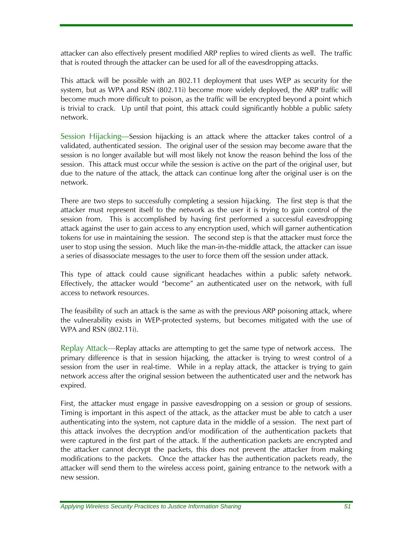attacker can also effectively present modified ARP replies to wired clients as well. The traffic that is routed through the attacker can be used for all of the eavesdropping attacks.

This attack will be possible with an 802.11 deployment that uses WEP as security for the system, but as WPA and RSN (802.11i) become more widely deployed, the ARP traffic will become much more difficult to poison, as the traffic will be encrypted beyond a point which is trivial to crack. Up until that point, this attack could significantly hobble a public safety network.

Session Hijacking—Session hijacking is an attack where the attacker takes control of a validated, authenticated session. The original user of the session may become aware that the session is no longer available but will most likely not know the reason behind the loss of the session. This attack must occur while the session is active on the part of the original user, but due to the nature of the attack, the attack can continue long after the original user is on the network.

There are two steps to successfully completing a session hijacking. The first step is that the attacker must represent itself to the network as the user it is trying to gain control of the session from. This is accomplished by having first performed a successful eavesdropping attack against the user to gain access to any encryption used, which will garner authentication tokens for use in maintaining the session. The second step is that the attacker must force the user to stop using the session. Much like the man-in-the-middle attack, the attacker can issue a series of disassociate messages to the user to force them off the session under attack.

This type of attack could cause significant headaches within a public safety network. Effectively, the attacker would "become" an authenticated user on the network, with full access to network resources.

The feasibility of such an attack is the same as with the previous ARP poisoning attack, where the vulnerability exists in WEP-protected systems, but becomes mitigated with the use of WPA and RSN (802.11i).

Replay Attack—Replay attacks are attempting to get the same type of network access. The primary difference is that in session hijacking, the attacker is trying to wrest control of a session from the user in real-time. While in a replay attack, the attacker is trying to gain network access after the original session between the authenticated user and the network has expired.

First, the attacker must engage in passive eavesdropping on a session or group of sessions. Timing is important in this aspect of the attack, as the attacker must be able to catch a user authenticating into the system, not capture data in the middle of a session. The next part of this attack involves the decryption and/or modification of the authentication packets that were captured in the first part of the attack. If the authentication packets are encrypted and the attacker cannot decrypt the packets, this does not prevent the attacker from making modifications to the packets. Once the attacker has the authentication packets ready, the attacker will send them to the wireless access point, gaining entrance to the network with a new session.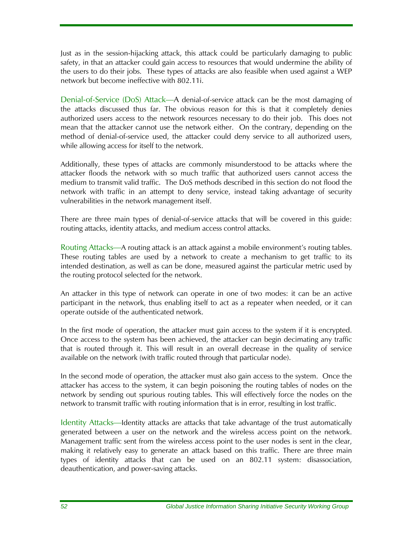Just as in the session-hijacking attack, this attack could be particularly damaging to public safety, in that an attacker could gain access to resources that would undermine the ability of the users to do their jobs. These types of attacks are also feasible when used against a WEP network but become ineffective with 802.11i.

Denial-of-Service (DoS) Attack—A denial-of-service attack can be the most damaging of the attacks discussed thus far. The obvious reason for this is that it completely denies authorized users access to the network resources necessary to do their job. This does not mean that the attacker cannot use the network either. On the contrary, depending on the method of denial-of-service used, the attacker could deny service to all authorized users, while allowing access for itself to the network.

Additionally, these types of attacks are commonly misunderstood to be attacks where the attacker floods the network with so much traffic that authorized users cannot access the medium to transmit valid traffic. The DoS methods described in this section do not flood the network with traffic in an attempt to deny service, instead taking advantage of security vulnerabilities in the network management itself.

There are three main types of denial-of-service attacks that will be covered in this guide: routing attacks, identity attacks, and medium access control attacks.

Routing Attacks—A routing attack is an attack against a mobile environment's routing tables. These routing tables are used by a network to create a mechanism to get traffic to its intended destination, as well as can be done, measured against the particular metric used by the routing protocol selected for the network.

An attacker in this type of network can operate in one of two modes: it can be an active participant in the network, thus enabling itself to act as a repeater when needed, or it can operate outside of the authenticated network.

In the first mode of operation, the attacker must gain access to the system if it is encrypted. Once access to the system has been achieved, the attacker can begin decimating any traffic that is routed through it. This will result in an overall decrease in the quality of service available on the network (with traffic routed through that particular node).

In the second mode of operation, the attacker must also gain access to the system. Once the attacker has access to the system, it can begin poisoning the routing tables of nodes on the network by sending out spurious routing tables. This will effectively force the nodes on the network to transmit traffic with routing information that is in error, resulting in lost traffic.

Identity Attacks—Identity attacks are attacks that take advantage of the trust automatically generated between a user on the network and the wireless access point on the network. Management traffic sent from the wireless access point to the user nodes is sent in the clear, making it relatively easy to generate an attack based on this traffic. There are three main types of identity attacks that can be used on an 802.11 system: disassociation, deauthentication, and power-saving attacks.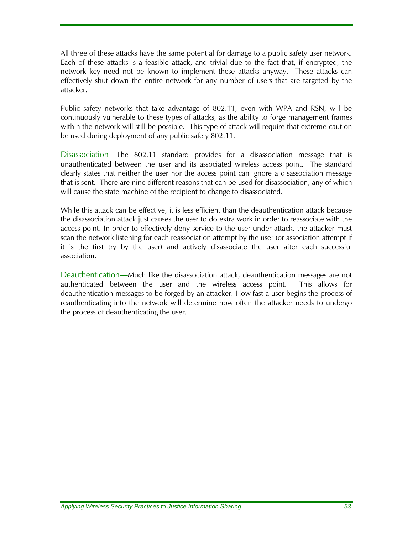All three of these attacks have the same potential for damage to a public safety user network. Each of these attacks is a feasible attack, and trivial due to the fact that, if encrypted, the network key need not be known to implement these attacks anyway. These attacks can effectively shut down the entire network for any number of users that are targeted by the attacker.

Public safety networks that take advantage of 802.11, even with WPA and RSN, will be continuously vulnerable to these types of attacks, as the ability to forge management frames within the network will still be possible. This type of attack will require that extreme caution be used during deployment of any public safety 802.11.

Disassociation—The 802.11 standard provides for a disassociation message that is unauthenticated between the user and its associated wireless access point. The standard clearly states that neither the user nor the access point can ignore a disassociation message that is sent. There are nine different reasons that can be used for disassociation, any of which will cause the state machine of the recipient to change to disassociated.

While this attack can be effective, it is less efficient than the deauthentication attack because the disassociation attack just causes the user to do extra work in order to reassociate with the access point. In order to effectively deny service to the user under attack, the attacker must scan the network listening for each reassociation attempt by the user (or association attempt if it is the first try by the user) and actively disassociate the user after each successful association.

Deauthentication—Much like the disassociation attack, deauthentication messages are not authenticated between the user and the wireless access point. This allows for deauthentication messages to be forged by an attacker. How fast a user begins the process of reauthenticating into the network will determine how often the attacker needs to undergo the process of deauthenticating the user.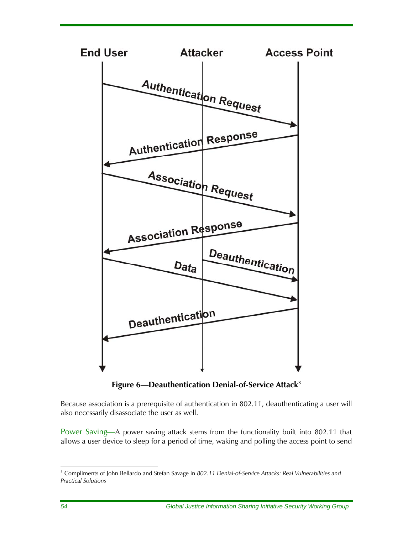

**Figure 6—Deauthentication Denial-of-Service Attac[k3](#page-69-0)**

Because association is a prerequisite of authentication in 802.11, deauthenticating a user will also necessarily disassociate the user as well.

Power Saving—A power saving attack stems from the functionality built into 802.11 that allows a user device to sleep for a period of time, waking and polling the access point to send

<span id="page-69-0"></span> 3 Compliments of John Bellardo and Stefan Savage in *802.11 Denial-of-Service Attacks: Real Vulnerabilities and Practical Solutions*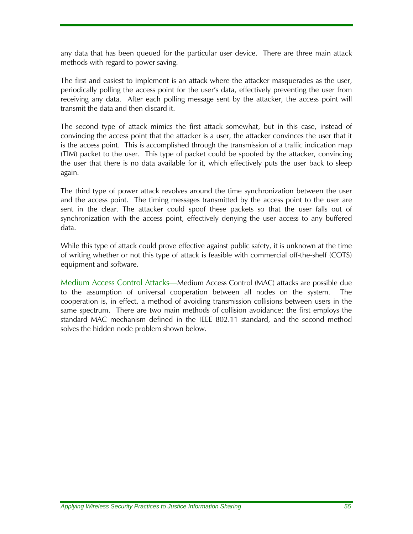any data that has been queued for the particular user device. There are three main attack methods with regard to power saving.

The first and easiest to implement is an attack where the attacker masquerades as the user, periodically polling the access point for the user's data, effectively preventing the user from receiving any data. After each polling message sent by the attacker, the access point will transmit the data and then discard it.

The second type of attack mimics the first attack somewhat, but in this case, instead of convincing the access point that the attacker is a user, the attacker convinces the user that it is the access point. This is accomplished through the transmission of a traffic indication map (TIM) packet to the user. This type of packet could be spoofed by the attacker, convincing the user that there is no data available for it, which effectively puts the user back to sleep again.

The third type of power attack revolves around the time synchronization between the user and the access point. The timing messages transmitted by the access point to the user are sent in the clear. The attacker could spoof these packets so that the user falls out of synchronization with the access point, effectively denying the user access to any buffered data.

While this type of attack could prove effective against public safety, it is unknown at the time of writing whether or not this type of attack is feasible with commercial off-the-shelf (COTS) equipment and software.

Medium Access Control Attacks—Medium Access Control (MAC) attacks are possible due to the assumption of universal cooperation between all nodes on the system. The cooperation is, in effect, a method of avoiding transmission collisions between users in the same spectrum. There are two main methods of collision avoidance: the first employs the standard MAC mechanism defined in the IEEE 802.11 standard, and the second method solves the hidden node problem shown below.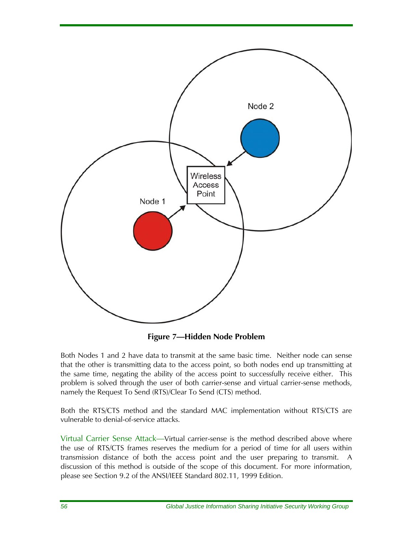

**Figure 7—Hidden Node Problem** 

Both Nodes 1 and 2 have data to transmit at the same basic time. Neither node can sense that the other is transmitting data to the access point, so both nodes end up transmitting at the same time, negating the ability of the access point to successfully receive either. This problem is solved through the user of both carrier-sense and virtual carrier-sense methods, namely the Request To Send (RTS)/Clear To Send (CTS) method.

Both the RTS/CTS method and the standard MAC implementation without RTS/CTS are vulnerable to denial-of-service attacks.

Virtual Carrier Sense Attack—Virtual carrier-sense is the method described above where the use of RTS/CTS frames reserves the medium for a period of time for all users within transmission distance of both the access point and the user preparing to transmit. A discussion of this method is outside of the scope of this document. For more information, please see Section 9.2 of the ANSI/IEEE Standard 802.11, 1999 Edition.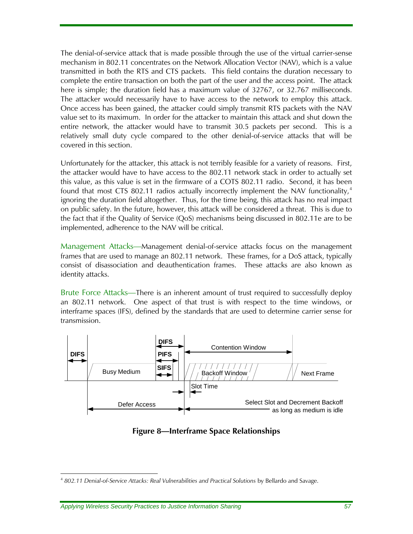The denial-of-service attack that is made possible through the use of the virtual carrier-sense mechanism in 802.11 concentrates on the Network Allocation Vector (NAV), which is a value transmitted in both the RTS and CTS packets. This field contains the duration necessary to complete the entire transaction on both the part of the user and the access point. The attack here is simple; the duration field has a maximum value of 32767, or 32.767 milliseconds. The attacker would necessarily have to have access to the network to employ this attack. Once access has been gained, the attacker could simply transmit RTS packets with the NAV value set to its maximum. In order for the attacker to maintain this attack and shut down the entire network, the attacker would have to transmit 30.5 packets per second. This is a relatively small duty cycle compared to the other denial-of-service attacks that will be covered in this section.

Unfortunately for the attacker, this attack is not terribly feasible for a variety of reasons. First, the attacker would have to have access to the 802.11 network stack in order to actually set this value, as this value is set in the firmware of a COTS 802.11 radio. Second, it has been found that most CTS 802.11 radios actually incorrectly implement the NAV functionality, $4$ ignoring the duration field altogether. Thus, for the time being, this attack has no real impact on public safety. In the future, however, this attack will be considered a threat. This is due to the fact that if the Quality of Service (QoS) mechanisms being discussed in 802.11e are to be implemented, adherence to the NAV will be critical.

Management Attacks—Management denial-of-service attacks focus on the management frames that are used to manage an 802.11 network. These frames, for a DoS attack, typically consist of disassociation and deauthentication frames. These attacks are also known as identity attacks.

Brute Force Attacks—There is an inherent amount of trust required to successfully deploy an 802.11 network. One aspect of that trust is with respect to the time windows, or interframe spaces (IFS), defined by the standards that are used to determine carrier sense for transmission.



#### **Figure 8—Interframe Space Relationships**

<span id="page-72-0"></span><sup>4</sup> *802.11 Denial-of-Service Attacks: Real Vulnerabilities and Practical Solutions* by Bellardo and Savage.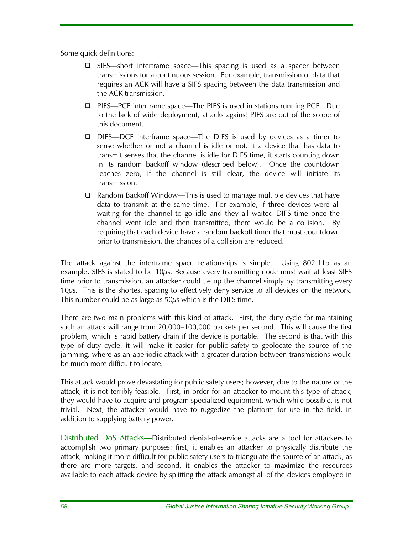Some quick definitions:

- □ SIFS—short interframe space—This spacing is used as a spacer between transmissions for a continuous session. For example, transmission of data that requires an ACK will have a SIFS spacing between the data transmission and the ACK transmission.
- PIFS—PCF interframe space—The PIFS is used in stations running PCF. Due to the lack of wide deployment, attacks against PIFS are out of the scope of this document.
- □ DIFS—DCF interframe space—The DIFS is used by devices as a timer to sense whether or not a channel is idle or not. If a device that has data to transmit senses that the channel is idle for DIFS time, it starts counting down in its random backoff window (described below). Once the countdown reaches zero, if the channel is still clear, the device will initiate its transmission.
- $\Box$  Random Backoff Window—This is used to manage multiple devices that have data to transmit at the same time. For example, if three devices were all waiting for the channel to go idle and they all waited DIFS time once the channel went idle and then transmitted, there would be a collision. By requiring that each device have a random backoff timer that must countdown prior to transmission, the chances of a collision are reduced.

The attack against the interframe space relationships is simple. Using 802.11b as an example, SIFS is stated to be 10μs. Because every transmitting node must wait at least SIFS time prior to transmission, an attacker could tie up the channel simply by transmitting every 10μs. This is the shortest spacing to effectively deny service to all devices on the network. This number could be as large as  $50\mu s$  which is the DIFS time.

There are two main problems with this kind of attack. First, the duty cycle for maintaining such an attack will range from 20,000–100,000 packets per second. This will cause the first problem, which is rapid battery drain if the device is portable. The second is that with this type of duty cycle, it will make it easier for public safety to geolocate the source of the jamming, where as an aperiodic attack with a greater duration between transmissions would be much more difficult to locate.

This attack would prove devastating for public safety users; however, due to the nature of the attack, it is not terribly feasible. First, in order for an attacker to mount this type of attack, they would have to acquire and program specialized equipment, which while possible, is not trivial. Next, the attacker would have to ruggedize the platform for use in the field, in addition to supplying battery power.

Distributed DoS Attacks—Distributed denial-of-service attacks are a tool for attackers to accomplish two primary purposes: first, it enables an attacker to physically distribute the attack, making it more difficult for public safety users to triangulate the source of an attack, as there are more targets, and second, it enables the attacker to maximize the resources available to each attack device by splitting the attack amongst all of the devices employed in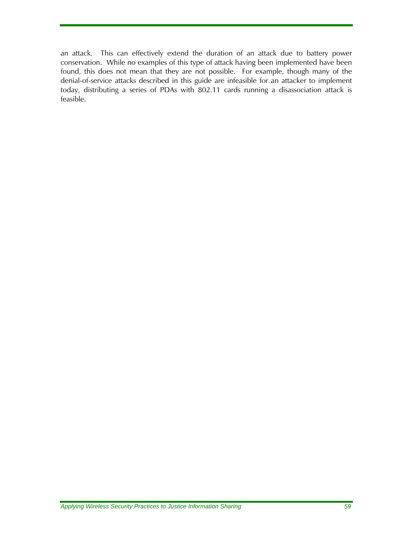an attack. This can effectively extend the duration of an attack due to battery power conservation. While no examples of this type of attack having been implemented have been found, this does not mean that they are not possible. For example, though many of the denial-of-service attacks described in this guide are infeasible for an attacker to implement today, distributing a series of PDAs with 802.11 cards running a disassociation attack is feasible.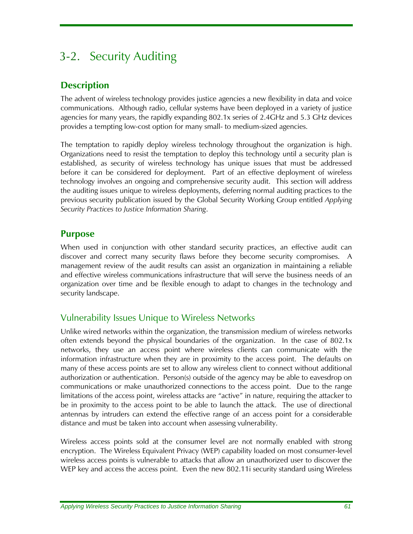# 3-2. Security Auditing

# **Description**

The advent of wireless technology provides justice agencies a new flexibility in data and voice communications. Although radio, cellular systems have been deployed in a variety of justice agencies for many years, the rapidly expanding 802.1x series of 2.4GHz and 5.3 GHz devices provides a tempting low-cost option for many small- to medium-sized agencies.

The temptation to rapidly deploy wireless technology throughout the organization is high. Organizations need to resist the temptation to deploy this technology until a security plan is established, as security of wireless technology has unique issues that must be addressed before it can be considered for deployment. Part of an effective deployment of wireless technology involves an ongoing and comprehensive security audit. This section will address the auditing issues unique to wireless deployments, deferring normal auditing practices to the previous security publication issued by the Global Security Working Group entitled *Applying Security Practices to Justice Information Sharing*.

# **Purpose**

When used in conjunction with other standard security practices, an effective audit can discover and correct many security flaws before they become security compromises. A management review of the audit results can assist an organization in maintaining a reliable and effective wireless communications infrastructure that will serve the business needs of an organization over time and be flexible enough to adapt to changes in the technology and security landscape.

# Vulnerability Issues Unique to Wireless Networks

Unlike wired networks within the organization, the transmission medium of wireless networks often extends beyond the physical boundaries of the organization. In the case of 802.1x networks, they use an access point where wireless clients can communicate with the information infrastructure when they are in proximity to the access point. The defaults on many of these access points are set to allow any wireless client to connect without additional authorization or authentication. Person(s) outside of the agency may be able to eavesdrop on communications or make unauthorized connections to the access point. Due to the range limitations of the access point, wireless attacks are "active" in nature, requiring the attacker to be in proximity to the access point to be able to launch the attack. The use of directional antennas by intruders can extend the effective range of an access point for a considerable distance and must be taken into account when assessing vulnerability.

Wireless access points sold at the consumer level are not normally enabled with strong encryption. The Wireless Equivalent Privacy (WEP) capability loaded on most consumer-level wireless access points is vulnerable to attacks that allow an unauthorized user to discover the WEP key and access the access point. Even the new 802.11i security standard using Wireless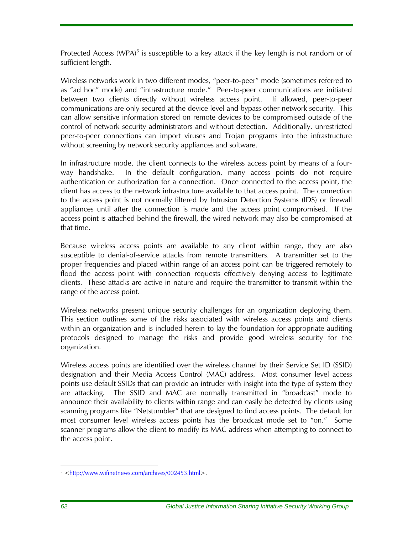Protected Access (WPA) $<sup>5</sup>$  $<sup>5</sup>$  $<sup>5</sup>$  is susceptible to a key attack if the key length is not random or of</sup> sufficient length.

Wireless networks work in two different modes, "peer-to-peer" mode (sometimes referred to as "ad hoc" mode) and "infrastructure mode." Peer-to-peer communications are initiated between two clients directly without wireless access point. If allowed, peer-to-peer communications are only secured at the device level and bypass other network security. This can allow sensitive information stored on remote devices to be compromised outside of the control of network security administrators and without detection. Additionally, unrestricted peer-to-peer connections can import viruses and Trojan programs into the infrastructure without screening by network security appliances and software.

In infrastructure mode, the client connects to the wireless access point by means of a fourway handshake. In the default configuration, many access points do not require authentication or authorization for a connection. Once connected to the access point, the client has access to the network infrastructure available to that access point. The connection to the access point is not normally filtered by Intrusion Detection Systems (IDS) or firewall appliances until after the connection is made and the access point compromised. If the access point is attached behind the firewall, the wired network may also be compromised at that time.

Because wireless access points are available to any client within range, they are also susceptible to denial-of-service attacks from remote transmitters. A transmitter set to the proper frequencies and placed within range of an access point can be triggered remotely to flood the access point with connection requests effectively denying access to legitimate clients. These attacks are active in nature and require the transmitter to transmit within the range of the access point.

Wireless networks present unique security challenges for an organization deploying them. This section outlines some of the risks associated with wireless access points and clients within an organization and is included herein to lay the foundation for appropriate auditing protocols designed to manage the risks and provide good wireless security for the organization.

Wireless access points are identified over the wireless channel by their Service Set ID (SSID) designation and their Media Access Control (MAC) address. Most consumer level access points use default SSIDs that can provide an intruder with insight into the type of system they are attacking. The SSID and MAC are normally transmitted in "broadcast" mode to announce their availability to clients within range and can easily be detected by clients using scanning programs like "Netstumbler" that are designed to find access points. The default for most consumer level wireless access points has the broadcast mode set to "on." Some scanner programs allow the client to modify its MAC address when attempting to connect to the access point.

<span id="page-77-0"></span><sup>5 &</sup>lt;http://www.wifinetnews.com/archives/002453.html>.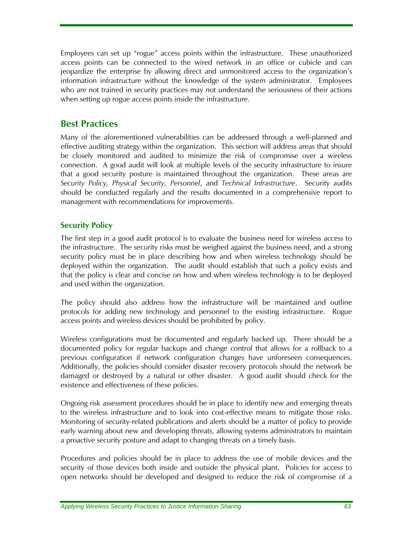Employees can set up "rogue" access points within the infrastructure. These unauthorized access points can be connected to the wired network in an office or cubicle and can jeopardize the enterprise by allowing direct and unmonitored access to the organization's information infrastructure without the knowledge of the system administrator. Employees who are not trained in security practices may not understand the seriousness of their actions when setting up rogue access points inside the infrastructure.

## **Best Practices**

Many of the aforementioned vulnerabilities can be addressed through a well-planned and effective auditing strategy within the organization. This section will address areas that should be closely monitored and audited to minimize the risk of compromise over a wireless connection. A good audit will look at multiple levels of the security infrastructure to insure that a good security posture is maintained throughout the organization. These areas are *Security Policy, Physical Security, Personnel*, and *Technical Infrastructure*. Security audits should be conducted regularly and the results documented in a comprehensive report to management with recommendations for improvements.

#### **Security Policy**

The first step in a good audit protocol is to evaluate the business need for wireless access to the infrastructure. The security risks must be weighed against the business need, and a strong security policy must be in place describing how and when wireless technology should be deployed within the organization. The audit should establish that such a policy exists and that the policy is clear and concise on how and when wireless technology is to be deployed and used within the organization.

The policy should also address how the infrastructure will be maintained and outline protocols for adding new technology and personnel to the existing infrastructure. Rogue access points and wireless devices should be prohibited by policy.

Wireless configurations must be documented and regularly backed up. There should be a documented policy for regular backups and change control that allows for a rollback to a previous configuration if network configuration changes have unforeseen consequences. Additionally, the policies should consider disaster recovery protocols should the network be damaged or destroyed by a natural or other disaster. A good audit should check for the existence and effectiveness of these policies.

Ongoing risk assessment procedures should be in place to identify new and emerging threats to the wireless infrastructure and to look into cost-effective means to mitigate those risks. Monitoring of security-related publications and alerts should be a matter of policy to provide early warning about new and developing threats, allowing systems administrators to maintain a proactive security posture and adapt to changing threats on a timely basis.

Procedures and policies should be in place to address the use of mobile devices and the security of those devices both inside and outside the physical plant. Policies for access to open networks should be developed and designed to reduce the risk of compromise of a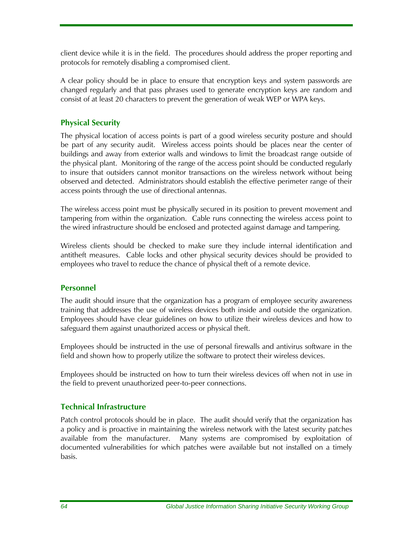client device while it is in the field. The procedures should address the proper reporting and protocols for remotely disabling a compromised client.

A clear policy should be in place to ensure that encryption keys and system passwords are changed regularly and that pass phrases used to generate encryption keys are random and consist of at least 20 characters to prevent the generation of weak WEP or WPA keys.

#### **Physical Security**

The physical location of access points is part of a good wireless security posture and should be part of any security audit. Wireless access points should be places near the center of buildings and away from exterior walls and windows to limit the broadcast range outside of the physical plant. Monitoring of the range of the access point should be conducted regularly to insure that outsiders cannot monitor transactions on the wireless network without being observed and detected. Administrators should establish the effective perimeter range of their access points through the use of directional antennas.

The wireless access point must be physically secured in its position to prevent movement and tampering from within the organization. Cable runs connecting the wireless access point to the wired infrastructure should be enclosed and protected against damage and tampering.

Wireless clients should be checked to make sure they include internal identification and antitheft measures. Cable locks and other physical security devices should be provided to employees who travel to reduce the chance of physical theft of a remote device.

#### **Personnel**

The audit should insure that the organization has a program of employee security awareness training that addresses the use of wireless devices both inside and outside the organization. Employees should have clear guidelines on how to utilize their wireless devices and how to safeguard them against unauthorized access or physical theft.

Employees should be instructed in the use of personal firewalls and antivirus software in the field and shown how to properly utilize the software to protect their wireless devices.

Employees should be instructed on how to turn their wireless devices off when not in use in the field to prevent unauthorized peer-to-peer connections.

#### **Technical Infrastructure**

Patch control protocols should be in place. The audit should verify that the organization has a policy and is proactive in maintaining the wireless network with the latest security patches available from the manufacturer. Many systems are compromised by exploitation of documented vulnerabilities for which patches were available but not installed on a timely basis.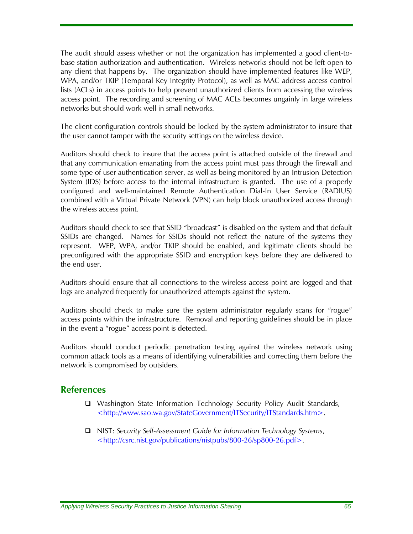The audit should assess whether or not the organization has implemented a good client-tobase station authorization and authentication. Wireless networks should not be left open to any client that happens by. The organization should have implemented features like WEP, WPA, and/or TKIP (Temporal Key Integrity Protocol), as well as MAC address access control lists (ACLs) in access points to help prevent unauthorized clients from accessing the wireless access point. The recording and screening of MAC ACLs becomes ungainly in large wireless networks but should work well in small networks.

The client configuration controls should be locked by the system administrator to insure that the user cannot tamper with the security settings on the wireless device.

Auditors should check to insure that the access point is attached outside of the firewall and that any communication emanating from the access point must pass through the firewall and some type of user authentication server, as well as being monitored by an Intrusion Detection System (IDS) before access to the internal infrastructure is granted. The use of a properly configured and well-maintained Remote Authentication Dial-In User Service (RADIUS) combined with a Virtual Private Network (VPN) can help block unauthorized access through the wireless access point.

Auditors should check to see that SSID "broadcast" is disabled on the system and that default SSIDs are changed. Names for SSIDs should not reflect the nature of the systems they represent. WEP, WPA, and/or TKIP should be enabled, and legitimate clients should be preconfigured with the appropriate SSID and encryption keys before they are delivered to the end user.

Auditors should ensure that all connections to the wireless access point are logged and that logs are analyzed frequently for unauthorized attempts against the system.

Auditors should check to make sure the system administrator regularly scans for "rogue" access points within the infrastructure. Removal and reporting guidelines should be in place in the event a "rogue" access point is detected.

Auditors should conduct periodic penetration testing against the wireless network using common attack tools as a means of identifying vulnerabilities and correcting them before the network is compromised by outsiders.

#### **References**

- □ Washington State Information Technology Security Policy Audit Standards, [<http://www.sao.wa.gov/StateGovernment/ITSecurity/ITStandards.](http://www.sao.wa.gov/StateGovernment/ITSecurityAuditPolicyAuditStandards.asp)htm>.
- NIST: *Security Self-Assessment Guide for Information Technology Systems*, <http://csrc.nist.gov/publications/nistpubs/800-26/sp800-26.pdf>.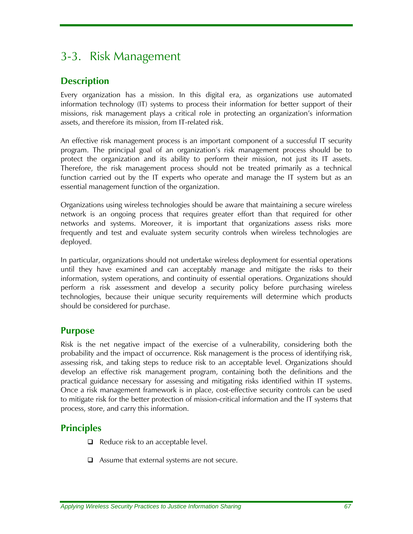# 3-3. Risk Management

# **Description**

Every organization has a mission. In this digital era, as organizations use automated information technology (IT) systems to process their information for better support of their missions, risk management plays a critical role in protecting an organization's information assets, and therefore its mission, from IT-related risk.

An effective risk management process is an important component of a successful IT security program. The principal goal of an organization's risk management process should be to protect the organization and its ability to perform their mission, not just its IT assets. Therefore, the risk management process should not be treated primarily as a technical function carried out by the IT experts who operate and manage the IT system but as an essential management function of the organization.

Organizations using wireless technologies should be aware that maintaining a secure wireless network is an ongoing process that requires greater effort than that required for other networks and systems. Moreover, it is important that organizations assess risks more frequently and test and evaluate system security controls when wireless technologies are deployed.

In particular, organizations should not undertake wireless deployment for essential operations until they have examined and can acceptably manage and mitigate the risks to their information, system operations, and continuity of essential operations. Organizations should perform a risk assessment and develop a security policy before purchasing wireless technologies, because their unique security requirements will determine which products should be considered for purchase.

## **Purpose**

Risk is the net negative impact of the exercise of a vulnerability, considering both the probability and the impact of occurrence. Risk management is the process of identifying risk, assessing risk, and taking steps to reduce risk to an acceptable level. Organizations should develop an effective risk management program, containing both the definitions and the practical guidance necessary for assessing and mitigating risks identified within IT systems. Once a risk management framework is in place, cost-effective security controls can be used to mitigate risk for the better protection of mission-critical information and the IT systems that process, store, and carry this information.

# **Principles**

- $\Box$  Reduce risk to an acceptable level.
- $\Box$  Assume that external systems are not secure.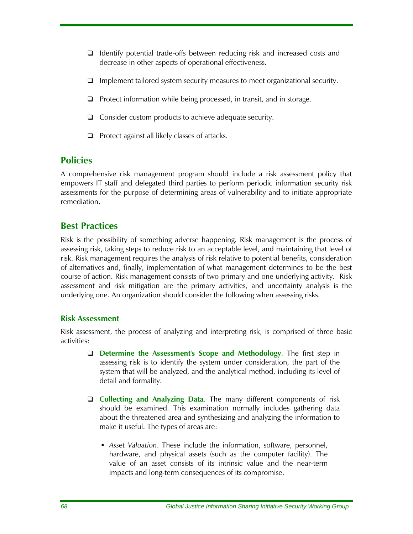- $\Box$  Identify potential trade-offs between reducing risk and increased costs and decrease in other aspects of operational effectiveness.
- $\Box$  Implement tailored system security measures to meet organizational security.
- $\Box$  Protect information while being processed, in transit, and in storage.
- $\Box$  Consider custom products to achieve adequate security.
- $\Box$  Protect against all likely classes of attacks.

## **Policies**

A comprehensive risk management program should include a risk assessment policy that empowers IT staff and delegated third parties to perform periodic information security risk assessments for the purpose of determining areas of vulnerability and to initiate appropriate remediation.

## **Best Practices**

Risk is the possibility of something adverse happening. Risk management is the process of assessing risk, taking steps to reduce risk to an acceptable level, and maintaining that level of risk. Risk management requires the analysis of risk relative to potential benefits, consideration of alternatives and, finally, implementation of what management determines to be the best course of action. Risk management consists of two primary and one underlying activity. Risk assessment and risk mitigation are the primary activities, and uncertainty analysis is the underlying one. An organization should consider the following when assessing risks.

#### **Risk Assessment**

Risk assessment, the process of analyzing and interpreting risk, is comprised of three basic activities:

- **Determine the Assessment's Scope and Methodology**. The first step in assessing risk is to identify the system under consideration, the part of the system that will be analyzed, and the analytical method, including its level of detail and formality.
- **Collecting and Analyzing Data**. The many different components of risk should be examined. This examination normally includes gathering data about the threatened area and synthesizing and analyzing the information to make it useful. The types of areas are:
	- *Asset Valuation*. These include the information, software, personnel, hardware, and physical assets (such as the computer facility). The value of an asset consists of its intrinsic value and the near-term impacts and long-term consequences of its compromise.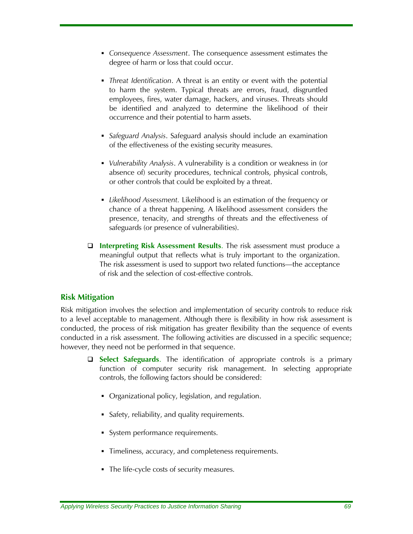- *Consequence Assessment*. The consequence assessment estimates the degree of harm or loss that could occur.
- *Threat Identification*. A threat is an entity or event with the potential to harm the system. Typical threats are errors, fraud, disgruntled employees, fires, water damage, hackers, and viruses. Threats should be identified and analyzed to determine the likelihood of their occurrence and their potential to harm assets.
- *Safeguard Analysis*. Safeguard analysis should include an examination of the effectiveness of the existing security measures.
- *Vulnerability Analysis*. A vulnerability is a condition or weakness in (or absence of) security procedures, technical controls, physical controls, or other controls that could be exploited by a threat.
- *Likelihood Assessment.* Likelihood is an estimation of the frequency or chance of a threat happening. A likelihood assessment considers the presence, tenacity, and strengths of threats and the effectiveness of safeguards (or presence of vulnerabilities).
- **Interpreting Risk Assessment Results**. The risk assessment must produce a meaningful output that reflects what is truly important to the organization. The risk assessment is used to support two related functions—the acceptance of risk and the selection of cost-effective controls.

#### **Risk Mitigation**

Risk mitigation involves the selection and implementation of security controls to reduce risk to a level acceptable to management. Although there is flexibility in how risk assessment is conducted, the process of risk mitigation has greater flexibility than the sequence of events conducted in a risk assessment. The following activities are discussed in a specific sequence; however, they need not be performed in that sequence.

- **Select Safeguards**. The identification of appropriate controls is a primary function of computer security risk management. In selecting appropriate controls, the following factors should be considered:
	- Organizational policy, legislation, and regulation.
	- Safety, reliability, and quality requirements.
	- System performance requirements.
	- **Timeliness, accuracy, and completeness requirements.**
	- The life-cycle costs of security measures.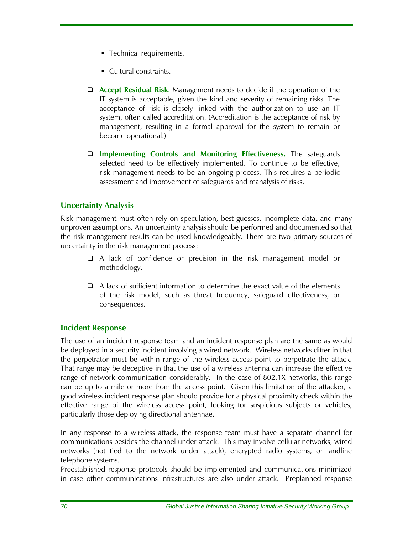- **Technical requirements.**
- Cultural constraints.
- **Accept Residual Risk**. Management needs to decide if the operation of the IT system is acceptable, given the kind and severity of remaining risks. The acceptance of risk is closely linked with the authorization to use an IT system, often called accreditation. (Accreditation is the acceptance of risk by management, resulting in a formal approval for the system to remain or become operational.)
- **Implementing Controls and Monitoring Effectiveness.** The safeguards selected need to be effectively implemented. To continue to be effective, risk management needs to be an ongoing process. This requires a periodic assessment and improvement of safeguards and reanalysis of risks.

#### **Uncertainty Analysis**

Risk management must often rely on speculation, best guesses, incomplete data, and many unproven assumptions. An uncertainty analysis should be performed and documented so that the risk management results can be used knowledgeably. There are two primary sources of uncertainty in the risk management process:

- A lack of confidence or precision in the risk management model or methodology.
- $\Box$  A lack of sufficient information to determine the exact value of the elements of the risk model, such as threat frequency, safeguard effectiveness, or consequences.

#### **Incident Response**

The use of an incident response team and an incident response plan are the same as would be deployed in a security incident involving a wired network. Wireless networks differ in that the perpetrator must be within range of the wireless access point to perpetrate the attack. That range may be deceptive in that the use of a wireless antenna can increase the effective range of network communication considerably. In the case of 802.1X networks, this range can be up to a mile or more from the access point. Given this limitation of the attacker, a good wireless incident response plan should provide for a physical proximity check within the effective range of the wireless access point, looking for suspicious subjects or vehicles, particularly those deploying directional antennae.

In any response to a wireless attack, the response team must have a separate channel for communications besides the channel under attack. This may involve cellular networks, wired networks (not tied to the network under attack), encrypted radio systems, or landline telephone systems.

Preestablished response protocols should be implemented and communications minimized in case other communications infrastructures are also under attack. Preplanned response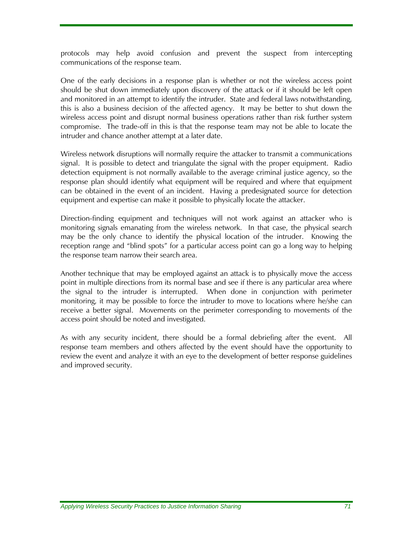protocols may help avoid confusion and prevent the suspect from intercepting communications of the response team.

One of the early decisions in a response plan is whether or not the wireless access point should be shut down immediately upon discovery of the attack or if it should be left open and monitored in an attempt to identify the intruder. State and federal laws notwithstanding, this is also a business decision of the affected agency. It may be better to shut down the wireless access point and disrupt normal business operations rather than risk further system compromise. The trade-off in this is that the response team may not be able to locate the intruder and chance another attempt at a later date.

Wireless network disruptions will normally require the attacker to transmit a communications signal. It is possible to detect and triangulate the signal with the proper equipment. Radio detection equipment is not normally available to the average criminal justice agency, so the response plan should identify what equipment will be required and where that equipment can be obtained in the event of an incident. Having a predesignated source for detection equipment and expertise can make it possible to physically locate the attacker.

Direction-finding equipment and techniques will not work against an attacker who is monitoring signals emanating from the wireless network. In that case, the physical search may be the only chance to identify the physical location of the intruder. Knowing the reception range and "blind spots" for a particular access point can go a long way to helping the response team narrow their search area.

Another technique that may be employed against an attack is to physically move the access point in multiple directions from its normal base and see if there is any particular area where the signal to the intruder is interrupted. When done in conjunction with perimeter monitoring, it may be possible to force the intruder to move to locations where he/she can receive a better signal. Movements on the perimeter corresponding to movements of the access point should be noted and investigated.

As with any security incident, there should be a formal debriefing after the event. All response team members and others affected by the event should have the opportunity to review the event and analyze it with an eye to the development of better response guidelines and improved security.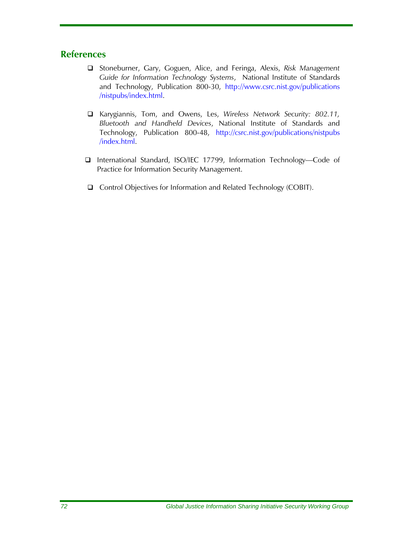#### **References**

- Stoneburner, Gary, Goguen, Alice, and Feringa, Alexis, *Risk Management Guide for Information Technology Systems*, National Institute of Standards and Technology, Publication 800-30, [http://www.csrc.nist.gov/publications](http://www.csrc.nist.gov/publications /nistpubs/index.html)  [/nistpubs/index.html](http://www.csrc.nist.gov/publications /nistpubs/index.html).
- Karygiannis, Tom, and Owens, Les, *Wireless Network Security: 802.11, Bluetooth and Handheld Devices*, National Institute of Standards and Technology, Publication 800-48, [http://csrc.nist.gov/publications/nistpubs](http://csrc.nist.gov/publications/nistpubs /)  [/i](http://csrc.nist.gov/publications/nistpubs /)ndex.html.
- International Standard, ISO/IEC 17799, Information Technology—Code of Practice for Information Security Management.
- □ Control Objectives for Information and Related Technology (COBIT).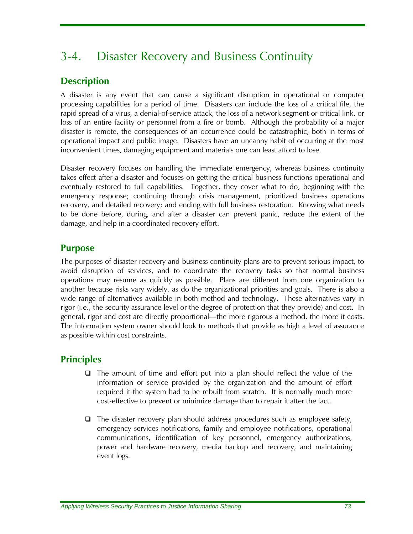# 3-4. Disaster Recovery and Business Continuity

# **Description**

A disaster is any event that can cause a significant disruption in operational or computer processing capabilities for a period of time. Disasters can include the loss of a critical file, the rapid spread of a virus, a denial-of-service attack, the loss of a network segment or critical link, or loss of an entire facility or personnel from a fire or bomb. Although the probability of a major disaster is remote, the consequences of an occurrence could be catastrophic, both in terms of operational impact and public image. Disasters have an uncanny habit of occurring at the most inconvenient times, damaging equipment and materials one can least afford to lose.

Disaster recovery focuses on handling the immediate emergency, whereas business continuity takes effect after a disaster and focuses on getting the critical business functions operational and eventually restored to full capabilities. Together, they cover what to do, beginning with the emergency response; continuing through crisis management, prioritized business operations recovery, and detailed recovery; and ending with full business restoration. Knowing what needs to be done before, during, and after a disaster can prevent panic, reduce the extent of the damage, and help in a coordinated recovery effort.

# **Purpose**

The purposes of disaster recovery and business continuity plans are to prevent serious impact, to avoid disruption of services, and to coordinate the recovery tasks so that normal business operations may resume as quickly as possible. Plans are different from one organization to another because risks vary widely, as do the organizational priorities and goals. There is also a wide range of alternatives available in both method and technology. These alternatives vary in rigor (i.e., the security assurance level or the degree of protection that they provide) and cost. In general, rigor and cost are directly proportional—the more rigorous a method, the more it costs. The information system owner should look to methods that provide as high a level of assurance as possible within cost constraints.

# **Principles**

- $\Box$  The amount of time and effort put into a plan should reflect the value of the information or service provided by the organization and the amount of effort required if the system had to be rebuilt from scratch. It is normally much more cost-effective to prevent or minimize damage than to repair it after the fact.
- $\Box$  The disaster recovery plan should address procedures such as employee safety, emergency services notifications, family and employee notifications, operational communications, identification of key personnel, emergency authorizations, power and hardware recovery, media backup and recovery, and maintaining event logs.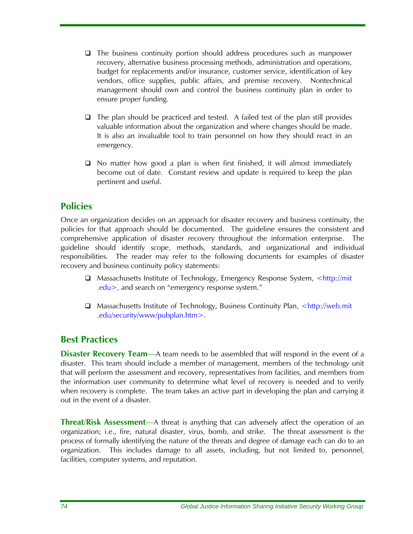- $\Box$  The business continuity portion should address procedures such as manpower recovery, alternative business processing methods, administration and operations, budget for replacements and/or insurance, customer service, identification of key vendors, office supplies, public affairs, and premise recovery. Nontechnical management should own and control the business continuity plan in order to ensure proper funding.
- $\Box$  The plan should be practiced and tested. A failed test of the plan still provides valuable information about the organization and where changes should be made. It is also an invaluable tool to train personnel on how they should react in an emergency.
- □ No matter how good a plan is when first finished, it will almost immediately become out of date. Constant review and update is required to keep the plan pertinent and useful.

## **Policies**

Once an organization decides on an approach for disaster recovery and business continuity, the policies for that approach should be documented. The guideline ensures the consistent and comprehensive application of disaster recovery throughout the information enterprise. The guideline should identify scope, methods, standards, and organizational and individual responsibilities. The reader may refer to the following documents for examples of disaster recovery and business continuity policy statements:

- □ Massachusetts Institute of Technology, Emergency Response System, <http://mit .edu>, and search on "emergency response system."
- $\Box$  Massachusetts Institute of Technology, Business Continuity Plan, <http://web.mit .edu/security/www/pubplan.htm>.

## **Best Practices**

**Disaster Recovery Team—A** team needs to be assembled that will respond in the event of a disaster. This team should include a member of management, members of the technology unit that will perform the assessment and recovery, representatives from facilities, and members from the information user community to determine what level of recovery is needed and to verify when recovery is complete. The team takes an active part in developing the plan and carrying it out in the event of a disaster.

**Threat/Risk Assessment**—A threat is anything that can adversely affect the operation of an organization; i.e., fire, natural disaster, virus, bomb, and strike. The threat assessment is the process of formally identifying the nature of the threats and degree of damage each can do to an organization. This includes damage to all assets, including, but not limited to, personnel, facilities, computer systems, and reputation.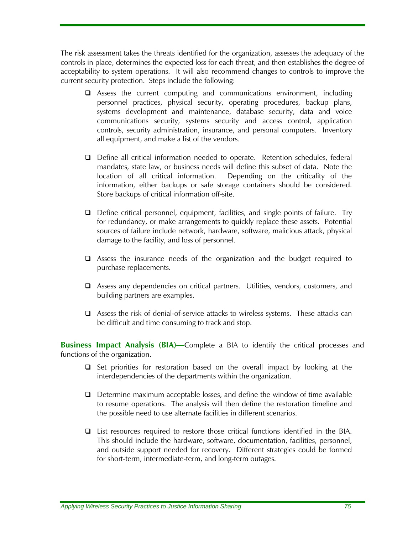The risk assessment takes the threats identified for the organization, assesses the adequacy of the controls in place, determines the expected loss for each threat, and then establishes the degree of acceptability to system operations. It will also recommend changes to controls to improve the current security protection. Steps include the following:

- $\Box$  Assess the current computing and communications environment, including personnel practices, physical security, operating procedures, backup plans, systems development and maintenance, database security, data and voice communications security, systems security and access control, application controls, security administration, insurance, and personal computers. Inventory all equipment, and make a list of the vendors.
- Define all critical information needed to operate. Retention schedules, federal mandates, state law, or business needs will define this subset of data. Note the location of all critical information. Depending on the criticality of the information, either backups or safe storage containers should be considered. Store backups of critical information off-site.
- $\Box$  Define critical personnel, equipment, facilities, and single points of failure. Try for redundancy, or make arrangements to quickly replace these assets. Potential sources of failure include network, hardware, software, malicious attack, physical damage to the facility, and loss of personnel.
- Assess the insurance needs of the organization and the budget required to purchase replacements.
- Assess any dependencies on critical partners. Utilities, vendors, customers, and building partners are examples.
- Assess the risk of denial-of-service attacks to wireless systems. These attacks can be difficult and time consuming to track and stop.

**Business Impact Analysis (BIA)—Complete a BIA to identify the critical processes and** functions of the organization.

- $\Box$  Set priorities for restoration based on the overall impact by looking at the interdependencies of the departments within the organization.
- $\Box$  Determine maximum acceptable losses, and define the window of time available to resume operations. The analysis will then define the restoration timeline and the possible need to use alternate facilities in different scenarios.
- List resources required to restore those critical functions identified in the BIA. This should include the hardware, software, documentation, facilities, personnel, and outside support needed for recovery. Different strategies could be formed for short-term, intermediate-term, and long-term outages.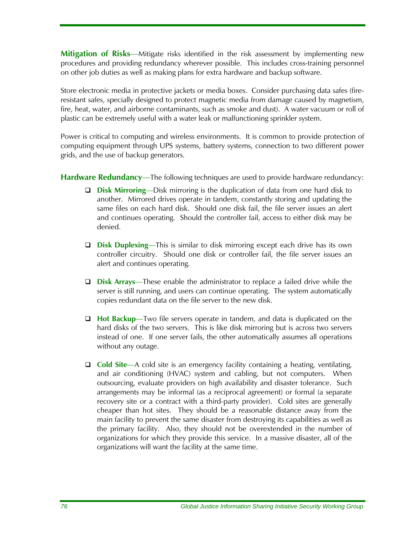**Mitigation of Risks**—Mitigate risks identified in the risk assessment by implementing new procedures and providing redundancy wherever possible. This includes cross-training personnel on other job duties as well as making plans for extra hardware and backup software.

Store electronic media in protective jackets or media boxes. Consider purchasing data safes (fireresistant safes, specially designed to protect magnetic media from damage caused by magnetism, fire, heat, water, and airborne contaminants, such as smoke and dust). A water vacuum or roll of plastic can be extremely useful with a water leak or malfunctioning sprinkler system.

Power is critical to computing and wireless environments. It is common to provide protection of computing equipment through UPS systems, battery systems, connection to two different power grids, and the use of backup generators.

**Hardware Redundancy**—The following techniques are used to provide hardware redundancy:

- **Disk Mirroring**—Disk mirroring is the duplication of data from one hard disk to another. Mirrored drives operate in tandem, constantly storing and updating the same files on each hard disk. Should one disk fail, the file server issues an alert and continues operating. Should the controller fail, access to either disk may be denied.
- **Disk Duplexing**—This is similar to disk mirroring except each drive has its own controller circuitry. Should one disk or controller fail, the file server issues an alert and continues operating.
- **Disk Arrays**—These enable the administrator to replace a failed drive while the server is still running, and users can continue operating. The system automatically copies redundant data on the file server to the new disk.
- **Hot Backup**—Two file servers operate in tandem, and data is duplicated on the hard disks of the two servers. This is like disk mirroring but is across two servers instead of one. If one server fails, the other automatically assumes all operations without any outage.
- **Cold Site**—A cold site is an emergency facility containing a heating, ventilating, and air conditioning (HVAC) system and cabling, but not computers. When outsourcing, evaluate providers on high availability and disaster tolerance. Such arrangements may be informal (as a reciprocal agreement) or formal (a separate recovery site or a contract with a third-party provider). Cold sites are generally cheaper than hot sites. They should be a reasonable distance away from the main facility to prevent the same disaster from destroying its capabilities as well as the primary facility. Also, they should not be overextended in the number of organizations for which they provide this service. In a massive disaster, all of the organizations will want the facility at the same time.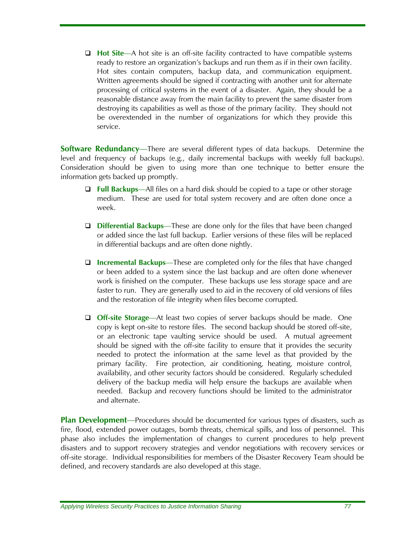**Hot Site**—A hot site is an off-site facility contracted to have compatible systems ready to restore an organization's backups and run them as if in their own facility. Hot sites contain computers, backup data, and communication equipment. Written agreements should be signed if contracting with another unit for alternate processing of critical systems in the event of a disaster. Again, they should be a reasonable distance away from the main facility to prevent the same disaster from destroying its capabilities as well as those of the primary facility. They should not be overextended in the number of organizations for which they provide this service.

**Software Redundancy**—There are several different types of data backups. Determine the level and frequency of backups (e.g., daily incremental backups with weekly full backups). Consideration should be given to using more than one technique to better ensure the information gets backed up promptly.

- **Full Backups**—All files on a hard disk should be copied to a tape or other storage medium. These are used for total system recovery and are often done once a week.
- **Differential Backups**—These are done only for the files that have been changed or added since the last full backup. Earlier versions of these files will be replaced in differential backups and are often done nightly.
- **Incremental Backups**—These are completed only for the files that have changed or been added to a system since the last backup and are often done whenever work is finished on the computer. These backups use less storage space and are faster to run. They are generally used to aid in the recovery of old versions of files and the restoration of file integrity when files become corrupted.
- **Off-site Storage**—At least two copies of server backups should be made. One copy is kept on-site to restore files. The second backup should be stored off-site, or an electronic tape vaulting service should be used. A mutual agreement should be signed with the off-site facility to ensure that it provides the security needed to protect the information at the same level as that provided by the primary facility. Fire protection, air conditioning, heating, moisture control, availability, and other security factors should be considered. Regularly scheduled delivery of the backup media will help ensure the backups are available when needed. Backup and recovery functions should be limited to the administrator and alternate.

**Plan Development**—Procedures should be documented for various types of disasters, such as fire, flood, extended power outages, bomb threats, chemical spills, and loss of personnel. This phase also includes the implementation of changes to current procedures to help prevent disasters and to support recovery strategies and vendor negotiations with recovery services or off-site storage. Individual responsibilities for members of the Disaster Recovery Team should be defined, and recovery standards are also developed at this stage.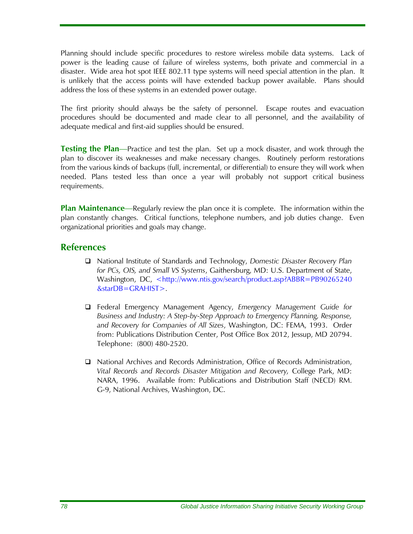Planning should include specific procedures to restore wireless mobile data systems. Lack of power is the leading cause of failure of wireless systems, both private and commercial in a disaster. Wide area hot spot IEEE 802.11 type systems will need special attention in the plan. It is unlikely that the access points will have extended backup power available. Plans should address the loss of these systems in an extended power outage.

The first priority should always be the safety of personnel. Escape routes and evacuation procedures should be documented and made clear to all personnel, and the availability of adequate medical and first-aid supplies should be ensured.

**Testing the Plan**—Practice and test the plan. Set up a mock disaster, and work through the plan to discover its weaknesses and make necessary changes. Routinely perform restorations from the various kinds of backups (full, incremental, or differential) to ensure they will work when needed. Plans tested less than once a year will probably not support critical business requirements.

**Plan Maintenance**—Regularly review the plan once it is complete. The information within the plan constantly changes. Critical functions, telephone numbers, and job duties change. Even organizational priorities and goals may change.

#### **References**

- National Institute of Standards and Technology, *Domestic Disaster Recovery Plan for PCs, OIS, and Small VS Systems*, Gaithersburg, MD: U.S. Department of State, Washington, DC, <http://www.ntis.gov/search/product.asp?ABBR=PB90265240 &starDB=GRAHIST>.
- Federal Emergency Management Agency, *Emergency Management Guide for Business and Industry: A Step-by-Step Approach to Emergency Planning, Response, and Recovery for Companies of All Sizes*, Washington, DC: FEMA, 1993. Order from: Publications Distribution Center, Post Office Box 2012, Jessup, MD 20794. Telephone: (800) 480-2520.
- National Archives and Records Administration, Office of Records Administration, *Vital Records and Records Disaster Mitigation and Recovery,* College Park, MD: NARA, 1996. Available from: Publications and Distribution Staff (NECD) RM. G-9, National Archives, Washington, DC.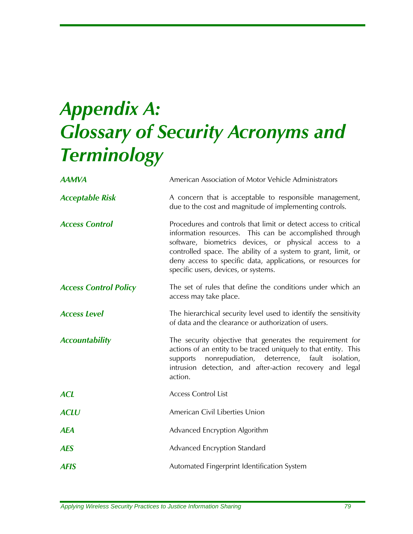# *Appendix A: Glossary of Security Acronyms and Terminology*

| <b>AAMVA</b>                 | American Association of Motor Vehicle Administrators                                                                                                                                                                                                                                                                                                         |
|------------------------------|--------------------------------------------------------------------------------------------------------------------------------------------------------------------------------------------------------------------------------------------------------------------------------------------------------------------------------------------------------------|
| <b>Acceptable Risk</b>       | A concern that is acceptable to responsible management,<br>due to the cost and magnitude of implementing controls.                                                                                                                                                                                                                                           |
| <b>Access Control</b>        | Procedures and controls that limit or detect access to critical<br>information resources. This can be accomplished through<br>software, biometrics devices, or physical access to a<br>controlled space. The ability of a system to grant, limit, or<br>deny access to specific data, applications, or resources for<br>specific users, devices, or systems. |
| <b>Access Control Policy</b> | The set of rules that define the conditions under which an<br>access may take place.                                                                                                                                                                                                                                                                         |
| <b>Access Level</b>          | The hierarchical security level used to identify the sensitivity<br>of data and the clearance or authorization of users.                                                                                                                                                                                                                                     |
| <b>Accountability</b>        | The security objective that generates the requirement for<br>actions of an entity to be traced uniquely to that entity. This<br>nonrepudiation, deterrence, fault<br>isolation,<br>supports<br>intrusion detection, and after-action recovery and legal<br>action.                                                                                           |
| <b>ACL</b>                   | <b>Access Control List</b>                                                                                                                                                                                                                                                                                                                                   |
| <b>ACLU</b>                  | American Civil Liberties Union                                                                                                                                                                                                                                                                                                                               |
| <b>AEA</b>                   | Advanced Encryption Algorithm                                                                                                                                                                                                                                                                                                                                |
| <b>AES</b>                   | Advanced Encryption Standard                                                                                                                                                                                                                                                                                                                                 |
| <b>AFIS</b>                  | Automated Fingerprint Identification System                                                                                                                                                                                                                                                                                                                  |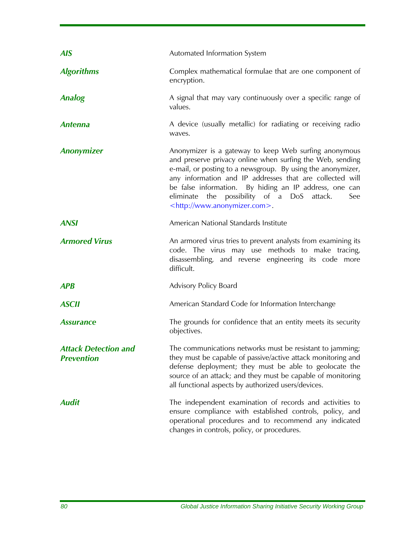| <b>AIS</b>                                       | Automated Information System                                                                                                                                                                                                                                                                                                                                                                           |
|--------------------------------------------------|--------------------------------------------------------------------------------------------------------------------------------------------------------------------------------------------------------------------------------------------------------------------------------------------------------------------------------------------------------------------------------------------------------|
| <b>Algorithms</b>                                | Complex mathematical formulae that are one component of<br>encryption.                                                                                                                                                                                                                                                                                                                                 |
| <b>Analog</b>                                    | A signal that may vary continuously over a specific range of<br>values.                                                                                                                                                                                                                                                                                                                                |
| <b>Antenna</b>                                   | A device (usually metallic) for radiating or receiving radio<br>waves.                                                                                                                                                                                                                                                                                                                                 |
| <b>Anonymizer</b>                                | Anonymizer is a gateway to keep Web surfing anonymous<br>and preserve privacy online when surfing the Web, sending<br>e-mail, or posting to a newsgroup. By using the anonymizer,<br>any information and IP addresses that are collected will<br>be false information. By hiding an IP address, one can<br>eliminate the possibility of a DoS attack.<br>See<br><http: www.anonymizer.com="">.</http:> |
| <b>ANSI</b>                                      | American National Standards Institute                                                                                                                                                                                                                                                                                                                                                                  |
| <b>Armored Virus</b>                             | An armored virus tries to prevent analysts from examining its<br>code. The virus may use methods to make tracing,<br>disassembling, and reverse engineering its code more<br>difficult.                                                                                                                                                                                                                |
| <b>APB</b>                                       | Advisory Policy Board                                                                                                                                                                                                                                                                                                                                                                                  |
| <b>ASCII</b>                                     | American Standard Code for Information Interchange                                                                                                                                                                                                                                                                                                                                                     |
| <b>Assurance</b>                                 | The grounds for confidence that an entity meets its security<br>objectives.                                                                                                                                                                                                                                                                                                                            |
| <b>Attack Detection and</b><br><b>Prevention</b> | The communications networks must be resistant to jamming;<br>they must be capable of passive/active attack monitoring and<br>defense deployment; they must be able to geolocate the<br>source of an attack; and they must be capable of monitoring<br>all functional aspects by authorized users/devices.                                                                                              |
| <b>Audit</b>                                     | The independent examination of records and activities to<br>ensure compliance with established controls, policy, and<br>operational procedures and to recommend any indicated<br>changes in controls, policy, or procedures.                                                                                                                                                                           |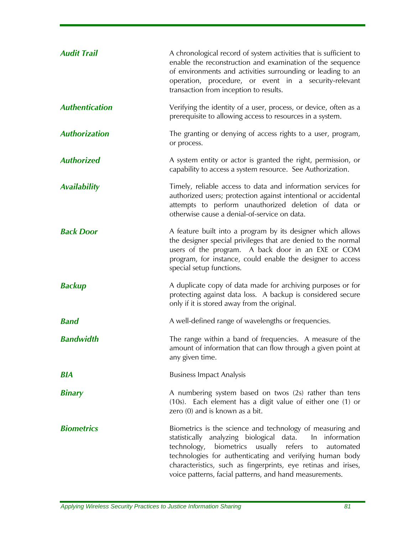| <b>Audit Trail</b>    | A chronological record of system activities that is sufficient to<br>enable the reconstruction and examination of the sequence<br>of environments and activities surrounding or leading to an<br>operation, procedure, or event in a security-relevant<br>transaction from inception to results.                                                                                      |
|-----------------------|---------------------------------------------------------------------------------------------------------------------------------------------------------------------------------------------------------------------------------------------------------------------------------------------------------------------------------------------------------------------------------------|
| <b>Authentication</b> | Verifying the identity of a user, process, or device, often as a<br>prerequisite to allowing access to resources in a system.                                                                                                                                                                                                                                                         |
| <b>Authorization</b>  | The granting or denying of access rights to a user, program,<br>or process.                                                                                                                                                                                                                                                                                                           |
| <b>Authorized</b>     | A system entity or actor is granted the right, permission, or<br>capability to access a system resource. See Authorization.                                                                                                                                                                                                                                                           |
| <b>Availability</b>   | Timely, reliable access to data and information services for<br>authorized users; protection against intentional or accidental<br>attempts to perform unauthorized deletion of data or<br>otherwise cause a denial-of-service on data.                                                                                                                                                |
| <b>Back Door</b>      | A feature built into a program by its designer which allows<br>the designer special privileges that are denied to the normal<br>users of the program. A back door in an EXE or COM<br>program, for instance, could enable the designer to access<br>special setup functions.                                                                                                          |
| <b>Backup</b>         | A duplicate copy of data made for archiving purposes or for<br>protecting against data loss. A backup is considered secure<br>only if it is stored away from the original.                                                                                                                                                                                                            |
| <b>Band</b>           | A well-defined range of wavelengths or frequencies.                                                                                                                                                                                                                                                                                                                                   |
| <b>Bandwidth</b>      | The range within a band of frequencies. A measure of the<br>amount of information that can flow through a given point at<br>any given time.                                                                                                                                                                                                                                           |
| <b>BIA</b>            | <b>Business Impact Analysis</b>                                                                                                                                                                                                                                                                                                                                                       |
| <b>Binary</b>         | A numbering system based on twos (2s) rather than tens<br>(10s). Each element has a digit value of either one (1) or<br>zero (0) and is known as a bit.                                                                                                                                                                                                                               |
| <b>Biometrics</b>     | Biometrics is the science and technology of measuring and<br>statistically analyzing biological data.<br>In information<br>technology,<br>biometrics<br>usually<br>refers<br>automated<br>to<br>technologies for authenticating and verifying human body<br>characteristics, such as fingerprints, eye retinas and irises,<br>voice patterns, facial patterns, and hand measurements. |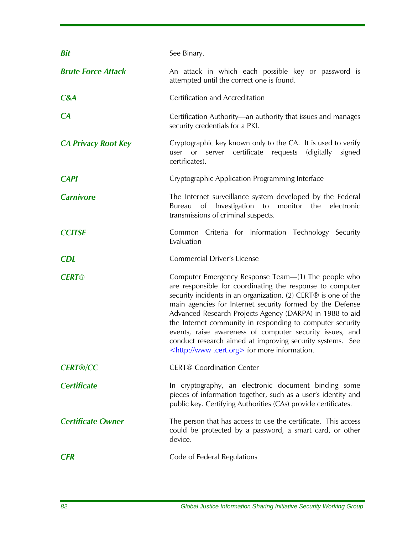| <b>Bit</b>                 | See Binary.                                                                                                                                                                                                                                                                                                                                                                                                                                                                                                                                                |
|----------------------------|------------------------------------------------------------------------------------------------------------------------------------------------------------------------------------------------------------------------------------------------------------------------------------------------------------------------------------------------------------------------------------------------------------------------------------------------------------------------------------------------------------------------------------------------------------|
| <b>Brute Force Attack</b>  | An attack in which each possible key or password is<br>attempted until the correct one is found.                                                                                                                                                                                                                                                                                                                                                                                                                                                           |
| C&A                        | Certification and Accreditation                                                                                                                                                                                                                                                                                                                                                                                                                                                                                                                            |
| CA                         | Certification Authority—an authority that issues and manages<br>security credentials for a PKI.                                                                                                                                                                                                                                                                                                                                                                                                                                                            |
| <b>CA Privacy Root Key</b> | Cryptographic key known only to the CA. It is used to verify<br>certificate<br>(digitally)<br>requests<br>signed<br>user<br>or<br>server<br>certificates).                                                                                                                                                                                                                                                                                                                                                                                                 |
| <b>CAPI</b>                | Cryptographic Application Programming Interface                                                                                                                                                                                                                                                                                                                                                                                                                                                                                                            |
| <b>Carnivore</b>           | The Internet surveillance system developed by the Federal<br>of Investigation to<br>Bureau<br>monitor the<br>electronic<br>transmissions of criminal suspects.                                                                                                                                                                                                                                                                                                                                                                                             |
| <b>CCITSE</b>              | Common Criteria for Information Technology Security<br>Evaluation                                                                                                                                                                                                                                                                                                                                                                                                                                                                                          |
| <b>CDL</b>                 | <b>Commercial Driver's License</b>                                                                                                                                                                                                                                                                                                                                                                                                                                                                                                                         |
| <b>CERT®</b>               | Computer Emergency Response Team—(1) The people who<br>are responsible for coordinating the response to computer<br>security incidents in an organization. (2) CERT® is one of the<br>main agencies for Internet security formed by the Defense<br>Advanced Research Projects Agency (DARPA) in 1988 to aid<br>the Internet community in responding to computer security<br>events, raise awareness of computer security issues, and<br>conduct research aimed at improving security systems. See<br><http: www.cert.org=""> for more information.</http:> |
| <b>CERT®/CC</b>            | <b>CERT®</b> Coordination Center                                                                                                                                                                                                                                                                                                                                                                                                                                                                                                                           |
| <b>Certificate</b>         | In cryptography, an electronic document binding some<br>pieces of information together, such as a user's identity and<br>public key. Certifying Authorities (CAs) provide certificates.                                                                                                                                                                                                                                                                                                                                                                    |
| <b>Certificate Owner</b>   | The person that has access to use the certificate. This access<br>could be protected by a password, a smart card, or other<br>device.                                                                                                                                                                                                                                                                                                                                                                                                                      |
|                            |                                                                                                                                                                                                                                                                                                                                                                                                                                                                                                                                                            |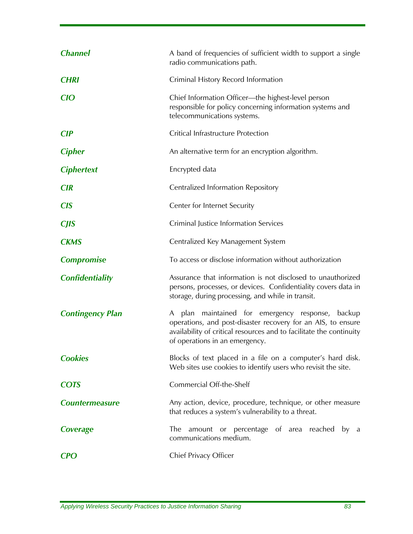| <b>Channel</b>          | A band of frequencies of sufficient width to support a single<br>radio communications path.                                                                                                                               |
|-------------------------|---------------------------------------------------------------------------------------------------------------------------------------------------------------------------------------------------------------------------|
| <b>CHRI</b>             | Criminal History Record Information                                                                                                                                                                                       |
| <b>CIO</b>              | Chief Information Officer—the highest-level person<br>responsible for policy concerning information systems and<br>telecommunications systems.                                                                            |
| <b>CIP</b>              | Critical Infrastructure Protection                                                                                                                                                                                        |
| <b>Cipher</b>           | An alternative term for an encryption algorithm.                                                                                                                                                                          |
| <b>Ciphertext</b>       | Encrypted data                                                                                                                                                                                                            |
| <b>CIR</b>              | Centralized Information Repository                                                                                                                                                                                        |
| <b>CIS</b>              | Center for Internet Security                                                                                                                                                                                              |
| <b>CJIS</b>             | Criminal Justice Information Services                                                                                                                                                                                     |
| <b>CKMS</b>             | Centralized Key Management System                                                                                                                                                                                         |
| <b>Compromise</b>       | To access or disclose information without authorization                                                                                                                                                                   |
|                         |                                                                                                                                                                                                                           |
| <b>Confidentiality</b>  | Assurance that information is not disclosed to unauthorized<br>persons, processes, or devices. Confidentiality covers data in<br>storage, during processing, and while in transit.                                        |
| <b>Contingency Plan</b> | A plan maintained for emergency response, backup<br>operations, and post-disaster recovery for an AIS, to ensure<br>availability of critical resources and to facilitate the continuity<br>of operations in an emergency. |
| <b>Cookies</b>          | Blocks of text placed in a file on a computer's hard disk.<br>Web sites use cookies to identify users who revisit the site.                                                                                               |
| <b>COTS</b>             | Commercial Off-the-Shelf                                                                                                                                                                                                  |
| <b>Countermeasure</b>   | Any action, device, procedure, technique, or other measure<br>that reduces a system's vulnerability to a threat.                                                                                                          |
| Coverage                | amount or percentage of area reached by a<br>The<br>communications medium.                                                                                                                                                |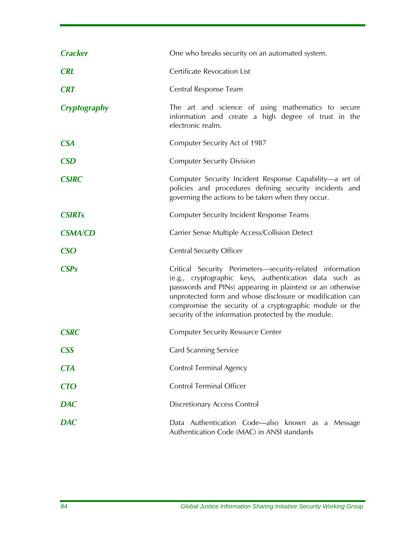| <b>Cracker</b> | One who breaks security on an automated system.                                                                                                                                                                                                                                                                                                                    |
|----------------|--------------------------------------------------------------------------------------------------------------------------------------------------------------------------------------------------------------------------------------------------------------------------------------------------------------------------------------------------------------------|
| <b>CRL</b>     | <b>Certificate Revocation List</b>                                                                                                                                                                                                                                                                                                                                 |
| <b>CRT</b>     | Central Response Team                                                                                                                                                                                                                                                                                                                                              |
| Cryptography   | The art and science of using mathematics to secure<br>information and create a high degree of trust in the<br>electronic realm.                                                                                                                                                                                                                                    |
| <b>CSA</b>     | Computer Security Act of 1987                                                                                                                                                                                                                                                                                                                                      |
| <b>CSD</b>     | <b>Computer Security Division</b>                                                                                                                                                                                                                                                                                                                                  |
| <b>CSIRC</b>   | Computer Security Incident Response Capability-a set of<br>policies and procedures defining security incidents and<br>governing the actions to be taken when they occur.                                                                                                                                                                                           |
| <b>CSIRTs</b>  | <b>Computer Security Incident Response Teams</b>                                                                                                                                                                                                                                                                                                                   |
| <b>CSMA/CD</b> | Carrier Sense Multiple Access/Collision Detect                                                                                                                                                                                                                                                                                                                     |
| <b>CSO</b>     | <b>Central Security Officer</b>                                                                                                                                                                                                                                                                                                                                    |
| <b>CSPs</b>    | Critical Security Perimeters-security-related information<br>(e.g., cryptographic keys, authentication data such as<br>passwords and PINs) appearing in plaintext or an otherwise<br>unprotected form and whose disclosure or modification can<br>compromise the security of a cryptographic module or the<br>security of the information protected by the module. |
| <b>CSRC</b>    | <b>Computer Security Resource Center</b>                                                                                                                                                                                                                                                                                                                           |
| <b>CSS</b>     | <b>Card Scanning Service</b>                                                                                                                                                                                                                                                                                                                                       |
| <b>CTA</b>     | <b>Control Terminal Agency</b>                                                                                                                                                                                                                                                                                                                                     |
| <b>CTO</b>     | <b>Control Terminal Officer</b>                                                                                                                                                                                                                                                                                                                                    |
| <b>DAC</b>     | <b>Discretionary Access Control</b>                                                                                                                                                                                                                                                                                                                                |
| <b>DAC</b>     | Data Authentication Code-also known as a Message                                                                                                                                                                                                                                                                                                                   |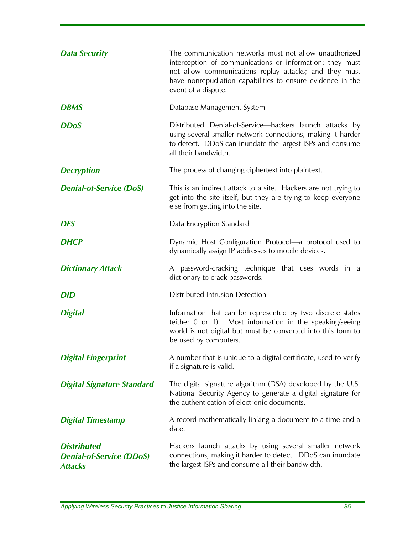| <b>Data Security</b>                                                    | The communication networks must not allow unauthorized<br>interception of communications or information; they must<br>not allow communications replay attacks; and they must<br>have nonrepudiation capabilities to ensure evidence in the<br>event of a dispute. |
|-------------------------------------------------------------------------|-------------------------------------------------------------------------------------------------------------------------------------------------------------------------------------------------------------------------------------------------------------------|
| <b>DBMS</b>                                                             | Database Management System                                                                                                                                                                                                                                        |
| <b>DDoS</b>                                                             | Distributed Denial-of-Service-hackers launch attacks by<br>using several smaller network connections, making it harder<br>to detect. DDoS can inundate the largest ISPs and consume<br>all their bandwidth.                                                       |
| <b>Decryption</b>                                                       | The process of changing ciphertext into plaintext.                                                                                                                                                                                                                |
| <b>Denial-of-Service (DoS)</b>                                          | This is an indirect attack to a site. Hackers are not trying to<br>get into the site itself, but they are trying to keep everyone<br>else from getting into the site.                                                                                             |
| <b>DES</b>                                                              | Data Encryption Standard                                                                                                                                                                                                                                          |
| <b>DHCP</b>                                                             | Dynamic Host Configuration Protocol-a protocol used to<br>dynamically assign IP addresses to mobile devices.                                                                                                                                                      |
| <b>Dictionary Attack</b>                                                | A password-cracking technique that uses words in a<br>dictionary to crack passwords.                                                                                                                                                                              |
| <b>DID</b>                                                              | Distributed Intrusion Detection                                                                                                                                                                                                                                   |
| <b>Digital</b>                                                          | Information that can be represented by two discrete states<br>(either 0 or 1). Most information in the speaking/seeing<br>world is not digital but must be converted into this form to<br>be used by computers.                                                   |
| <b>Digital Fingerprint</b>                                              | A number that is unique to a digital certificate, used to verify<br>if a signature is valid.                                                                                                                                                                      |
| <b>Digital Signature Standard</b>                                       | The digital signature algorithm (DSA) developed by the U.S.<br>National Security Agency to generate a digital signature for<br>the authentication of electronic documents.                                                                                        |
| <b>Digital Timestamp</b>                                                | A record mathematically linking a document to a time and a<br>date.                                                                                                                                                                                               |
| <b>Distributed</b><br><b>Denial-of-Service (DDoS)</b><br><b>Attacks</b> | Hackers launch attacks by using several smaller network<br>connections, making it harder to detect. DDoS can inundate<br>the largest ISPs and consume all their bandwidth.                                                                                        |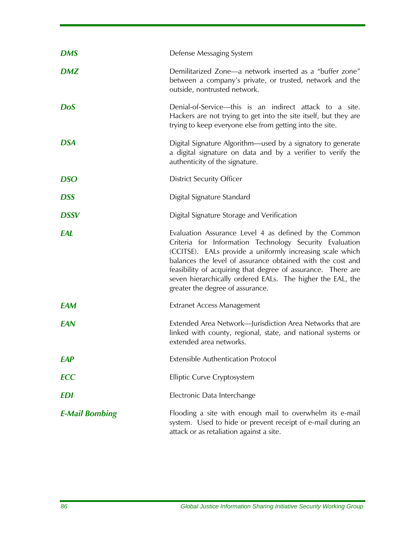| <b>DMS</b>            | Defense Messaging System                                                                                                                                                                                                                                                                                                                                                                                      |
|-----------------------|---------------------------------------------------------------------------------------------------------------------------------------------------------------------------------------------------------------------------------------------------------------------------------------------------------------------------------------------------------------------------------------------------------------|
| <b>DMZ</b>            | Demilitarized Zone-a network inserted as a "buffer zone"<br>between a company's private, or trusted, network and the<br>outside, nontrusted network.                                                                                                                                                                                                                                                          |
| <b>DoS</b>            | Denial-of-Service—this is an indirect attack to a site.<br>Hackers are not trying to get into the site itself, but they are<br>trying to keep everyone else from getting into the site.                                                                                                                                                                                                                       |
| <b>DSA</b>            | Digital Signature Algorithm—used by a signatory to generate<br>a digital signature on data and by a verifier to verify the<br>authenticity of the signature.                                                                                                                                                                                                                                                  |
| <b>DSO</b>            | <b>District Security Officer</b>                                                                                                                                                                                                                                                                                                                                                                              |
| <b>DSS</b>            | Digital Signature Standard                                                                                                                                                                                                                                                                                                                                                                                    |
| <b>DSSV</b>           | Digital Signature Storage and Verification                                                                                                                                                                                                                                                                                                                                                                    |
| EAL                   | Evaluation Assurance Level 4 as defined by the Common<br>Criteria for Information Technology Security Evaluation<br>(CCITSE). EALs provide a uniformly increasing scale which<br>balances the level of assurance obtained with the cost and<br>feasibility of acquiring that degree of assurance. There are<br>seven hierarchically ordered EALs. The higher the EAL, the<br>greater the degree of assurance. |
| <b>EAM</b>            | <b>Extranet Access Management</b>                                                                                                                                                                                                                                                                                                                                                                             |
| EAN                   | Extended Area Network—Jurisdiction Area Networks that are<br>linked with county, regional, state, and national systems or<br>extended area networks.                                                                                                                                                                                                                                                          |
| <b>EAP</b>            | <b>Extensible Authentication Protocol</b>                                                                                                                                                                                                                                                                                                                                                                     |
| <b>ECC</b>            | Elliptic Curve Cryptosystem                                                                                                                                                                                                                                                                                                                                                                                   |
| EDI                   | Electronic Data Interchange                                                                                                                                                                                                                                                                                                                                                                                   |
| <b>E-Mail Bombing</b> | Flooding a site with enough mail to overwhelm its e-mail<br>system. Used to hide or prevent receipt of e-mail during an<br>attack or as retaliation against a site.                                                                                                                                                                                                                                           |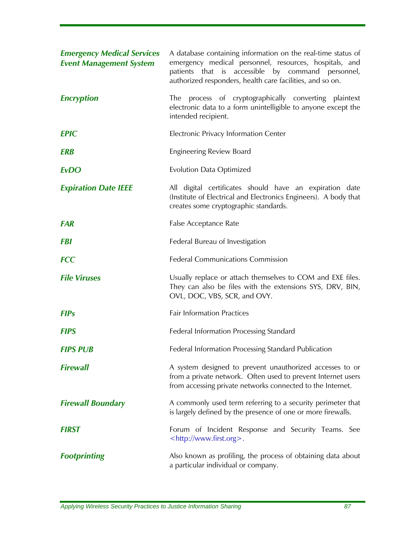| <b>Emergency Medical Services</b><br><b>Event Management System</b> | A database containing information on the real-time status of<br>emergency medical personnel, resources, hospitals, and<br>patients that is accessible by command personnel,<br>authorized responders, health care facilities, and so on. |
|---------------------------------------------------------------------|------------------------------------------------------------------------------------------------------------------------------------------------------------------------------------------------------------------------------------------|
| <b>Encryption</b>                                                   | The process of cryptographically converting plaintext<br>electronic data to a form unintelligible to anyone except the<br>intended recipient.                                                                                            |
| <b>EPIC</b>                                                         | Electronic Privacy Information Center                                                                                                                                                                                                    |
| <b>ERB</b>                                                          | <b>Engineering Review Board</b>                                                                                                                                                                                                          |
| <b>EvDO</b>                                                         | <b>Evolution Data Optimized</b>                                                                                                                                                                                                          |
| <b>Expiration Date IEEE</b>                                         | All digital certificates should have an expiration date<br>(Institute of Electrical and Electronics Engineers). A body that<br>creates some cryptographic standards.                                                                     |
| <b>FAR</b>                                                          | False Acceptance Rate                                                                                                                                                                                                                    |
| <b>FBI</b>                                                          | Federal Bureau of Investigation                                                                                                                                                                                                          |
| <b>FCC</b>                                                          | <b>Federal Communications Commission</b>                                                                                                                                                                                                 |
| <b>File Viruses</b>                                                 | Usually replace or attach themselves to COM and EXE files.<br>They can also be files with the extensions SYS, DRV, BIN,<br>OVL, DOC, VBS, SCR, and OVY.                                                                                  |
| <b>FIPs</b>                                                         | <b>Fair Information Practices</b>                                                                                                                                                                                                        |
| <b>FIPS</b>                                                         | <b>Federal Information Processing Standard</b>                                                                                                                                                                                           |
| <b>FIPS PUB</b>                                                     | Federal Information Processing Standard Publication                                                                                                                                                                                      |
| <b>Firewall</b>                                                     | A system designed to prevent unauthorized accesses to or<br>from a private network. Often used to prevent Internet users<br>from accessing private networks connected to the Internet.                                                   |
| <b>Firewall Boundary</b>                                            | A commonly used term referring to a security perimeter that<br>is largely defined by the presence of one or more firewalls.                                                                                                              |
| <b>FIRST</b>                                                        | Forum of Incident Response and Security Teams. See<br><http: www.first.org="">.</http:>                                                                                                                                                  |
| <b>Footprinting</b>                                                 | Also known as profiling, the process of obtaining data about<br>a particular individual or company.                                                                                                                                      |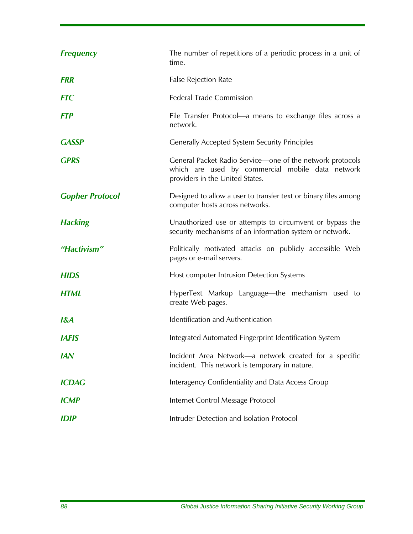| <b>Frequency</b>       | The number of repetitions of a periodic process in a unit of<br>time.                                                                            |
|------------------------|--------------------------------------------------------------------------------------------------------------------------------------------------|
| <b>FRR</b>             | <b>False Rejection Rate</b>                                                                                                                      |
| <b>FTC</b>             | <b>Federal Trade Commission</b>                                                                                                                  |
| <b>FTP</b>             | File Transfer Protocol—a means to exchange files across a<br>network.                                                                            |
| <b>GASSP</b>           | <b>Generally Accepted System Security Principles</b>                                                                                             |
| <b>GPRS</b>            | General Packet Radio Service-one of the network protocols<br>which are used by commercial mobile data network<br>providers in the United States. |
| <b>Gopher Protocol</b> | Designed to allow a user to transfer text or binary files among<br>computer hosts across networks.                                               |
| <b>Hacking</b>         | Unauthorized use or attempts to circumvent or bypass the<br>security mechanisms of an information system or network.                             |
| "Hactivism"            | Politically motivated attacks on publicly accessible Web<br>pages or e-mail servers.                                                             |
| <b>HIDS</b>            | Host computer Intrusion Detection Systems                                                                                                        |
| <b>HTML</b>            | HyperText Markup Language—the mechanism used to<br>create Web pages.                                                                             |
| I&A                    | Identification and Authentication                                                                                                                |
| <b>IAFIS</b>           | Integrated Automated Fingerprint Identification System                                                                                           |
| <b>IAN</b>             | Incident Area Network—a network created for a specific<br>incident. This network is temporary in nature.                                         |
| <b>ICDAG</b>           | Interagency Confidentiality and Data Access Group                                                                                                |
| <b>ICMP</b>            | Internet Control Message Protocol                                                                                                                |
| <b>IDIP</b>            | Intruder Detection and Isolation Protocol                                                                                                        |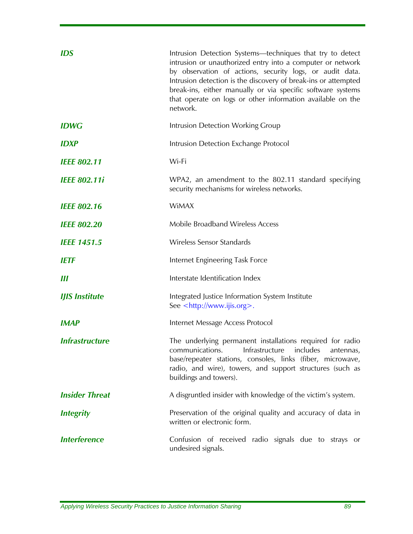| <b>IDS</b>            | Intrusion Detection Systems-techniques that try to detect<br>intrusion or unauthorized entry into a computer or network<br>by observation of actions, security logs, or audit data.<br>Intrusion detection is the discovery of break-ins or attempted<br>break-ins, either manually or via specific software systems<br>that operate on logs or other information available on the<br>network. |
|-----------------------|------------------------------------------------------------------------------------------------------------------------------------------------------------------------------------------------------------------------------------------------------------------------------------------------------------------------------------------------------------------------------------------------|
| <b>IDWG</b>           | Intrusion Detection Working Group                                                                                                                                                                                                                                                                                                                                                              |
| <b>IDXP</b>           | Intrusion Detection Exchange Protocol                                                                                                                                                                                                                                                                                                                                                          |
| <b>IEEE 802.11</b>    | Wi-Fi                                                                                                                                                                                                                                                                                                                                                                                          |
| <b>IEEE 802.11i</b>   | WPA2, an amendment to the 802.11 standard specifying<br>security mechanisms for wireless networks.                                                                                                                                                                                                                                                                                             |
| <b>IEEE 802.16</b>    | <b>WiMAX</b>                                                                                                                                                                                                                                                                                                                                                                                   |
| <b>IEEE 802.20</b>    | Mobile Broadband Wireless Access                                                                                                                                                                                                                                                                                                                                                               |
| <b>IEEE 1451.5</b>    | <b>Wireless Sensor Standards</b>                                                                                                                                                                                                                                                                                                                                                               |
| <b>IETF</b>           | Internet Engineering Task Force                                                                                                                                                                                                                                                                                                                                                                |
| Ш                     | Interstate Identification Index                                                                                                                                                                                                                                                                                                                                                                |
| <b>IJIS Institute</b> | Integrated Justice Information System Institute<br>See <http: www.ijis.org="">.</http:>                                                                                                                                                                                                                                                                                                        |
| <b>IMAP</b>           | Internet Message Access Protocol                                                                                                                                                                                                                                                                                                                                                               |
| <b>Infrastructure</b> | The underlying permanent installations required for radio<br>Infrastructure<br>communications.<br>includes<br>antennas,<br>base/repeater stations, consoles, links (fiber, microwave,<br>radio, and wire), towers, and support structures (such as<br>buildings and towers).                                                                                                                   |
| <b>Insider Threat</b> | A disgruntled insider with knowledge of the victim's system.                                                                                                                                                                                                                                                                                                                                   |
| <b>Integrity</b>      | Preservation of the original quality and accuracy of data in<br>written or electronic form.                                                                                                                                                                                                                                                                                                    |
| <b>Interference</b>   | Confusion of received radio signals due to strays or<br>undesired signals.                                                                                                                                                                                                                                                                                                                     |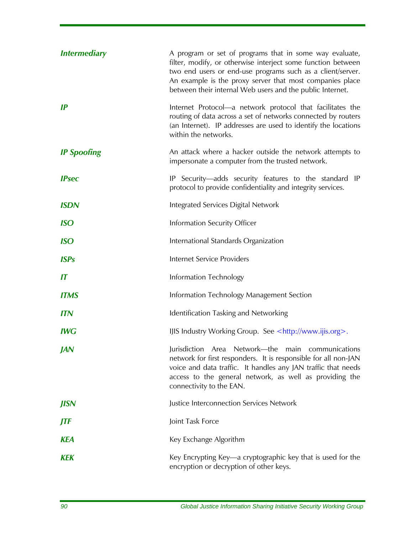| <i><b>Intermediary</b></i> | A program or set of programs that in some way evaluate,<br>filter, modify, or otherwise interject some function between<br>two end users or end-use programs such as a client/server.<br>An example is the proxy server that most companies place<br>between their internal Web users and the public Internet. |
|----------------------------|----------------------------------------------------------------------------------------------------------------------------------------------------------------------------------------------------------------------------------------------------------------------------------------------------------------|
| IP                         | Internet Protocol-a network protocol that facilitates the<br>routing of data across a set of networks connected by routers<br>(an Internet). IP addresses are used to identify the locations<br>within the networks.                                                                                           |
| <b>IP Spoofing</b>         | An attack where a hacker outside the network attempts to<br>impersonate a computer from the trusted network.                                                                                                                                                                                                   |
| <b>IPsec</b>               | IP Security—adds security features to the standard IP<br>protocol to provide confidentiality and integrity services.                                                                                                                                                                                           |
| <b>ISDN</b>                | Integrated Services Digital Network                                                                                                                                                                                                                                                                            |
| <b>ISO</b>                 | Information Security Officer                                                                                                                                                                                                                                                                                   |
| <b>ISO</b>                 | International Standards Organization                                                                                                                                                                                                                                                                           |
| <b>ISPs</b>                | Internet Service Providers                                                                                                                                                                                                                                                                                     |
| $\boldsymbol{\mathsf{I}}$  | Information Technology                                                                                                                                                                                                                                                                                         |
| <b>ITMS</b>                | Information Technology Management Section                                                                                                                                                                                                                                                                      |
| <b>ITN</b>                 | Identification Tasking and Networking                                                                                                                                                                                                                                                                          |
| <b>IWG</b>                 | IJIS Industry Working Group. See <http: www.ijis.org="">.</http:>                                                                                                                                                                                                                                              |
| <b>JAN</b>                 | Jurisdiction Area Network-the main communications<br>network for first responders. It is responsible for all non-JAN<br>voice and data traffic. It handles any JAN traffic that needs<br>access to the general network, as well as providing the<br>connectivity to the EAN.                                   |
| <b>JISN</b>                | Justice Interconnection Services Network                                                                                                                                                                                                                                                                       |
| JTF                        | Joint Task Force                                                                                                                                                                                                                                                                                               |
| <b>KEA</b>                 | Key Exchange Algorithm                                                                                                                                                                                                                                                                                         |
| <b>KEK</b>                 | Key Encrypting Key—a cryptographic key that is used for the<br>encryption or decryption of other keys.                                                                                                                                                                                                         |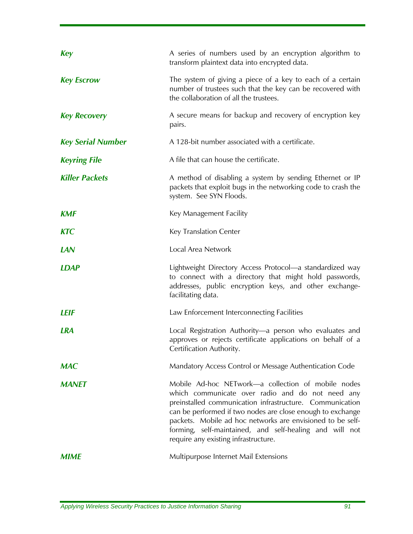| <b>Key</b>               | A series of numbers used by an encryption algorithm to<br>transform plaintext data into encrypted data.                                                                                                                                                                                                                                                                                           |
|--------------------------|---------------------------------------------------------------------------------------------------------------------------------------------------------------------------------------------------------------------------------------------------------------------------------------------------------------------------------------------------------------------------------------------------|
| <b>Key Escrow</b>        | The system of giving a piece of a key to each of a certain<br>number of trustees such that the key can be recovered with<br>the collaboration of all the trustees.                                                                                                                                                                                                                                |
| <b>Key Recovery</b>      | A secure means for backup and recovery of encryption key<br>pairs.                                                                                                                                                                                                                                                                                                                                |
| <b>Key Serial Number</b> | A 128-bit number associated with a certificate.                                                                                                                                                                                                                                                                                                                                                   |
| <b>Keyring File</b>      | A file that can house the certificate.                                                                                                                                                                                                                                                                                                                                                            |
| <b>Killer Packets</b>    | A method of disabling a system by sending Ethernet or IP<br>packets that exploit bugs in the networking code to crash the<br>system. See SYN Floods.                                                                                                                                                                                                                                              |
| <b>KMF</b>               | Key Management Facility                                                                                                                                                                                                                                                                                                                                                                           |
| <b>KTC</b>               | Key Translation Center                                                                                                                                                                                                                                                                                                                                                                            |
| <b>LAN</b>               | Local Area Network                                                                                                                                                                                                                                                                                                                                                                                |
| <b>LDAP</b>              | Lightweight Directory Access Protocol-a standardized way<br>to connect with a directory that might hold passwords,<br>addresses, public encryption keys, and other exchange-<br>facilitating data.                                                                                                                                                                                                |
| LEIF                     | Law Enforcement Interconnecting Facilities                                                                                                                                                                                                                                                                                                                                                        |
| <b>LRA</b>               | Local Registration Authority-a person who evaluates and<br>approves or rejects certificate applications on behalf of a<br>Certification Authority.                                                                                                                                                                                                                                                |
| <b>MAC</b>               | Mandatory Access Control or Message Authentication Code                                                                                                                                                                                                                                                                                                                                           |
| <b>MANET</b>             | Mobile Ad-hoc NETwork-a collection of mobile nodes<br>which communicate over radio and do not need any<br>preinstalled communication infrastructure. Communication<br>can be performed if two nodes are close enough to exchange<br>packets. Mobile ad hoc networks are envisioned to be self-<br>forming, self-maintained, and self-healing and will not<br>require any existing infrastructure. |
| <b>MIME</b>              | Multipurpose Internet Mail Extensions                                                                                                                                                                                                                                                                                                                                                             |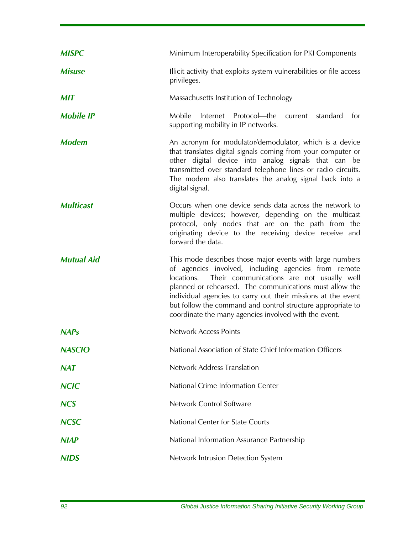| <b>MISPC</b>      | Minimum Interoperability Specification for PKI Components                                                                                                                                                                                                                                                                                                                                                                       |
|-------------------|---------------------------------------------------------------------------------------------------------------------------------------------------------------------------------------------------------------------------------------------------------------------------------------------------------------------------------------------------------------------------------------------------------------------------------|
| <b>Misuse</b>     | Illicit activity that exploits system vulnerabilities or file access<br>privileges.                                                                                                                                                                                                                                                                                                                                             |
| <b>MIT</b>        | Massachusetts Institution of Technology                                                                                                                                                                                                                                                                                                                                                                                         |
| <b>Mobile IP</b>  | Internet Protocol-the<br>Mobile<br>current<br>standard<br>for<br>supporting mobility in IP networks.                                                                                                                                                                                                                                                                                                                            |
| <b>Modem</b>      | An acronym for modulator/demodulator, which is a device<br>that translates digital signals coming from your computer or<br>other digital device into analog signals that can be<br>transmitted over standard telephone lines or radio circuits.<br>The modem also translates the analog signal back into a<br>digital signal.                                                                                                   |
| <b>Multicast</b>  | Occurs when one device sends data across the network to<br>multiple devices; however, depending on the multicast<br>protocol, only nodes that are on the path from the<br>originating device to the receiving device receive and<br>forward the data.                                                                                                                                                                           |
| <b>Mutual Aid</b> | This mode describes those major events with large numbers<br>of agencies involved, including agencies from remote<br>Their communications are not usually well<br>locations.<br>planned or rehearsed. The communications must allow the<br>individual agencies to carry out their missions at the event<br>but follow the command and control structure appropriate to<br>coordinate the many agencies involved with the event. |
| <b>NAPs</b>       | <b>Network Access Points</b>                                                                                                                                                                                                                                                                                                                                                                                                    |
| <b>NASCIO</b>     | National Association of State Chief Information Officers                                                                                                                                                                                                                                                                                                                                                                        |
| <b>NAT</b>        | Network Address Translation                                                                                                                                                                                                                                                                                                                                                                                                     |
| <b>NCIC</b>       | National Crime Information Center                                                                                                                                                                                                                                                                                                                                                                                               |
| <b>NCS</b>        | Network Control Software                                                                                                                                                                                                                                                                                                                                                                                                        |
| <b>NCSC</b>       | National Center for State Courts                                                                                                                                                                                                                                                                                                                                                                                                |
| <b>NIAP</b>       | National Information Assurance Partnership                                                                                                                                                                                                                                                                                                                                                                                      |
| <b>NIDS</b>       | Network Intrusion Detection System                                                                                                                                                                                                                                                                                                                                                                                              |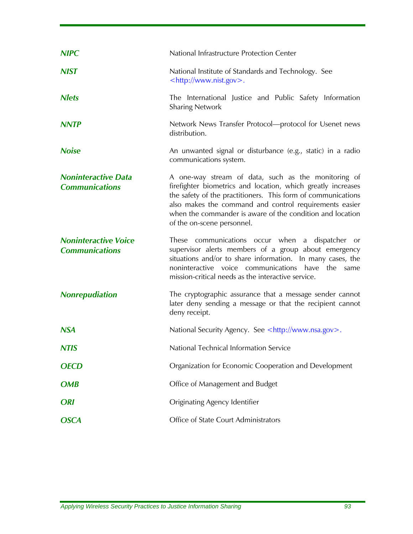| <b>NIPC</b>                                         | National Infrastructure Protection Center                                                                                                                                                                                                                                                                                                |
|-----------------------------------------------------|------------------------------------------------------------------------------------------------------------------------------------------------------------------------------------------------------------------------------------------------------------------------------------------------------------------------------------------|
| <b>NIST</b>                                         | National Institute of Standards and Technology. See<br><http: www.nist.gov="">.</http:>                                                                                                                                                                                                                                                  |
| <b>Nlets</b>                                        | The International Justice and Public Safety Information<br><b>Sharing Network</b>                                                                                                                                                                                                                                                        |
| <b>NNTP</b>                                         | Network News Transfer Protocol-protocol for Usenet news<br>distribution.                                                                                                                                                                                                                                                                 |
| <b>Noise</b>                                        | An unwanted signal or disturbance (e.g., static) in a radio<br>communications system.                                                                                                                                                                                                                                                    |
| <b>Noninteractive Data</b><br><b>Communications</b> | A one-way stream of data, such as the monitoring of<br>firefighter biometrics and location, which greatly increases<br>the safety of the practitioners. This form of communications<br>also makes the command and control requirements easier<br>when the commander is aware of the condition and location<br>of the on-scene personnel. |
| <b>Noninteractive Voice</b>                         | These communications occur when a dispatcher or                                                                                                                                                                                                                                                                                          |
| <b>Communications</b>                               | supervisor alerts members of a group about emergency<br>situations and/or to share information. In many cases, the<br>noninteractive voice communications have<br>the<br>same<br>mission-critical needs as the interactive service.                                                                                                      |
| <b>Nonrepudiation</b>                               | The cryptographic assurance that a message sender cannot<br>later deny sending a message or that the recipient cannot<br>deny receipt.                                                                                                                                                                                                   |
| <b>NSA</b>                                          | National Security Agency. See <http: www.nsa.gov="">.</http:>                                                                                                                                                                                                                                                                            |
| <b>NTIS</b>                                         | National Technical Information Service                                                                                                                                                                                                                                                                                                   |
| <b>OECD</b>                                         | Organization for Economic Cooperation and Development                                                                                                                                                                                                                                                                                    |
| <b>OMB</b>                                          | Office of Management and Budget                                                                                                                                                                                                                                                                                                          |
| <b>ORI</b>                                          | Originating Agency Identifier                                                                                                                                                                                                                                                                                                            |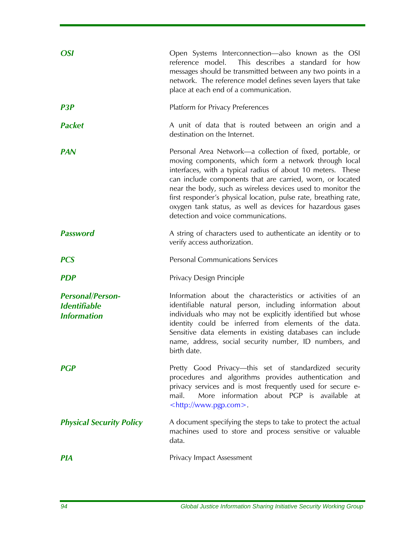| <b>OSI</b>                                                           | Open Systems Interconnection—also known as the OSI<br>This describes a standard for how<br>reference model.<br>messages should be transmitted between any two points in a<br>network. The reference model defines seven layers that take<br>place at each end of a communication.                                                                                                                                                                                                      |
|----------------------------------------------------------------------|----------------------------------------------------------------------------------------------------------------------------------------------------------------------------------------------------------------------------------------------------------------------------------------------------------------------------------------------------------------------------------------------------------------------------------------------------------------------------------------|
| P <sub>3</sub> P                                                     | <b>Platform for Privacy Preferences</b>                                                                                                                                                                                                                                                                                                                                                                                                                                                |
| <b>Packet</b>                                                        | A unit of data that is routed between an origin and a<br>destination on the Internet.                                                                                                                                                                                                                                                                                                                                                                                                  |
| <b>PAN</b>                                                           | Personal Area Network—a collection of fixed, portable, or<br>moving components, which form a network through local<br>interfaces, with a typical radius of about 10 meters. These<br>can include components that are carried, worn, or located<br>near the body, such as wireless devices used to monitor the<br>first responder's physical location, pulse rate, breathing rate,<br>oxygen tank status, as well as devices for hazardous gases<br>detection and voice communications. |
| <b>Password</b>                                                      | A string of characters used to authenticate an identity or to<br>verify access authorization.                                                                                                                                                                                                                                                                                                                                                                                          |
| <b>PCS</b>                                                           | <b>Personal Communications Services</b>                                                                                                                                                                                                                                                                                                                                                                                                                                                |
| <b>PDP</b>                                                           | Privacy Design Principle                                                                                                                                                                                                                                                                                                                                                                                                                                                               |
| <b>Personal/Person-</b><br><b>Identifiable</b><br><b>Information</b> | Information about the characteristics or activities of an<br>identifiable natural person, including information about<br>individuals who may not be explicitly identified but whose<br>identity could be inferred from elements of the data.<br>Sensitive data elements in existing databases can include<br>name, address, social security number, ID numbers, and<br>birth date.                                                                                                     |
| <b>PGP</b>                                                           | Pretty Good Privacy-this set of standardized security<br>procedures and algorithms provides authentication and<br>privacy services and is most frequently used for secure e-<br>More information about PGP is available at<br>mail.<br><http: www.pgp.com="">.</http:>                                                                                                                                                                                                                 |
| <b>Physical Security Policy</b>                                      | A document specifying the steps to take to protect the actual<br>machines used to store and process sensitive or valuable<br>data.                                                                                                                                                                                                                                                                                                                                                     |
| <b>PIA</b>                                                           | Privacy Impact Assessment                                                                                                                                                                                                                                                                                                                                                                                                                                                              |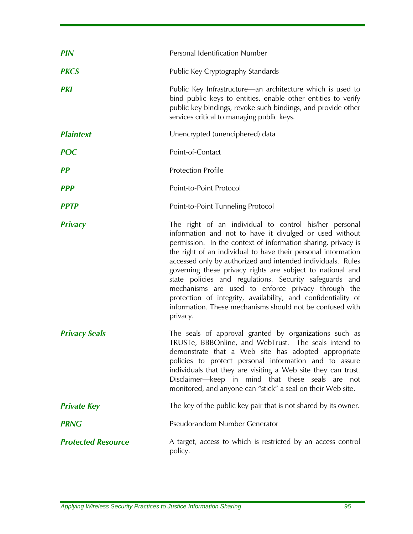| <b>PIN</b>                | Personal Identification Number                                                                                                                                                                                                                                                                                                                                                                                                                                                                                                                                                                                                              |
|---------------------------|---------------------------------------------------------------------------------------------------------------------------------------------------------------------------------------------------------------------------------------------------------------------------------------------------------------------------------------------------------------------------------------------------------------------------------------------------------------------------------------------------------------------------------------------------------------------------------------------------------------------------------------------|
| <b>PKCS</b>               | Public Key Cryptography Standards                                                                                                                                                                                                                                                                                                                                                                                                                                                                                                                                                                                                           |
| <b>PKI</b>                | Public Key Infrastructure—an architecture which is used to<br>bind public keys to entities, enable other entities to verify<br>public key bindings, revoke such bindings, and provide other<br>services critical to managing public keys.                                                                                                                                                                                                                                                                                                                                                                                                   |
| <b>Plaintext</b>          | Unencrypted (unenciphered) data                                                                                                                                                                                                                                                                                                                                                                                                                                                                                                                                                                                                             |
| <b>POC</b>                | Point-of-Contact                                                                                                                                                                                                                                                                                                                                                                                                                                                                                                                                                                                                                            |
| PP                        | <b>Protection Profile</b>                                                                                                                                                                                                                                                                                                                                                                                                                                                                                                                                                                                                                   |
| <b>PPP</b>                | Point-to-Point Protocol                                                                                                                                                                                                                                                                                                                                                                                                                                                                                                                                                                                                                     |
| <b>PPTP</b>               | Point-to-Point Tunneling Protocol                                                                                                                                                                                                                                                                                                                                                                                                                                                                                                                                                                                                           |
| <b>Privacy</b>            | The right of an individual to control his/her personal<br>information and not to have it divulged or used without<br>permission. In the context of information sharing, privacy is<br>the right of an individual to have their personal information<br>accessed only by authorized and intended individuals. Rules<br>governing these privacy rights are subject to national and<br>state policies and regulations. Security safeguards and<br>mechanisms are used to enforce privacy through the<br>protection of integrity, availability, and confidentiality of<br>information. These mechanisms should not be confused with<br>privacy. |
| <b>Privacy Seals</b>      | The seals of approval granted by organizations such as<br>TRUSTe, BBBOnline, and WebTrust. The seals intend to<br>demonstrate that a Web site has adopted appropriate<br>policies to protect personal information and to assure<br>individuals that they are visiting a Web site they can trust.<br>Disclaimer-keep in mind that these seals are not<br>monitored, and anyone can "stick" a seal on their Web site.                                                                                                                                                                                                                         |
| <b>Private Key</b>        | The key of the public key pair that is not shared by its owner.                                                                                                                                                                                                                                                                                                                                                                                                                                                                                                                                                                             |
| <b>PRNG</b>               | Pseudorandom Number Generator                                                                                                                                                                                                                                                                                                                                                                                                                                                                                                                                                                                                               |
| <b>Protected Resource</b> | A target, access to which is restricted by an access control<br>policy.                                                                                                                                                                                                                                                                                                                                                                                                                                                                                                                                                                     |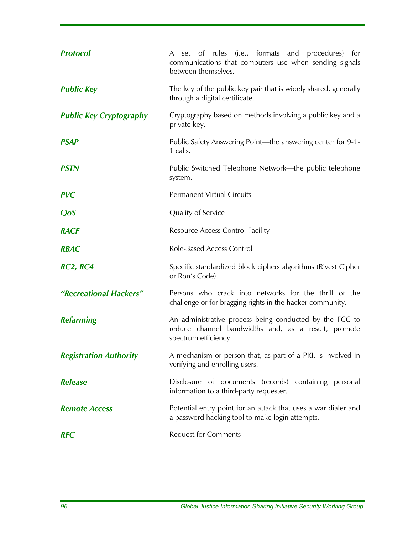| <b>Protocol</b>                | A set of rules (i.e., formats and procedures) for<br>communications that computers use when sending signals<br>between themselves.     |
|--------------------------------|----------------------------------------------------------------------------------------------------------------------------------------|
| <b>Public Key</b>              | The key of the public key pair that is widely shared, generally<br>through a digital certificate.                                      |
| <b>Public Key Cryptography</b> | Cryptography based on methods involving a public key and a<br>private key.                                                             |
| <b>PSAP</b>                    | Public Safety Answering Point—the answering center for 9-1-<br>1 calls.                                                                |
| <b>PSTN</b>                    | Public Switched Telephone Network—the public telephone<br>system.                                                                      |
| <b>PVC</b>                     | <b>Permanent Virtual Circuits</b>                                                                                                      |
| QoS                            | Quality of Service                                                                                                                     |
| <b>RACF</b>                    | Resource Access Control Facility                                                                                                       |
| <b>RBAC</b>                    | <b>Role-Based Access Control</b>                                                                                                       |
| <b>RC2, RC4</b>                | Specific standardized block ciphers algorithms (Rivest Cipher<br>or Ron's Code).                                                       |
| "Recreational Hackers"         | Persons who crack into networks for the thrill of the<br>challenge or for bragging rights in the hacker community.                     |
| <b>Refarming</b>               | An administrative process being conducted by the FCC to<br>reduce channel bandwidths and, as a result, promote<br>spectrum efficiency. |
| <b>Registration Authority</b>  | A mechanism or person that, as part of a PKI, is involved in<br>verifying and enrolling users.                                         |
| <b>Release</b>                 | Disclosure of documents (records) containing personal<br>information to a third-party requester.                                       |
| <b>Remote Access</b>           | Potential entry point for an attack that uses a war dialer and<br>a password hacking tool to make login attempts.                      |
| <b>RFC</b>                     | <b>Request for Comments</b>                                                                                                            |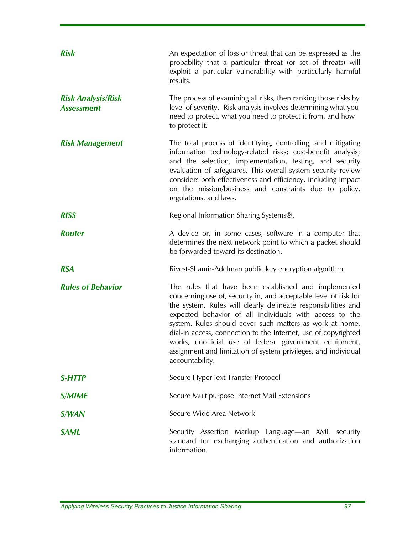| <b>Risk</b>                                    | An expectation of loss or threat that can be expressed as the<br>probability that a particular threat (or set of threats) will<br>exploit a particular vulnerability with particularly harmful<br>results.                                                                                                                                                                                                                                                                                                                        |
|------------------------------------------------|-----------------------------------------------------------------------------------------------------------------------------------------------------------------------------------------------------------------------------------------------------------------------------------------------------------------------------------------------------------------------------------------------------------------------------------------------------------------------------------------------------------------------------------|
| <b>Risk Analysis/Risk</b><br><b>Assessment</b> | The process of examining all risks, then ranking those risks by<br>level of severity. Risk analysis involves determining what you<br>need to protect, what you need to protect it from, and how<br>to protect it.                                                                                                                                                                                                                                                                                                                 |
| <b>Risk Management</b>                         | The total process of identifying, controlling, and mitigating<br>information technology-related risks; cost-benefit analysis;<br>and the selection, implementation, testing, and security<br>evaluation of safeguards. This overall system security review<br>considers both effectiveness and efficiency, including impact<br>on the mission/business and constraints due to policy,<br>regulations, and laws.                                                                                                                   |
| <b>RISS</b>                                    | Regional Information Sharing Systems <sup>®</sup> .                                                                                                                                                                                                                                                                                                                                                                                                                                                                               |
| <b>Router</b>                                  | A device or, in some cases, software in a computer that<br>determines the next network point to which a packet should<br>be forwarded toward its destination.                                                                                                                                                                                                                                                                                                                                                                     |
| <b>RSA</b>                                     | Rivest-Shamir-Adelman public key encryption algorithm.                                                                                                                                                                                                                                                                                                                                                                                                                                                                            |
| <b>Rules of Behavior</b>                       | The rules that have been established and implemented<br>concerning use of, security in, and acceptable level of risk for<br>the system. Rules will clearly delineate responsibilities and<br>expected behavior of all individuals with access to the<br>system. Rules should cover such matters as work at home,<br>dial-in access, connection to the Internet, use of copyrighted<br>works, unofficial use of federal government equipment,<br>assignment and limitation of system privileges, and individual<br>accountability. |
| <b>S-HTTP</b>                                  | Secure HyperText Transfer Protocol                                                                                                                                                                                                                                                                                                                                                                                                                                                                                                |
| <b>S/MIME</b>                                  | Secure Multipurpose Internet Mail Extensions                                                                                                                                                                                                                                                                                                                                                                                                                                                                                      |
| S/WAN                                          | Secure Wide Area Network                                                                                                                                                                                                                                                                                                                                                                                                                                                                                                          |
| <b>SAML</b>                                    | Security Assertion Markup Language-an XML security<br>standard for exchanging authentication and authorization<br>information.                                                                                                                                                                                                                                                                                                                                                                                                    |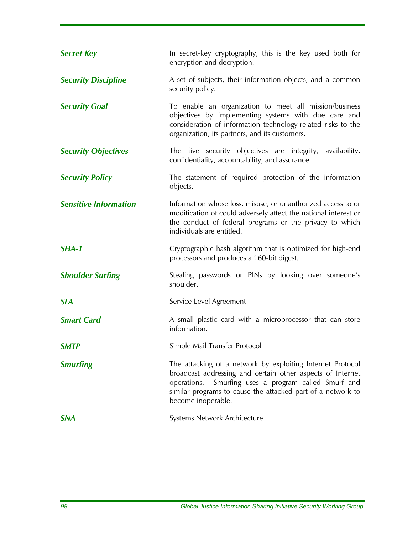| <b>Secret Key</b>            | In secret-key cryptography, this is the key used both for<br>encryption and decryption.                                                                                                                                                                                  |
|------------------------------|--------------------------------------------------------------------------------------------------------------------------------------------------------------------------------------------------------------------------------------------------------------------------|
| <b>Security Discipline</b>   | A set of subjects, their information objects, and a common<br>security policy.                                                                                                                                                                                           |
| <b>Security Goal</b>         | To enable an organization to meet all mission/business<br>objectives by implementing systems with due care and<br>consideration of information technology-related risks to the<br>organization, its partners, and its customers.                                         |
| <b>Security Objectives</b>   | The five security objectives are integrity, availability,<br>confidentiality, accountability, and assurance.                                                                                                                                                             |
| <b>Security Policy</b>       | The statement of required protection of the information<br>objects.                                                                                                                                                                                                      |
| <b>Sensitive Information</b> | Information whose loss, misuse, or unauthorized access to or<br>modification of could adversely affect the national interest or<br>the conduct of federal programs or the privacy to which<br>individuals are entitled.                                                  |
| SHA-1                        | Cryptographic hash algorithm that is optimized for high-end<br>processors and produces a 160-bit digest.                                                                                                                                                                 |
| <b>Shoulder Surfing</b>      | Stealing passwords or PINs by looking over someone's<br>shoulder.                                                                                                                                                                                                        |
| <b>SLA</b>                   | Service Level Agreement                                                                                                                                                                                                                                                  |
| <b>Smart Card</b>            | A small plastic card with a microprocessor that can store<br>information.                                                                                                                                                                                                |
| <b>SMTP</b>                  | Simple Mail Transfer Protocol                                                                                                                                                                                                                                            |
| <b>Smurfing</b>              | The attacking of a network by exploiting Internet Protocol<br>broadcast addressing and certain other aspects of Internet<br>Smurfing uses a program called Smurf and<br>operations.<br>similar programs to cause the attacked part of a network to<br>become inoperable. |
| <b>SNA</b>                   | Systems Network Architecture                                                                                                                                                                                                                                             |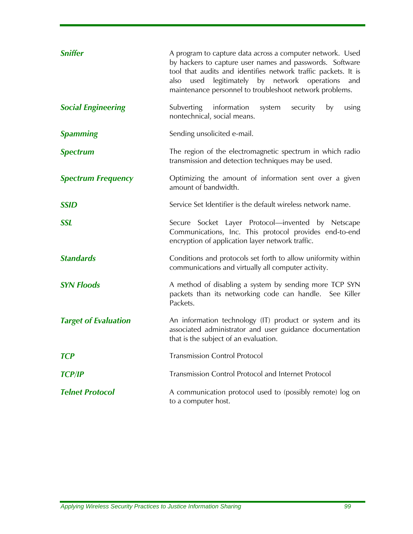| <b>Sniffer</b>              | A program to capture data across a computer network. Used<br>by hackers to capture user names and passwords. Software<br>tool that audits and identifies network traffic packets. It is<br>also used legitimately by network operations<br>and<br>maintenance personnel to troubleshoot network problems. |
|-----------------------------|-----------------------------------------------------------------------------------------------------------------------------------------------------------------------------------------------------------------------------------------------------------------------------------------------------------|
| <b>Social Engineering</b>   | Subverting information system<br>by<br>security<br>using<br>nontechnical, social means.                                                                                                                                                                                                                   |
| <b>Spamming</b>             | Sending unsolicited e-mail.                                                                                                                                                                                                                                                                               |
| <b>Spectrum</b>             | The region of the electromagnetic spectrum in which radio<br>transmission and detection techniques may be used.                                                                                                                                                                                           |
| <b>Spectrum Frequency</b>   | Optimizing the amount of information sent over a given<br>amount of bandwidth.                                                                                                                                                                                                                            |
| <b>SSID</b>                 | Service Set Identifier is the default wireless network name.                                                                                                                                                                                                                                              |
| <b>SSL</b>                  | Secure Socket Layer Protocol-invented by Netscape<br>Communications, Inc. This protocol provides end-to-end<br>encryption of application layer network traffic.                                                                                                                                           |
| <b>Standards</b>            | Conditions and protocols set forth to allow uniformity within<br>communications and virtually all computer activity.                                                                                                                                                                                      |
| <b>SYN Floods</b>           | A method of disabling a system by sending more TCP SYN<br>packets than its networking code can handle. See Killer<br>Packets.                                                                                                                                                                             |
| <b>Target of Evaluation</b> | An information technology (IT) product or system and its<br>associated administrator and user guidance documentation<br>that is the subject of an evaluation.                                                                                                                                             |
| <b>TCP</b>                  | <b>Transmission Control Protocol</b>                                                                                                                                                                                                                                                                      |
| <b>TCP/IP</b>               | Transmission Control Protocol and Internet Protocol                                                                                                                                                                                                                                                       |
| <b>Telnet Protocol</b>      | A communication protocol used to (possibly remote) log on<br>to a computer host.                                                                                                                                                                                                                          |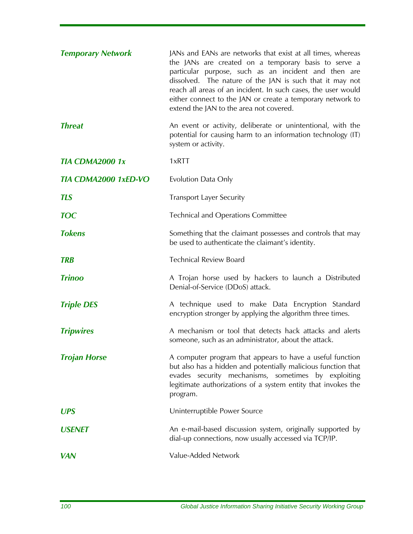| <b>Temporary Network</b>    | JANs and EANs are networks that exist at all times, whereas<br>the JANs are created on a temporary basis to serve a<br>particular purpose, such as an incident and then are<br>dissolved. The nature of the JAN is such that it may not<br>reach all areas of an incident. In such cases, the user would<br>either connect to the JAN or create a temporary network to<br>extend the JAN to the area not covered. |
|-----------------------------|-------------------------------------------------------------------------------------------------------------------------------------------------------------------------------------------------------------------------------------------------------------------------------------------------------------------------------------------------------------------------------------------------------------------|
| <b>Threat</b>               | An event or activity, deliberate or unintentional, with the<br>potential for causing harm to an information technology (IT)<br>system or activity.                                                                                                                                                                                                                                                                |
| <b>TIA CDMA2000 1x</b>      | 1xRTT                                                                                                                                                                                                                                                                                                                                                                                                             |
| <b>TIA CDMA2000 1xED-VO</b> | Evolution Data Only                                                                                                                                                                                                                                                                                                                                                                                               |
| <b>TLS</b>                  | <b>Transport Layer Security</b>                                                                                                                                                                                                                                                                                                                                                                                   |
| <b>TOC</b>                  | <b>Technical and Operations Committee</b>                                                                                                                                                                                                                                                                                                                                                                         |
| <b>Tokens</b>               | Something that the claimant possesses and controls that may<br>be used to authenticate the claimant's identity.                                                                                                                                                                                                                                                                                                   |
| <b>TRB</b>                  | <b>Technical Review Board</b>                                                                                                                                                                                                                                                                                                                                                                                     |
| <b>Trinoo</b>               | A Trojan horse used by hackers to launch a Distributed<br>Denial-of-Service (DDoS) attack.                                                                                                                                                                                                                                                                                                                        |
| <b>Triple DES</b>           | A technique used to make Data Encryption Standard<br>encryption stronger by applying the algorithm three times.                                                                                                                                                                                                                                                                                                   |
| <b>Tripwires</b>            | A mechanism or tool that detects hack attacks and alerts<br>someone, such as an administrator, about the attack.                                                                                                                                                                                                                                                                                                  |
| <b>Trojan Horse</b>         | A computer program that appears to have a useful function<br>but also has a hidden and potentially malicious function that<br>evades security mechanisms, sometimes by exploiting<br>legitimate authorizations of a system entity that invokes the<br>program.                                                                                                                                                    |
| <b>UPS</b>                  | Uninterruptible Power Source                                                                                                                                                                                                                                                                                                                                                                                      |
| <b>USENET</b>               | An e-mail-based discussion system, originally supported by<br>dial-up connections, now usually accessed via TCP/IP.                                                                                                                                                                                                                                                                                               |
| <b>VAN</b>                  | Value-Added Network                                                                                                                                                                                                                                                                                                                                                                                               |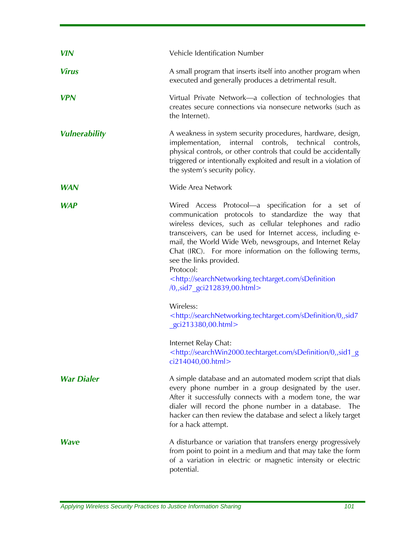| <b>VIN</b>           | Vehicle Identification Number                                                                                                                                                                                                                                                                                                                                                                                                                                                                                                                                                                                                                                                                                                                                       |
|----------------------|---------------------------------------------------------------------------------------------------------------------------------------------------------------------------------------------------------------------------------------------------------------------------------------------------------------------------------------------------------------------------------------------------------------------------------------------------------------------------------------------------------------------------------------------------------------------------------------------------------------------------------------------------------------------------------------------------------------------------------------------------------------------|
| <b>Virus</b>         | A small program that inserts itself into another program when<br>executed and generally produces a detrimental result.                                                                                                                                                                                                                                                                                                                                                                                                                                                                                                                                                                                                                                              |
| <b>VPN</b>           | Virtual Private Network-a collection of technologies that<br>creates secure connections via nonsecure networks (such as<br>the Internet).                                                                                                                                                                                                                                                                                                                                                                                                                                                                                                                                                                                                                           |
| <b>Vulnerability</b> | A weakness in system security procedures, hardware, design,<br>implementation, internal controls, technical controls,<br>physical controls, or other controls that could be accidentally<br>triggered or intentionally exploited and result in a violation of<br>the system's security policy.                                                                                                                                                                                                                                                                                                                                                                                                                                                                      |
| <b>WAN</b>           | Wide Area Network                                                                                                                                                                                                                                                                                                                                                                                                                                                                                                                                                                                                                                                                                                                                                   |
| <b>WAP</b>           | Wired Access Protocol-a specification for a set of<br>communication protocols to standardize the way that<br>wireless devices, such as cellular telephones and radio<br>transceivers, can be used for Internet access, including e-<br>mail, the World Wide Web, newsgroups, and Internet Relay<br>Chat (IRC). For more information on the following terms,<br>see the links provided.<br>Protocol:<br><http: sdefinition<br="" searchnetworking.techtarget.com="">/0, sid7 gci212839,00.html&gt;<br/>Wireless:<br/><http: 0,,sid7<br="" sdefinition="" searchnetworking.techtarget.com="">gci213380,00.html&gt;<br/>Internet Relay Chat:<br/><http: 0,,sid1="" g<br="" sdefinition="" searchwin2000.techtarget.com="">ci214040,00.html&gt;</http:></http:></http:> |
| <b>War Dialer</b>    | A simple database and an automated modem script that dials<br>every phone number in a group designated by the user.<br>After it successfully connects with a modem tone, the war<br>dialer will record the phone number in a database.<br>The<br>hacker can then review the database and select a likely target<br>for a hack attempt.                                                                                                                                                                                                                                                                                                                                                                                                                              |
| <b>Wave</b>          | A disturbance or variation that transfers energy progressively<br>from point to point in a medium and that may take the form<br>of a variation in electric or magnetic intensity or electric<br>potential.                                                                                                                                                                                                                                                                                                                                                                                                                                                                                                                                                          |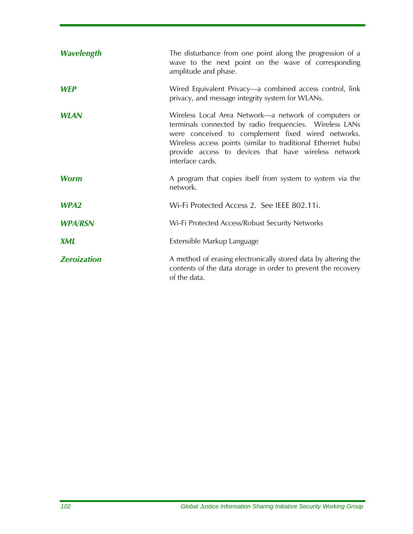| Wavelength         | The disturbance from one point along the progression of a<br>wave to the next point on the wave of corresponding<br>amplitude and phase.                                                                                                                                                                            |
|--------------------|---------------------------------------------------------------------------------------------------------------------------------------------------------------------------------------------------------------------------------------------------------------------------------------------------------------------|
| <b>WEP</b>         | Wired Equivalent Privacy—a combined access control, link<br>privacy, and message integrity system for WLANs.                                                                                                                                                                                                        |
| <b>WLAN</b>        | Wireless Local Area Network—a network of computers or<br>terminals connected by radio frequencies. Wireless LANs<br>were conceived to complement fixed wired networks.<br>Wireless access points (similar to traditional Ethernet hubs)<br>provide access to devices that have wireless network<br>interface cards. |
| <b>Worm</b>        | A program that copies itself from system to system via the<br>network.                                                                                                                                                                                                                                              |
| WPA <sub>2</sub>   | Wi-Fi Protected Access 2. See IEEE 802.11i.                                                                                                                                                                                                                                                                         |
| <b>WPA/RSN</b>     | Wi-Fi Protected Access/Robust Security Networks                                                                                                                                                                                                                                                                     |
| <b>XML</b>         | Extensible Markup Language                                                                                                                                                                                                                                                                                          |
| <b>Zeroization</b> | A method of erasing electronically stored data by altering the<br>contents of the data storage in order to prevent the recovery<br>of the data.                                                                                                                                                                     |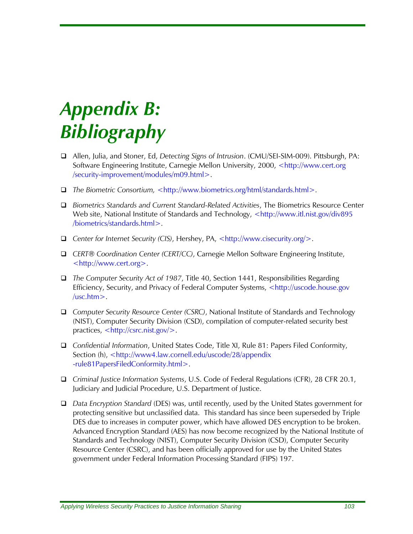## *Appendix B: Bibliography*

- Allen, Julia, and Stoner, Ed, *Detecting Signs of Intrusion*. (CMU/SEI-SIM-009). Pittsburgh, PA: Software Engineering Institute, Carnegie Mellon University, 2000, <http://www.cert.org /security-improvement/modules/m09.html>.
- *The Biometric Consortium,* <http://www.biometrics.org/html/standards.html>.
- *Biometrics Standards and Current Standard-Related Activities*, The Biometrics Resource Center Web site, National Institute of Standards and Technology, <http://www.itl.nist.gov/div895 /biometrics/standards.html>.
- *Center for Internet Security (CIS)*, Hershey, PA, <http://www.cisecurity.org/>.
- *CERT® Coordination Center (CERT/CC)*, Carnegie Mellon Software Engineering Institute, <http://www.cert.org>.
- *The Computer Security Act of 1987*, Title 40, Section 1441, Responsibilities Regarding Efficiency, Security, and Privacy of Federal Computer Systems, <http://uscode.house.gov /usc.htm>.
- *Computer Security Resource Center (CSRC)*, National Institute of Standards and Technology (NIST), Computer Security Division (CSD), compilation of computer-related security best practices, <http://csrc.nist.gov/>.
- *Confidential Information*, United States Code, Title XI, Rule 81: Papers Filed Conformity, Section (h), <http://www4.law.cornell.edu/uscode/28/appendix -rule81PapersFiledConformity.html>.
- *Criminal Justice Information Systems*, U.S. Code of Federal Regulations (CFR), 28 CFR 20.1, Judiciary and Judicial Procedure, U.S. Department of Justice.
- *Data Encryption Standard* (DES) was, until recently, used by the United States government for protecting sensitive but unclassified data. This standard has since been superseded by Triple DES due to increases in computer power, which have allowed DES encryption to be broken. Advanced Encryption Standard (AES) has now become recognized by the National Institute of Standards and Technology (NIST), Computer Security Division (CSD), Computer Security Resource Center (CSRC), and has been officially approved for use by the United States government under Federal Information Processing Standard (FIPS) 197.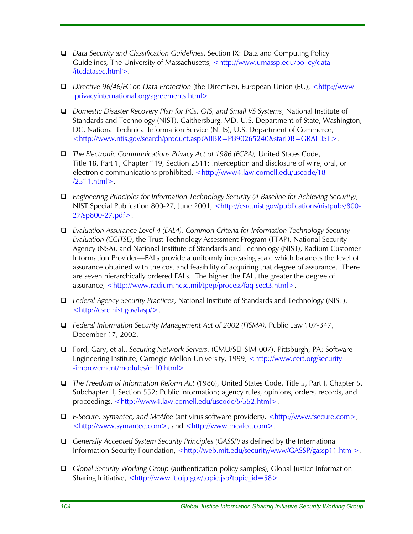- *Data Security and Classification Guidelines*, Section IX: Data and Computing Policy Guidelines, The University of Massachusetts, <http://www.umassp.edu/policy/data /itcdatasec.html>.
- *Directive 96/46/EC on Data Protection* (the Directive), European Union (EU), <http://www .privacyinternational.org/agreements.html>.
- *Domestic Disaster Recovery Plan for PCs, OIS, and Small VS Systems*, National Institute of Standards and Technology (NIST), Gaithersburg, MD, U.S. Department of State, Washington, DC, National Technical Information Service (NTIS), U.S. Department of Commerce, <http://www.ntis.gov/search/product.asp?ABBR=PB90265240&starDB=GRAHIST>.
- *The Electronic Communications Privacy Act of 1986 (ECPA),* United States Code, Title 18, Part 1, Chapter 119, Section 2511: Interception and disclosure of wire, oral, or electronic communications prohibited, <http://www4.law.cornell.edu/uscode/18 /2511.html>.
- *Engineering Principles for Information Technology Security (A Baseline for Achieving Security)*, NIST Special Publication 800-27, June 2001, <http://csrc.nist.gov/publications/nistpubs/800- 27/sp800-27.pdf>.
- *Evaluation Assurance Level 4 (EAL4), Common Criteria for Information Technology Security Evaluation (CCITSE)*, the Trust Technology Assessment Program (TTAP), National Security Agency (NSA), and National Institute of Standards and Technology (NIST), Radium Customer Information Provider—EALs provide a uniformly increasing scale which balances the level of assurance obtained with the cost and feasibility of acquiring that degree of assurance. There are seven hierarchically ordered EALs. The higher the EAL, the greater the degree of assurance, <http://www.radium.ncsc.mil/tpep/process/faq-sect3.html>.
- *Federal Agency Security Practices*, National Institute of Standards and Technology (NIST), <http://csrc.nist.gov/fasp/>.
- *Federal Information Security Management Act of 2002 (FISMA),* Public Law 107-347, December 17, 2002.
- Ford, Gary, et al., *Securing Network Servers.* (CMU/SEI-SIM-007). Pittsburgh, PA: Software Engineering Institute, Carnegie Mellon University, 1999, <http://www.cert.org/security -improvement/modules/m10.html>.
- *The Freedom of Information Reform Act* (1986), United States Code, Title 5, Part I, Chapter 5, Subchapter II, Section 552: Public information; agency rules, opinions, orders, records, and proceedings, <http://www4.law.cornell.edu/uscode/5/552.html>.
- *F-Secure, Symantec, and McAfee* (antivirus software providers), [<http://www.fsecure.com>](http://www.fsecure.com/), [<http://www.symantec.com](http://www.symantec.com/)>, and <http://www.mcafee.com>.
- *Generally Accepted System Security Principles (GASSP)* as defined by the International Information Security Foundation, <http://web.mit.edu/security/www/GASSP/gassp11.html>.
- *Global Security Working Group* (authentication policy samples), Global Justice Information Sharing Initiative, <http://www.it.ojp.gov/topic.jsp?topic\_id=58>.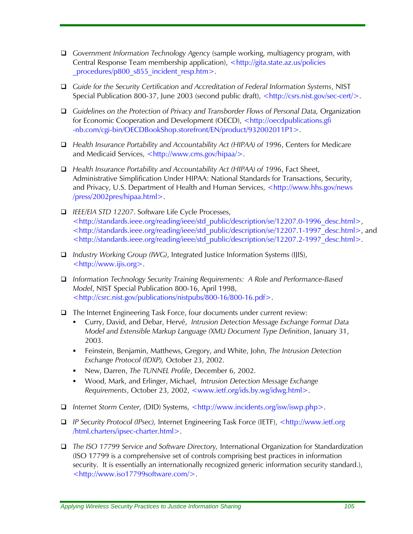- *Government Information Technology Agency* (sample working, multiagency program, with Central Response Team membership application), <http://gita.state.az.us/policies procedures/p800 s855 incident resp.htm>.
- *Guide for the Security Certification and Accreditation of Federal Information Systems*, NIST Special Publication 800-37, June 2003 (second public draft), [<http://csrs.nist.gov/sec-cert/>](http://csrs.nist.gov/sec-cert/).
- *Guidelines on the Protection of Privacy and Transborder Flows of Personal Data,* Organization for Economic Cooperation and Development (OECD), <http://oecdpublications.gfi -nb.com/cgi-bin/OECDBookShop.storefront/EN/product/932002011P1>.
- *Health Insurance Portability and Accountability Act (HIPAA) of 1996*, Centers for Medicare and Medicaid Services, <http://www.cms.gov/hipaa/>.
- *Health Insurance Portability and Accountability Act (HIPAA) of 1996*, Fact Sheet, Administrative Simplification Under HIPAA: National Standards for Transactions, Security, and Privacy, U.S. Department of Health and Human Services, <http://www.hhs.gov/news /press/2002pres/hipaa.html>.
- *IEEE/EIA STD 12207*. Software Life Cycle Processes, <http://standards.ieee.org/reading/ieee/std\_public/description/se/12207.0-1996\_desc.html>, <http://standards.ieee.org/reading/ieee/std\_public/description/se/12207.1-1997\_desc.html>, and <http://standards.ieee.org/reading/ieee/std\_public/description/se/12207.2-1997\_desc.html>.
- *Industry Working Group (IWG)*, Integrated Justice Information Systems (IJIS), <http://www.ijis.org>.
- *Information Technology Security Training Requirements: A Role and Performance-Based Model*, NIST Special Publication 800-16, April 1998, <http://csrc.nist.gov/publications/nistpubs/800-16/800-16.pdf>.
- $\Box$  The Internet Engineering Task Force, four documents under current review:
	- Curry, David, and Debar, Hervé, *Intrusion Detection Message Exchange Format Data Model and Extensible Markup Language (XML) Document Type Definition*, January 31, 2003.
	- Feinstein, Benjamin, Matthews, Gregory, and White, John, *The Intrusion Detection Exchange Protocol (IDXP),* October 23, 2002.
	- New, Darren, *The TUNNEL Profile*, December 6, 2002.
	- Wood, Mark, and Erlinger, Michael, *Intrusion Detection Message Exchange Requirements*, October 23, 2002, <www.ietf.org/ids.by.wg/idwg.html>.
- *Internet Storm Center, (*DID) Systems, <http://www.incidents.org/isw/iswp.php>.
- *IP Security Protocol (IPsec),* Internet Engineering Task Force (IETF), <http://www.ietf.org /html.charters/ipsec-charter.html>.
- *The ISO 17799 Service and Software Directory,* International Organization for Standardization (ISO 17799 is a comprehensive set of controls comprising best practices in information security. It is essentially an internationally recognized generic information security standard.), <http://www.iso17799software.com/>.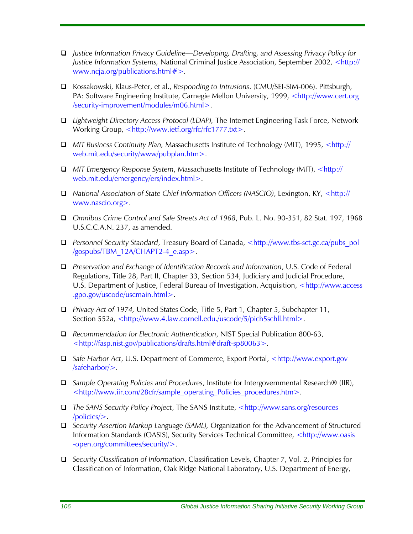- *Justice Information Privacy Guideline—Developing, Drafting, and Assessing Privacy Policy for Justice Information Systems,* National Criminal Justice Association, September 2002, <http:// www.ncja.org/publications.html#>.
- Kossakowski, Klaus-Peter, et al., *Responding to Intrusions*. (CMU/SEI-SIM-006). Pittsburgh, PA: Software Engineering Institute, Carnegie Mellon University, 1999, <http://www.cert.org /security-improvement/modules/m06.html>.
- *Lightweight Directory Access Protocol (LDAP),* The Internet Engineering Task Force, Network Working Group, <http://www.ietf.org/rfc/rfc1777.txt>.
- *MIT Business Continuity Plan,* Massachusetts Institute of Technology (MIT), 1995, <http:// web.mit.edu/security/www/pubplan.htm>.
- *MIT Emergency Response System*, Massachusetts Institute of Technology (MIT), <http:// web.mit.edu/emergency/ers/index.html>.
- *National Association of State Chief Information Officers (NASCIO)*, Lexington, KY, <http:// www.nascio.org>.
- *Omnibus Crime Control and Safe Streets Act of 1968*, Pub. L. No. 90-351, 82 Stat. 197, 1968 U.S.C.C.A.N. 237, as amended.
- **□** Personnel Security Standard, Treasury Board of Canada, <http://www.tbs-sct.gc.ca/pubs\_pol /gospubs/TBM\_12A/CHAPT2-4\_e.asp>.
- *Preservation and Exchange of Identification Records and Information*, U.S. Code of Federal Regulations, Title 28, Part II, Chapter 33, Section 534, Judiciary and Judicial Procedure, U.S. Department of Justice, Federal Bureau of Investigation, Acquisition, <http://www.access .gpo.gov/uscode/uscmain.html>.
- *Privacy Act of 1974,* United States Code, Title 5, Part 1, Chapter 5, Subchapter 11, Section 552a, <[http://www.4.law.cornell.edu./uscode/5/pich5schll.html>](http://www.4.law.cornell.edu./uscode/5/pich5schll.html).
- *Recommendation for Electronic Authentication*, NIST Special Publication 800-63, [<http://fasp.nist.gov/publications/drafts.html#draft-sp80063](http://fasp.nist.gov/publications/drafts.html#draft-sp80063)>.
- *Safe Harbor Act*, U.S. Department of Commerce, Export Portal, <http://www.export.gov /safeharbor/>.
- *Sample Operating Policies and Procedures*, Institute for Intergovernmental Research® (IIR), <http://www.iir.com/28cfr/sample\_operating\_Policies\_procedures.htm>.
- *The SANS Security Policy Project*, The SANS Institute, <http://www.sans.org/resources /policies/>.
- *Security Assertion Markup Language (SAML),* Organization for the Advancement of Structured Information Standards (OASIS), Security Services Technical Committee, <http://www.oasis -open.org/committees/security/>.
- *Security Classification of Information*, Classification Levels, Chapter 7, Vol. 2, Principles for Classification of Information, Oak Ridge National Laboratory, U.S. Department of Energy,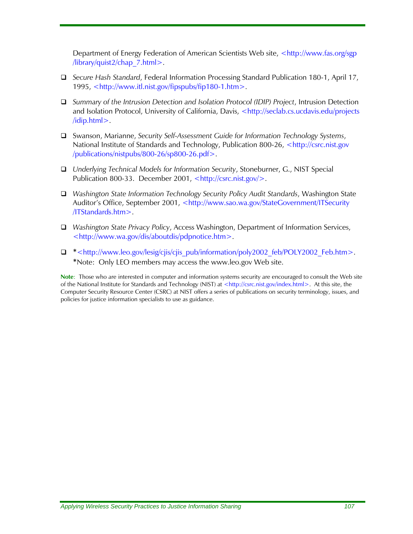Department of Energy Federation of American Scientists Web site, <http://www.fas.org/sgp /library/quist2/chap\_7.html>.

- *Secure Hash Standard*, Federal Information Processing Standard Publication 180-1, April 17, 1995, <http://www.itl.nist.gov/fipspubs/fip180-1.htm>.
- *Summary of the Intrusion Detection and Isolation Protocol (IDIP) Project*, Intrusion Detection and Isolation Protocol, University of California, Davis, <http://seclab.cs.ucdavis.edu/projects /idip.html>.
- Swanson, Marianne, *Security Self-Assessment Guide for Information Technology Systems*, National Institute of Standards and Technology, Publication 800-26, <http://csrc.nist.gov /publications/nistpubs/800-26/sp800-26.pdf>.
- *Underlying Technical Models for Information Security*, Stoneburner, G., NIST Special Publication 800-33. December 2001, <http://csrc.nist.gov/>.
- *Washington State Information Technology Security Policy Audit Standards*, Washington State Auditor's Office, September 2001, <http://www.sao.wa.gov/StateGovernment/ITSecurity /ITStandards.htm>.
- *Washington State Privacy Policy*, Access Washington, Department of Information Services, <http://www.wa.gov/dis/aboutdis/pdpnotice.htm>.
- **\***<http://www.leo.gov/lesig/cjis/cjis\_pub/information/poly2002\_feb/POLY2002\_Feb.htm>. **\***Note: Only LEO members may access the www.leo.gov Web site.

**Note**: Those who are interested in computer and information systems security are encouraged to consult the Web site of the National Institute for Standards and Technology (NIST) at <http://csrc.nist.gov/index.html>. At this site, the Computer Security Resource Center (CSRC) at NIST offers a series of publications on security terminology, issues, and policies for justice information specialists to use as guidance.